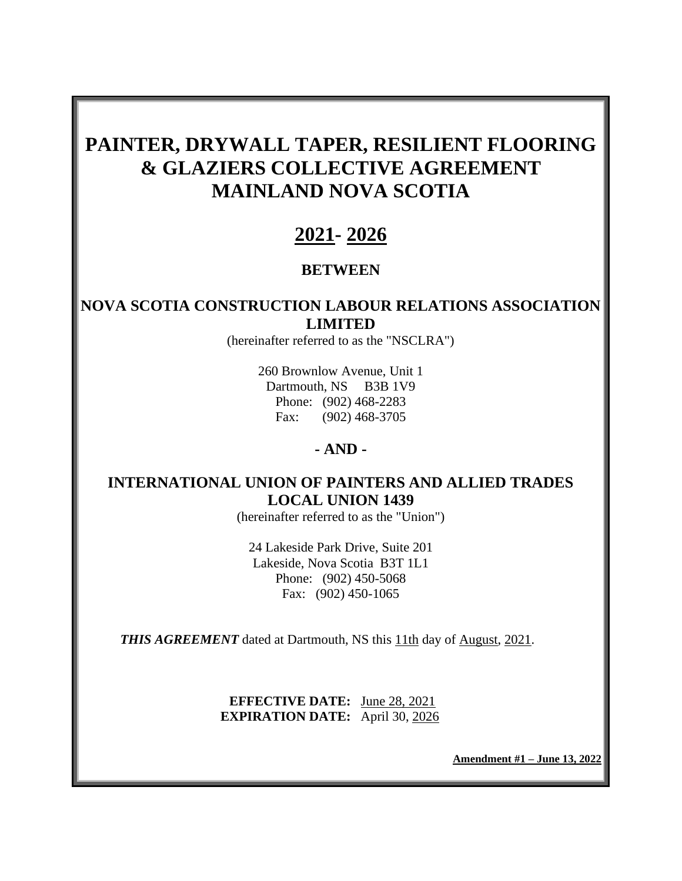# **PAINTER, DRYWALL TAPER, RESILIENT FLOORING & GLAZIERS COLLECTIVE AGREEMENT MAINLAND NOVA SCOTIA**

# **2021- 2026**

### **BETWEEN**

## **NOVA SCOTIA CONSTRUCTION LABOUR RELATIONS ASSOCIATION LIMITED**

(hereinafter referred to as the "NSCLRA")

260 Brownlow Avenue, Unit 1 Dartmouth, NS B3B 1V9 Phone: (902) 468-2283 Fax: (902) 468-3705

### **- AND -**

## **INTERNATIONAL UNION OF PAINTERS AND ALLIED TRADES LOCAL UNION 1439**

(hereinafter referred to as the "Union")

24 Lakeside Park Drive, Suite 201 Lakeside, Nova Scotia B3T 1L1 Phone: (902) 450-5068 Fax: (902) 450-1065

**THIS AGREEMENT** dated at Dartmouth, NS this **11th** day of **August**, 2021.

**EFFECTIVE DATE:** June 28, 2021 **EXPIRATION DATE:** April 30, 2026

**Amendment #1 – June 13, 2022**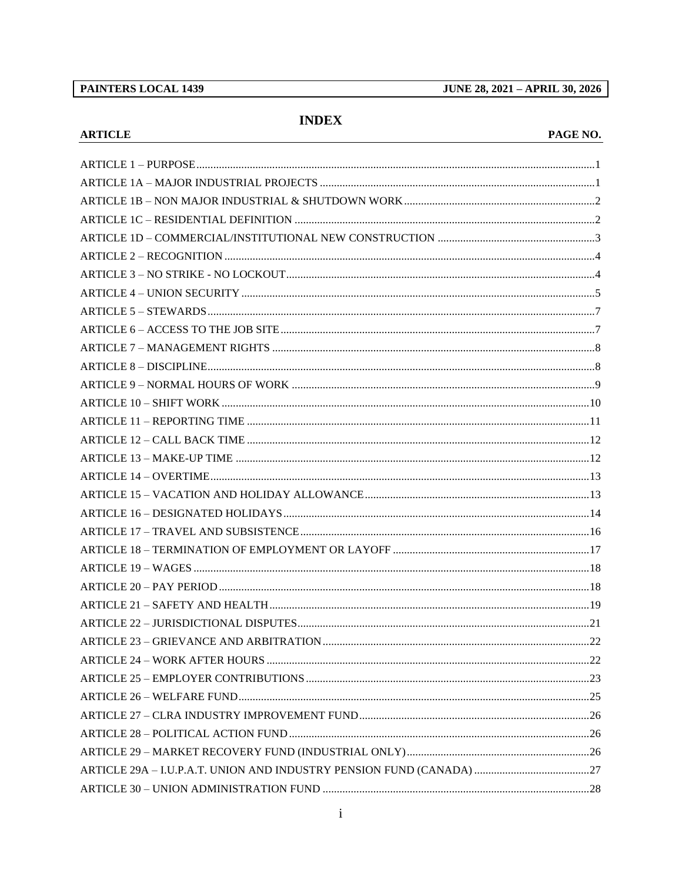### **PAINTERS LOCAL 1439**

**ARTICLE** 

**JUNE 28, 2021 - APRIL 30, 2026** 

### **INDEX**

### PAGE NO.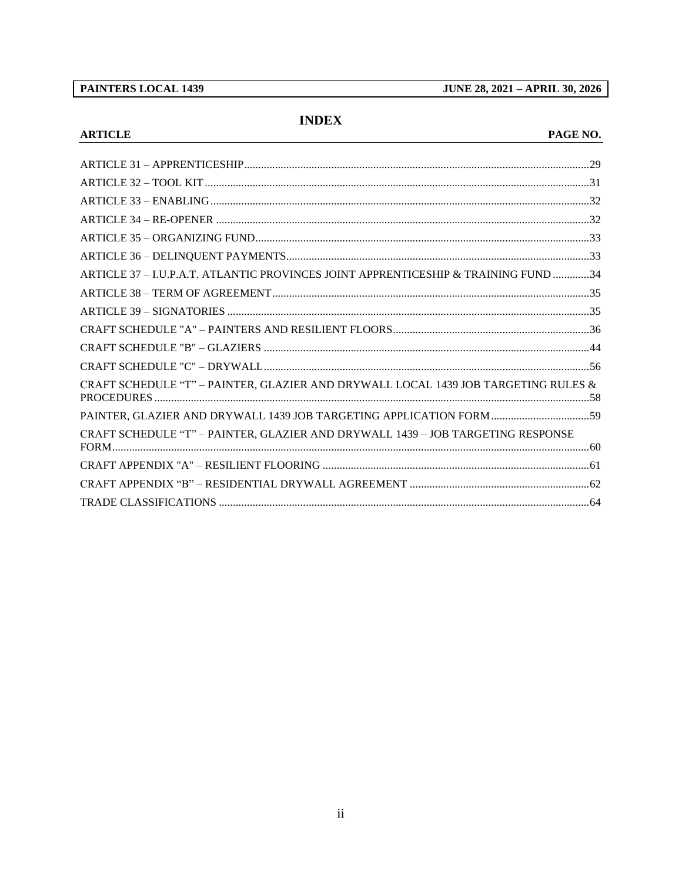### **PAINTERS LOCAL 1439**

**ARTICLE** 

**JUNE 28, 2021 - APRIL 30, 2026** 

PAGE NO.

### **INDEX**

| ARTICLE 37 - I.U.P.A.T. ATLANTIC PROVINCES JOINT APPRENTICESHIP & TRAINING FUND 34 |  |
|------------------------------------------------------------------------------------|--|
|                                                                                    |  |
|                                                                                    |  |
|                                                                                    |  |
|                                                                                    |  |
|                                                                                    |  |
| CRAFT SCHEDULE "T" - PAINTER, GLAZIER AND DRYWALL LOCAL 1439 JOB TARGETING RULES & |  |
| PAINTER, GLAZIER AND DRYWALL 1439 JOB TARGETING APPLICATION FORM  59               |  |
| CRAFT SCHEDULE "T" - PAINTER, GLAZIER AND DRYWALL 1439 - JOB TARGETING RESPONSE    |  |
|                                                                                    |  |
|                                                                                    |  |
|                                                                                    |  |
|                                                                                    |  |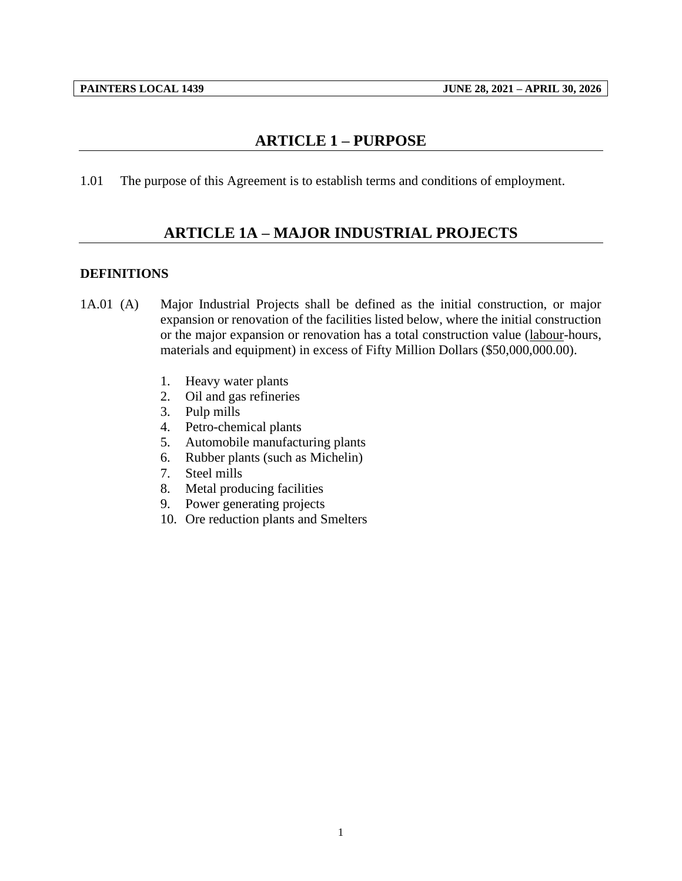## **ARTICLE 1 – PURPOSE**

<span id="page-3-1"></span><span id="page-3-0"></span>1.01 The purpose of this Agreement is to establish terms and conditions of employment.

## **ARTICLE 1A – MAJOR INDUSTRIAL PROJECTS**

#### **DEFINITIONS**

- 1A.01 (A) Major Industrial Projects shall be defined as the initial construction, or major expansion or renovation of the facilities listed below, where the initial construction or the major expansion or renovation has a total construction value (labour-hours, materials and equipment) in excess of Fifty Million Dollars (\$50,000,000.00).
	- 1. Heavy water plants
	- 2. Oil and gas refineries
	- 3. Pulp mills
	- 4. Petro-chemical plants
	- 5. Automobile manufacturing plants
	- 6. Rubber plants (such as Michelin)
	- 7. Steel mills
	- 8. Metal producing facilities
	- 9. Power generating projects
	- 10. Ore reduction plants and Smelters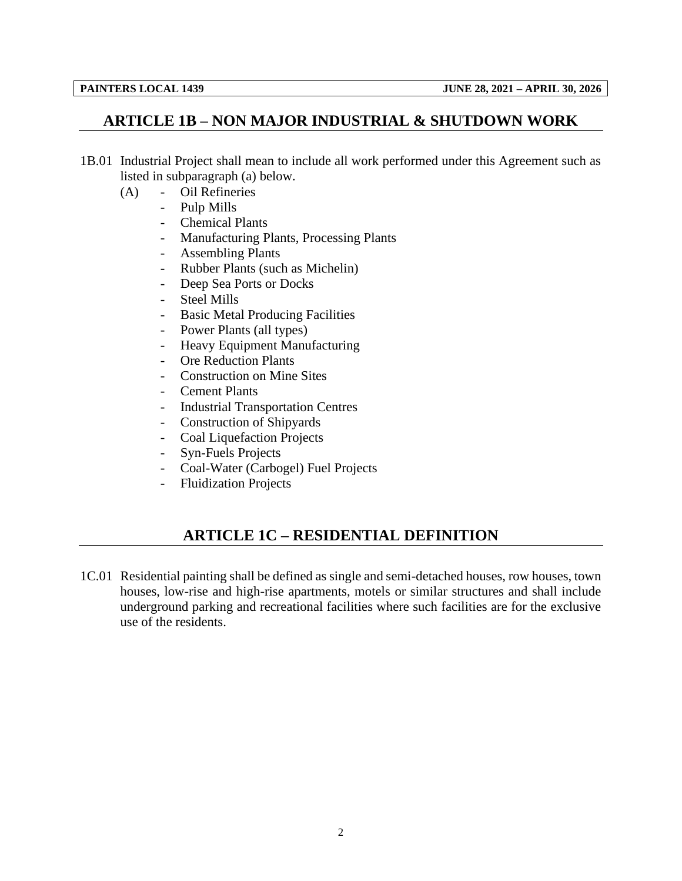## <span id="page-4-0"></span>**ARTICLE 1B – NON MAJOR INDUSTRIAL & SHUTDOWN WORK**

- 1B.01 Industrial Project shall mean to include all work performed under this Agreement such as listed in subparagraph (a) below.
	- (A) Oil Refineries
		- Pulp Mills
		- Chemical Plants
		- Manufacturing Plants, Processing Plants
		- Assembling Plants
		- Rubber Plants (such as Michelin)
		- Deep Sea Ports or Docks
		- Steel Mills
		- Basic Metal Producing Facilities
		- Power Plants (all types)
		- Heavy Equipment Manufacturing
		- Ore Reduction Plants
		- Construction on Mine Sites
		- Cement Plants
		- Industrial Transportation Centres
		- Construction of Shipyards
		- Coal Liquefaction Projects
		- Syn-Fuels Projects
		- Coal-Water (Carbogel) Fuel Projects
		- Fluidization Projects

### **ARTICLE 1C – RESIDENTIAL DEFINITION**

<span id="page-4-1"></span>1C.01 Residential painting shall be defined as single and semi-detached houses, row houses, town houses, low-rise and high-rise apartments, motels or similar structures and shall include underground parking and recreational facilities where such facilities are for the exclusive use of the residents.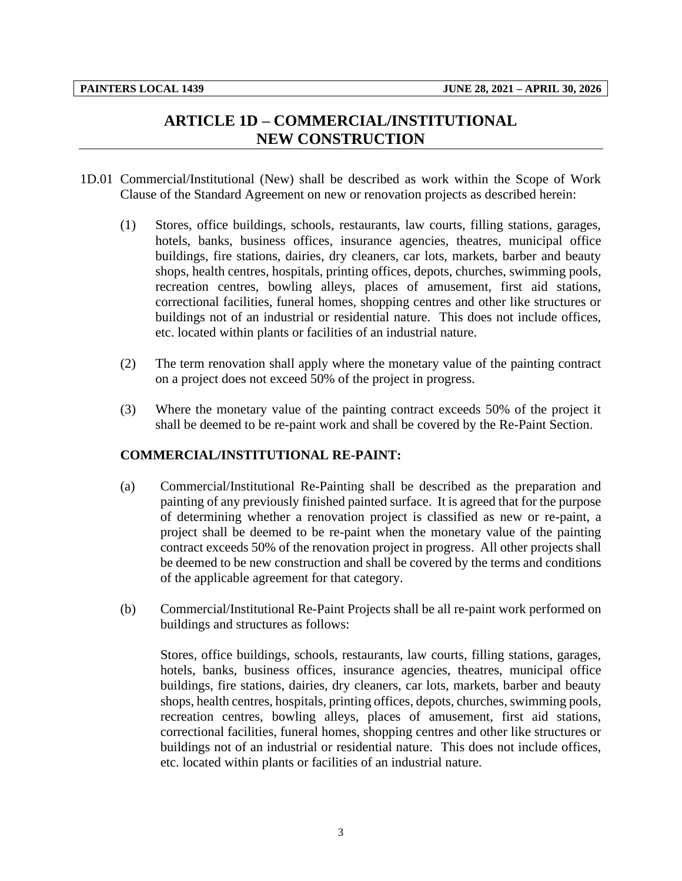## **ARTICLE 1D – COMMERCIAL/INSTITUTIONAL NEW CONSTRUCTION**

- <span id="page-5-0"></span>1D.01 Commercial/Institutional (New) shall be described as work within the Scope of Work Clause of the Standard Agreement on new or renovation projects as described herein:
	- (1) Stores, office buildings, schools, restaurants, law courts, filling stations, garages, hotels, banks, business offices, insurance agencies, theatres, municipal office buildings, fire stations, dairies, dry cleaners, car lots, markets, barber and beauty shops, health centres, hospitals, printing offices, depots, churches, swimming pools, recreation centres, bowling alleys, places of amusement, first aid stations, correctional facilities, funeral homes, shopping centres and other like structures or buildings not of an industrial or residential nature. This does not include offices, etc. located within plants or facilities of an industrial nature.
	- (2) The term renovation shall apply where the monetary value of the painting contract on a project does not exceed 50% of the project in progress.
	- (3) Where the monetary value of the painting contract exceeds 50% of the project it shall be deemed to be re-paint work and shall be covered by the Re-Paint Section.

### **COMMERCIAL/INSTITUTIONAL RE-PAINT:**

- (a) Commercial/Institutional Re-Painting shall be described as the preparation and painting of any previously finished painted surface. It is agreed that for the purpose of determining whether a renovation project is classified as new or re-paint, a project shall be deemed to be re-paint when the monetary value of the painting contract exceeds 50% of the renovation project in progress. All other projects shall be deemed to be new construction and shall be covered by the terms and conditions of the applicable agreement for that category.
- (b) Commercial/Institutional Re-Paint Projects shall be all re-paint work performed on buildings and structures as follows:

Stores, office buildings, schools, restaurants, law courts, filling stations, garages, hotels, banks, business offices, insurance agencies, theatres, municipal office buildings, fire stations, dairies, dry cleaners, car lots, markets, barber and beauty shops, health centres, hospitals, printing offices, depots, churches, swimming pools, recreation centres, bowling alleys, places of amusement, first aid stations, correctional facilities, funeral homes, shopping centres and other like structures or buildings not of an industrial or residential nature. This does not include offices, etc. located within plants or facilities of an industrial nature.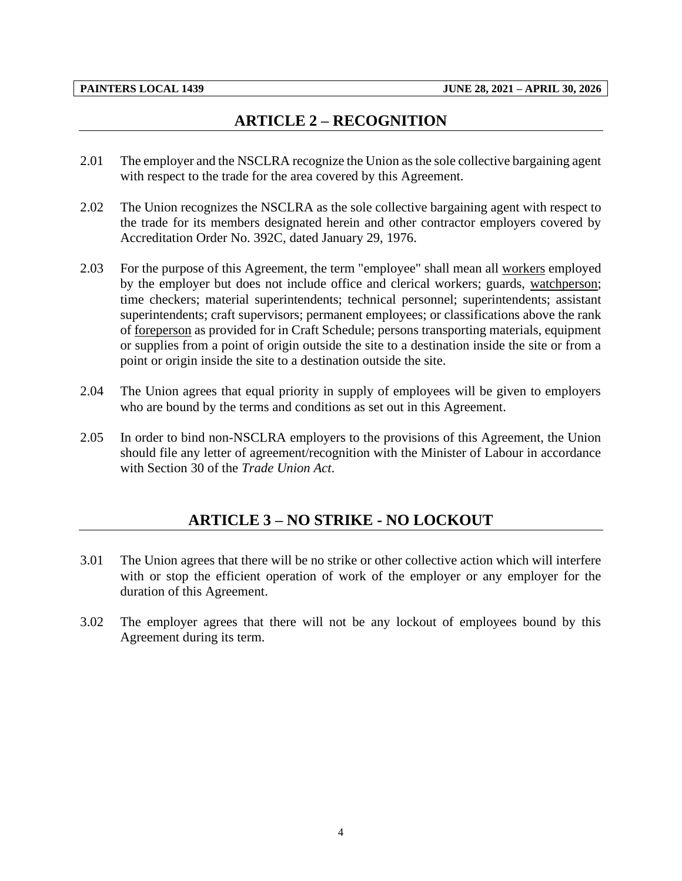## **ARTICLE 2 – RECOGNITION**

- <span id="page-6-0"></span>2.01 The employer and the NSCLRA recognize the Union as the sole collective bargaining agent with respect to the trade for the area covered by this Agreement.
- 2.02 The Union recognizes the NSCLRA as the sole collective bargaining agent with respect to the trade for its members designated herein and other contractor employers covered by Accreditation Order No. 392C, dated January 29, 1976.
- 2.03 For the purpose of this Agreement, the term "employee" shall mean all workers employed by the employer but does not include office and clerical workers; guards, watchperson; time checkers; material superintendents; technical personnel; superintendents; assistant superintendents; craft supervisors; permanent employees; or classifications above the rank of foreperson as provided for in Craft Schedule; persons transporting materials, equipment or supplies from a point of origin outside the site to a destination inside the site or from a point or origin inside the site to a destination outside the site.
- 2.04 The Union agrees that equal priority in supply of employees will be given to employers who are bound by the terms and conditions as set out in this Agreement.
- <span id="page-6-1"></span>2.05 In order to bind non-NSCLRA employers to the provisions of this Agreement, the Union should file any letter of agreement/recognition with the Minister of Labour in accordance with Section 30 of the *Trade Union Act*.

## **ARTICLE 3 – NO STRIKE - NO LOCKOUT**

- 3.01 The Union agrees that there will be no strike or other collective action which will interfere with or stop the efficient operation of work of the employer or any employer for the duration of this Agreement.
- 3.02 The employer agrees that there will not be any lockout of employees bound by this Agreement during its term.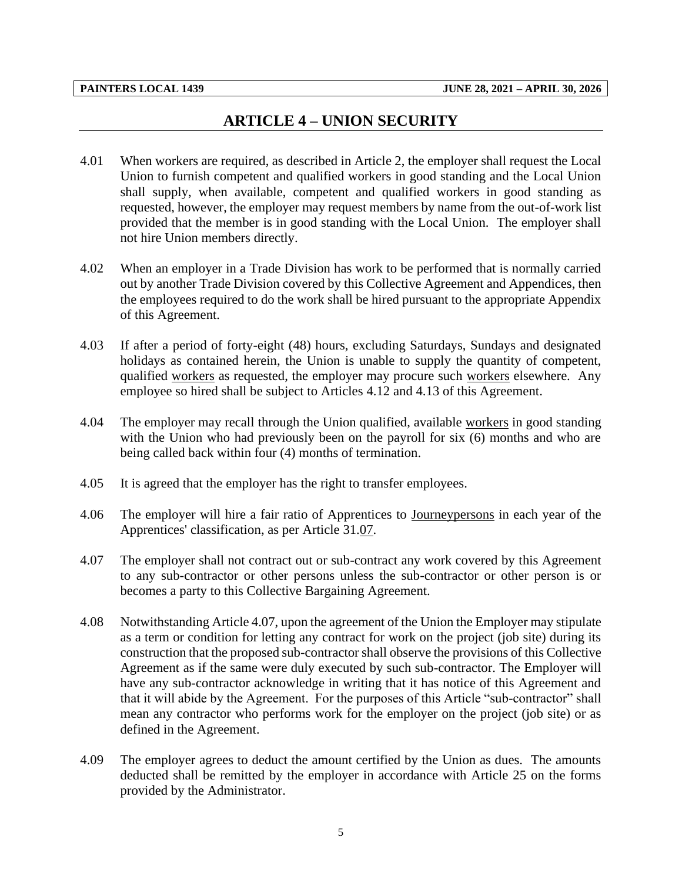## **ARTICLE 4 – UNION SECURITY**

- <span id="page-7-0"></span>4.01 When workers are required, as described in Article 2, the employer shall request the Local Union to furnish competent and qualified workers in good standing and the Local Union shall supply, when available, competent and qualified workers in good standing as requested, however, the employer may request members by name from the out-of-work list provided that the member is in good standing with the Local Union. The employer shall not hire Union members directly.
- 4.02 When an employer in a Trade Division has work to be performed that is normally carried out by another Trade Division covered by this Collective Agreement and Appendices, then the employees required to do the work shall be hired pursuant to the appropriate Appendix of this Agreement.
- 4.03 If after a period of forty-eight (48) hours, excluding Saturdays, Sundays and designated holidays as contained herein, the Union is unable to supply the quantity of competent, qualified workers as requested, the employer may procure such workers elsewhere. Any employee so hired shall be subject to Articles 4.12 and 4.13 of this Agreement.
- 4.04 The employer may recall through the Union qualified, available workers in good standing with the Union who had previously been on the payroll for six (6) months and who are being called back within four (4) months of termination.
- 4.05 It is agreed that the employer has the right to transfer employees.
- 4.06 The employer will hire a fair ratio of Apprentices to Journeypersons in each year of the Apprentices' classification, as per Article 31.07.
- 4.07 The employer shall not contract out or sub-contract any work covered by this Agreement to any sub-contractor or other persons unless the sub-contractor or other person is or becomes a party to this Collective Bargaining Agreement.
- 4.08 Notwithstanding Article 4.07, upon the agreement of the Union the Employer may stipulate as a term or condition for letting any contract for work on the project (job site) during its construction that the proposed sub-contractor shall observe the provisions of this Collective Agreement as if the same were duly executed by such sub-contractor. The Employer will have any sub-contractor acknowledge in writing that it has notice of this Agreement and that it will abide by the Agreement. For the purposes of this Article "sub-contractor" shall mean any contractor who performs work for the employer on the project (job site) or as defined in the Agreement.
- 4.09 The employer agrees to deduct the amount certified by the Union as dues. The amounts deducted shall be remitted by the employer in accordance with Article 25 on the forms provided by the Administrator.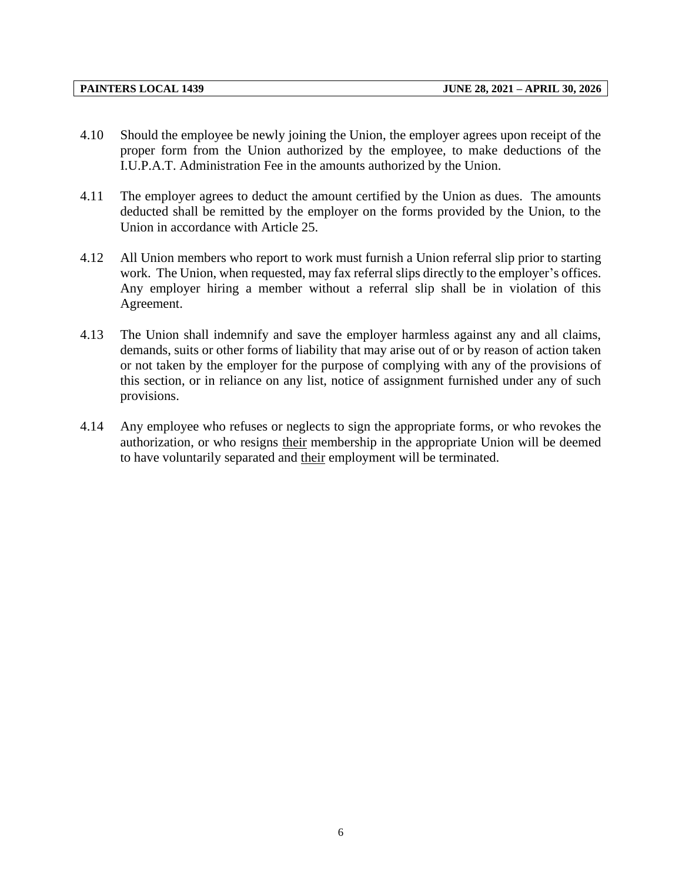- 4.10 Should the employee be newly joining the Union, the employer agrees upon receipt of the proper form from the Union authorized by the employee, to make deductions of the I.U.P.A.T. Administration Fee in the amounts authorized by the Union.
- 4.11 The employer agrees to deduct the amount certified by the Union as dues. The amounts deducted shall be remitted by the employer on the forms provided by the Union, to the Union in accordance with Article 25.
- 4.12 All Union members who report to work must furnish a Union referral slip prior to starting work. The Union, when requested, may fax referral slips directly to the employer's offices. Any employer hiring a member without a referral slip shall be in violation of this Agreement.
- 4.13 The Union shall indemnify and save the employer harmless against any and all claims, demands, suits or other forms of liability that may arise out of or by reason of action taken or not taken by the employer for the purpose of complying with any of the provisions of this section, or in reliance on any list, notice of assignment furnished under any of such provisions.
- 4.14 Any employee who refuses or neglects to sign the appropriate forms, or who revokes the authorization, or who resigns their membership in the appropriate Union will be deemed to have voluntarily separated and their employment will be terminated.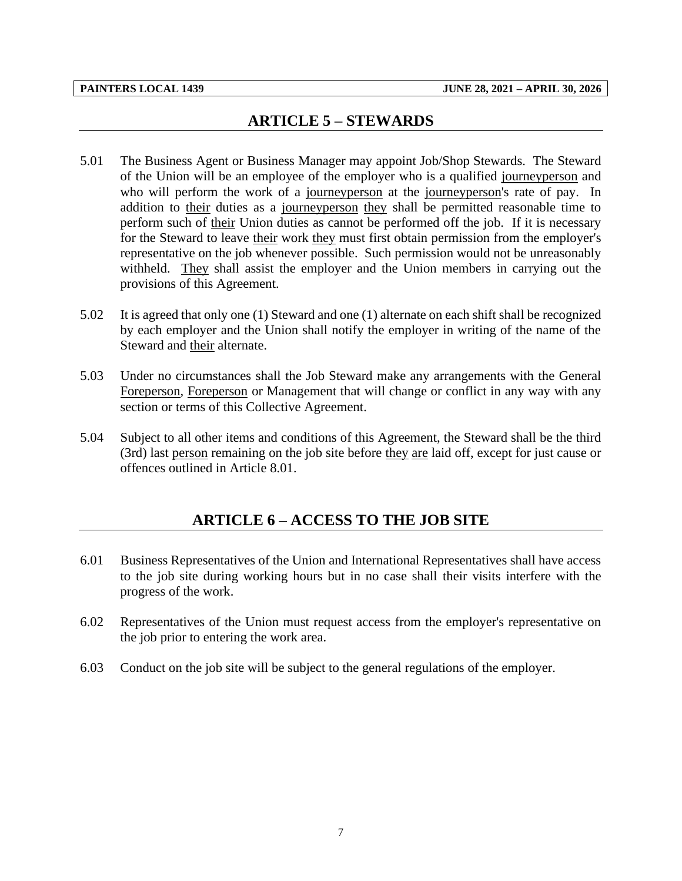## **ARTICLE 5 – STEWARDS**

- <span id="page-9-0"></span>5.01 The Business Agent or Business Manager may appoint Job/Shop Stewards. The Steward of the Union will be an employee of the employer who is a qualified journeyperson and who will perform the work of a journeyperson at the journeyperson's rate of pay. In addition to their duties as a journeyperson they shall be permitted reasonable time to perform such of their Union duties as cannot be performed off the job. If it is necessary for the Steward to leave their work they must first obtain permission from the employer's representative on the job whenever possible. Such permission would not be unreasonably withheld. They shall assist the employer and the Union members in carrying out the provisions of this Agreement.
- 5.02 It is agreed that only one (1) Steward and one (1) alternate on each shift shall be recognized by each employer and the Union shall notify the employer in writing of the name of the Steward and their alternate.
- 5.03 Under no circumstances shall the Job Steward make any arrangements with the General Foreperson, Foreperson or Management that will change or conflict in any way with any section or terms of this Collective Agreement.
- <span id="page-9-1"></span>5.04 Subject to all other items and conditions of this Agreement, the Steward shall be the third (3rd) last person remaining on the job site before they are laid off, except for just cause or offences outlined in Article 8.01.

## **ARTICLE 6 – ACCESS TO THE JOB SITE**

- 6.01 Business Representatives of the Union and International Representatives shall have access to the job site during working hours but in no case shall their visits interfere with the progress of the work.
- 6.02 Representatives of the Union must request access from the employer's representative on the job prior to entering the work area.
- 6.03 Conduct on the job site will be subject to the general regulations of the employer.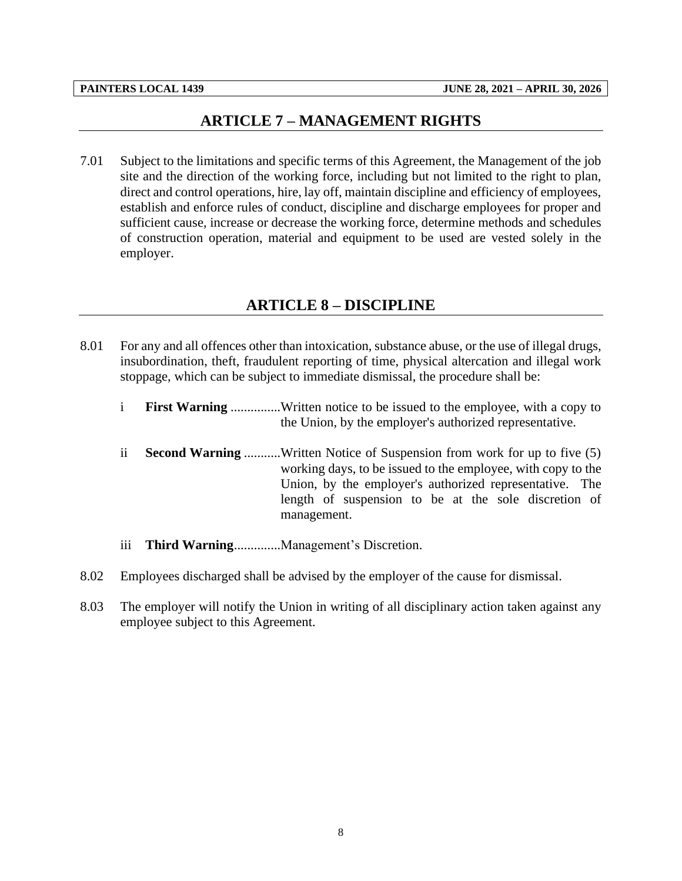## **ARTICLE 7 – MANAGEMENT RIGHTS**

<span id="page-10-0"></span>7.01 Subject to the limitations and specific terms of this Agreement, the Management of the job site and the direction of the working force, including but not limited to the right to plan, direct and control operations, hire, lay off, maintain discipline and efficiency of employees, establish and enforce rules of conduct, discipline and discharge employees for proper and sufficient cause, increase or decrease the working force, determine methods and schedules of construction operation, material and equipment to be used are vested solely in the employer.

## **ARTICLE 8 – DISCIPLINE**

- <span id="page-10-1"></span>8.01 For any and all offences other than intoxication, substance abuse, or the use of illegal drugs, insubordination, theft, fraudulent reporting of time, physical altercation and illegal work stoppage, which can be subject to immediate dismissal, the procedure shall be:
	- i **First Warning** ...............Written notice to be issued to the employee, with a copy to the Union, by the employer's authorized representative.
	- ii **Second Warning** ...........Written Notice of Suspension from work for up to five (5) working days, to be issued to the employee, with copy to the Union, by the employer's authorized representative. The length of suspension to be at the sole discretion of management.
	- iii **Third Warning**..............Management's Discretion.
- 8.02 Employees discharged shall be advised by the employer of the cause for dismissal.
- 8.03 The employer will notify the Union in writing of all disciplinary action taken against any employee subject to this Agreement.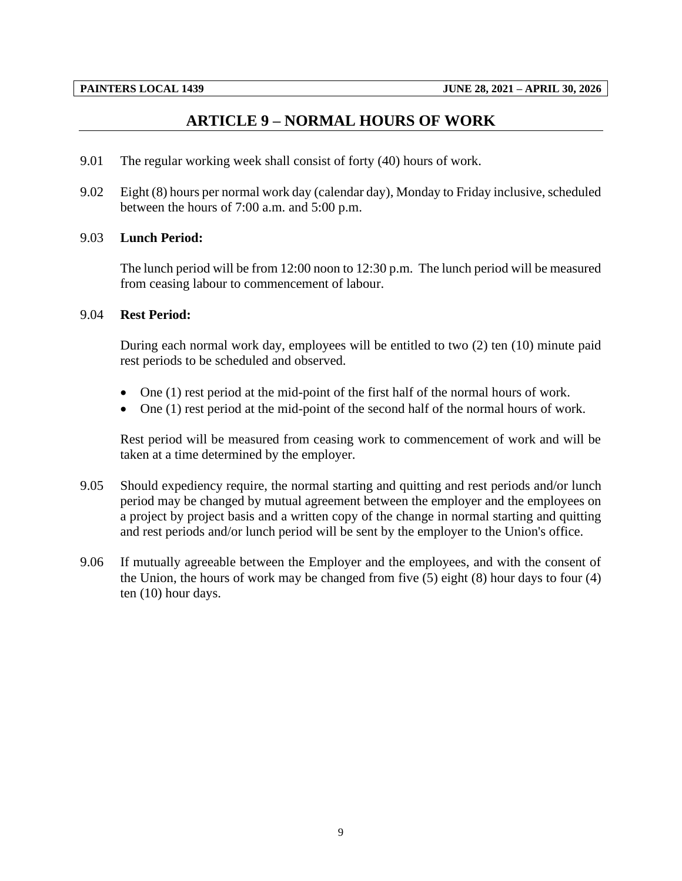## **ARTICLE 9 – NORMAL HOURS OF WORK**

- <span id="page-11-0"></span>9.01 The regular working week shall consist of forty (40) hours of work.
- 9.02 Eight (8) hours per normal work day (calendar day), Monday to Friday inclusive, scheduled between the hours of 7:00 a.m. and 5:00 p.m.

#### 9.03 **Lunch Period:**

The lunch period will be from 12:00 noon to 12:30 p.m. The lunch period will be measured from ceasing labour to commencement of labour.

#### 9.04 **Rest Period:**

During each normal work day, employees will be entitled to two (2) ten (10) minute paid rest periods to be scheduled and observed.

- One (1) rest period at the mid-point of the first half of the normal hours of work.
- One (1) rest period at the mid-point of the second half of the normal hours of work.

Rest period will be measured from ceasing work to commencement of work and will be taken at a time determined by the employer.

- 9.05 Should expediency require, the normal starting and quitting and rest periods and/or lunch period may be changed by mutual agreement between the employer and the employees on a project by project basis and a written copy of the change in normal starting and quitting and rest periods and/or lunch period will be sent by the employer to the Union's office.
- 9.06 If mutually agreeable between the Employer and the employees, and with the consent of the Union, the hours of work may be changed from five (5) eight (8) hour days to four (4) ten (10) hour days.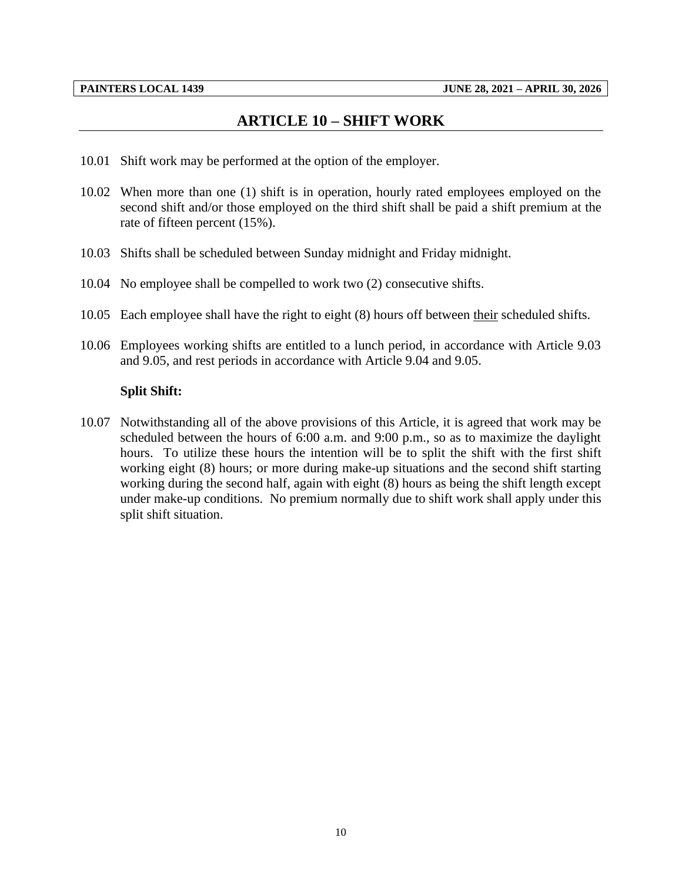## **ARTICLE 10 – SHIFT WORK**

- <span id="page-12-0"></span>10.01 Shift work may be performed at the option of the employer.
- 10.02 When more than one (1) shift is in operation, hourly rated employees employed on the second shift and/or those employed on the third shift shall be paid a shift premium at the rate of fifteen percent (15%).
- 10.03 Shifts shall be scheduled between Sunday midnight and Friday midnight.
- 10.04 No employee shall be compelled to work two (2) consecutive shifts.
- 10.05 Each employee shall have the right to eight (8) hours off between their scheduled shifts.
- 10.06 Employees working shifts are entitled to a lunch period, in accordance with Article 9.03 and 9.05, and rest periods in accordance with Article 9.04 and 9.05.

#### **Split Shift:**

10.07 Notwithstanding all of the above provisions of this Article, it is agreed that work may be scheduled between the hours of 6:00 a.m. and 9:00 p.m., so as to maximize the daylight hours. To utilize these hours the intention will be to split the shift with the first shift working eight (8) hours; or more during make-up situations and the second shift starting working during the second half, again with eight (8) hours as being the shift length except under make-up conditions. No premium normally due to shift work shall apply under this split shift situation.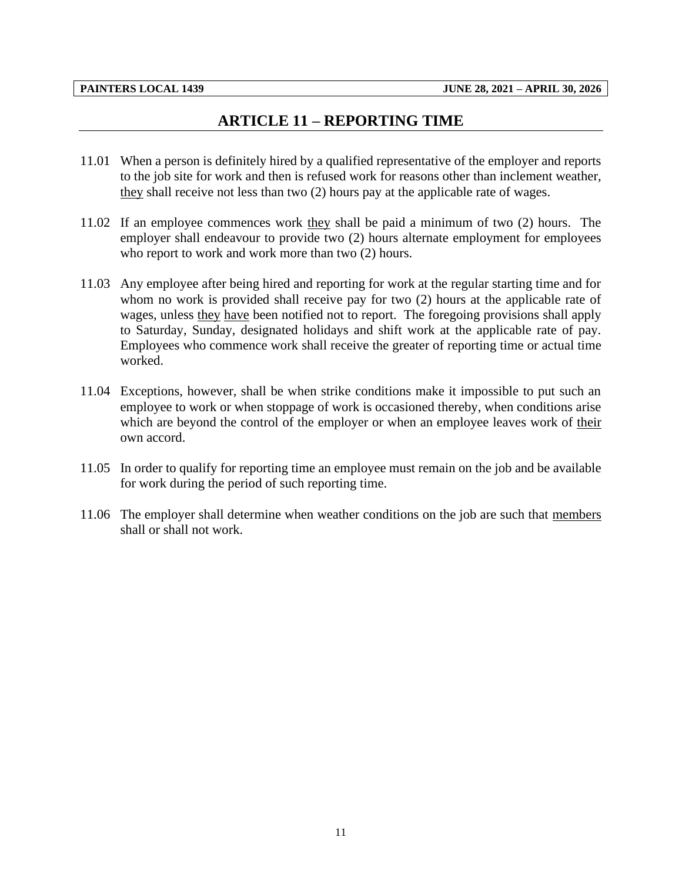## **ARTICLE 11 – REPORTING TIME**

- <span id="page-13-0"></span>11.01 When a person is definitely hired by a qualified representative of the employer and reports to the job site for work and then is refused work for reasons other than inclement weather, they shall receive not less than two (2) hours pay at the applicable rate of wages.
- 11.02 If an employee commences work they shall be paid a minimum of two (2) hours. The employer shall endeavour to provide two (2) hours alternate employment for employees who report to work and work more than two (2) hours.
- 11.03 Any employee after being hired and reporting for work at the regular starting time and for whom no work is provided shall receive pay for two (2) hours at the applicable rate of wages, unless they have been notified not to report. The foregoing provisions shall apply to Saturday, Sunday, designated holidays and shift work at the applicable rate of pay. Employees who commence work shall receive the greater of reporting time or actual time worked.
- 11.04 Exceptions, however, shall be when strike conditions make it impossible to put such an employee to work or when stoppage of work is occasioned thereby, when conditions arise which are beyond the control of the employer or when an employee leaves work of their own accord.
- 11.05 In order to qualify for reporting time an employee must remain on the job and be available for work during the period of such reporting time.
- 11.06 The employer shall determine when weather conditions on the job are such that members shall or shall not work.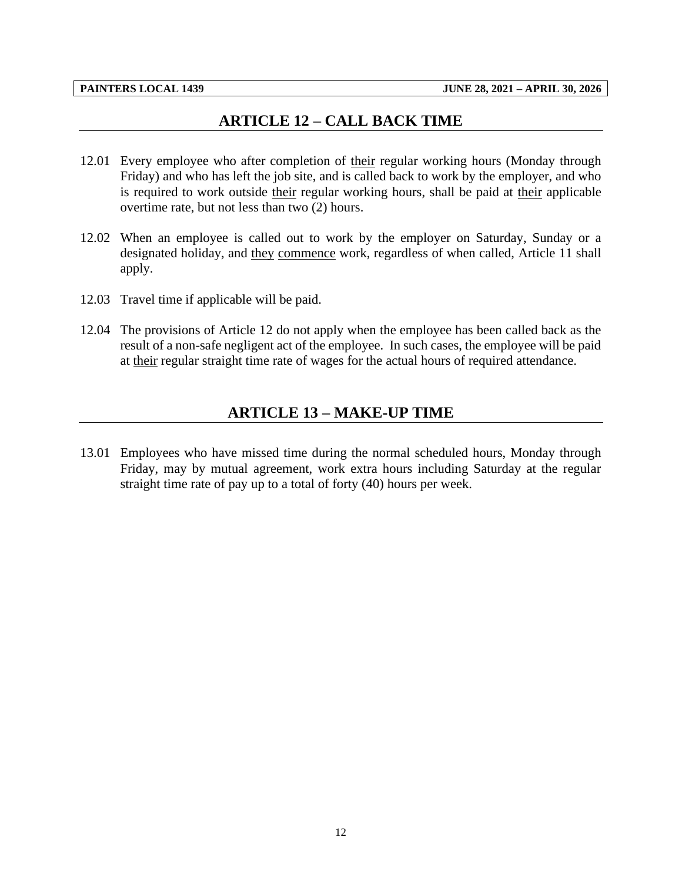## **ARTICLE 12 – CALL BACK TIME**

- <span id="page-14-0"></span>12.01 Every employee who after completion of their regular working hours (Monday through Friday) and who has left the job site, and is called back to work by the employer, and who is required to work outside their regular working hours, shall be paid at their applicable overtime rate, but not less than two (2) hours.
- 12.02 When an employee is called out to work by the employer on Saturday, Sunday or a designated holiday, and they commence work, regardless of when called, Article 11 shall apply.
- 12.03 Travel time if applicable will be paid.
- <span id="page-14-1"></span>12.04 The provisions of Article 12 do not apply when the employee has been called back as the result of a non-safe negligent act of the employee. In such cases, the employee will be paid at their regular straight time rate of wages for the actual hours of required attendance.

## **ARTICLE 13 – MAKE-UP TIME**

13.01 Employees who have missed time during the normal scheduled hours, Monday through Friday, may by mutual agreement, work extra hours including Saturday at the regular straight time rate of pay up to a total of forty (40) hours per week.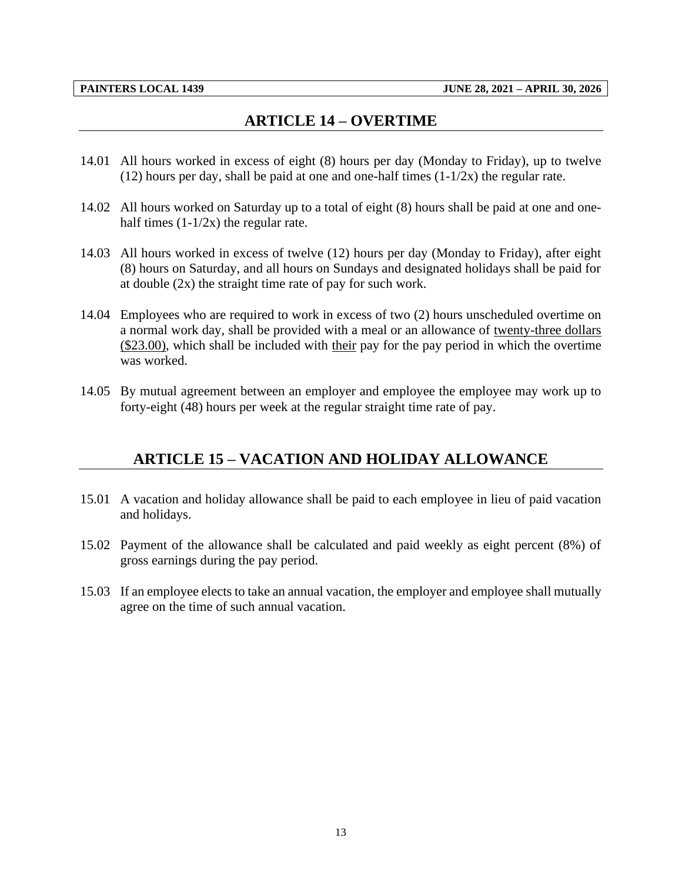## **ARTICLE 14 – OVERTIME**

- <span id="page-15-0"></span>14.01 All hours worked in excess of eight (8) hours per day (Monday to Friday), up to twelve (12) hours per day, shall be paid at one and one-half times  $(1-1/2x)$  the regular rate.
- 14.02 All hours worked on Saturday up to a total of eight (8) hours shall be paid at one and onehalf times  $(1-1/2x)$  the regular rate.
- 14.03 All hours worked in excess of twelve (12) hours per day (Monday to Friday), after eight (8) hours on Saturday, and all hours on Sundays and designated holidays shall be paid for at double (2x) the straight time rate of pay for such work.
- 14.04 Employees who are required to work in excess of two (2) hours unscheduled overtime on a normal work day, shall be provided with a meal or an allowance of twenty-three dollars (\$23.00), which shall be included with their pay for the pay period in which the overtime was worked.
- <span id="page-15-1"></span>14.05 By mutual agreement between an employer and employee the employee may work up to forty-eight (48) hours per week at the regular straight time rate of pay.

## **ARTICLE 15 – VACATION AND HOLIDAY ALLOWANCE**

- 15.01 A vacation and holiday allowance shall be paid to each employee in lieu of paid vacation and holidays.
- 15.02 Payment of the allowance shall be calculated and paid weekly as eight percent (8%) of gross earnings during the pay period.
- 15.03 If an employee elects to take an annual vacation, the employer and employee shall mutually agree on the time of such annual vacation.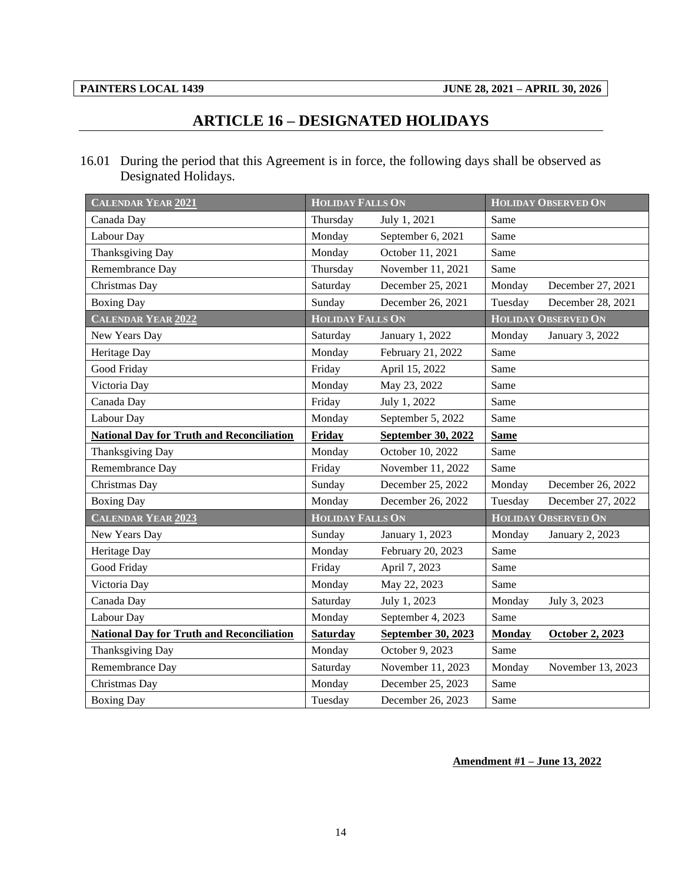## **ARTICLE 16 – DESIGNATED HOLIDAYS**

<span id="page-16-0"></span>16.01 During the period that this Agreement is in force, the following days shall be observed as Designated Holidays.

| <b>CALENDAR YEAR 2021</b>                        | <b>HOLIDAY FALLS ON</b> |                           | <b>HOLIDAY OBSERVED ON</b> |                            |  |
|--------------------------------------------------|-------------------------|---------------------------|----------------------------|----------------------------|--|
| Canada Day                                       | Thursday                | July 1, 2021              | Same                       |                            |  |
| Labour Day                                       | Monday                  | September 6, 2021         | Same                       |                            |  |
| Thanksgiving Day                                 | Monday                  | October 11, 2021          | Same                       |                            |  |
| Remembrance Day                                  | Thursday                | November 11, 2021         | Same                       |                            |  |
| Christmas Day                                    | Saturday                | December 25, 2021         | Monday                     | December 27, 2021          |  |
| <b>Boxing Day</b>                                | Sunday                  | December 26, 2021         | Tuesday                    | December 28, 2021          |  |
| CALENDAR YEAR 2022                               | <b>HOLIDAY FALLS ON</b> |                           |                            | <b>HOLIDAY OBSERVED ON</b> |  |
| New Years Day                                    | Saturday                | January 1, 2022           | Monday                     | January 3, 2022            |  |
| Heritage Day                                     | Monday                  | February 21, 2022         | Same                       |                            |  |
| Good Friday                                      | Friday                  | April 15, 2022            | Same                       |                            |  |
| Victoria Day                                     | Monday                  | May 23, 2022              | Same                       |                            |  |
| Canada Day                                       | Friday                  | July 1, 2022              | Same                       |                            |  |
| Labour Day                                       | Monday                  | September 5, 2022         | Same                       |                            |  |
| <b>National Day for Truth and Reconciliation</b> | Friday                  | <b>September 30, 2022</b> | <b>Same</b>                |                            |  |
| <b>Thanksgiving Day</b>                          | Monday                  | October 10, 2022          | Same                       |                            |  |
| Remembrance Day                                  | Friday                  | November 11, 2022         | Same                       |                            |  |
| Christmas Day                                    | Sunday                  | December 25, 2022         | Monday                     | December 26, 2022          |  |
| <b>Boxing Day</b>                                | Monday                  | December 26, 2022         | Tuesday                    | December 27, 2022          |  |
| <b>CALENDAR YEAR 2023</b>                        | <b>HOLIDAY FALLS ON</b> |                           |                            | <b>HOLIDAY OBSERVED ON</b> |  |
| New Years Day                                    | Sunday                  | January 1, 2023           | Monday                     | January 2, 2023            |  |
| Heritage Day                                     | Monday                  | February 20, 2023         | Same                       |                            |  |
| Good Friday                                      | Friday                  | April 7, 2023             | Same                       |                            |  |
| Victoria Day                                     | Monday                  | May 22, 2023              | Same                       |                            |  |
| Canada Day                                       | Saturday                | July 1, 2023              | Monday                     | July 3, 2023               |  |
| Labour Day                                       | Monday                  | September 4, 2023         | Same                       |                            |  |
| <b>National Day for Truth and Reconciliation</b> | <b>Saturday</b>         | September 30, 2023        | <b>Monday</b>              | October 2, 2023            |  |
| Thanksgiving Day                                 | Monday                  | October 9, 2023           | Same                       |                            |  |
| Remembrance Day                                  | Saturday                | November 11, 2023         | Monday                     | November 13, 2023          |  |
| Christmas Day                                    | Monday                  | December 25, 2023         | Same                       |                            |  |
| <b>Boxing Day</b>                                | Tuesday                 | December 26, 2023         | Same                       |                            |  |

#### **Amendment #1 – June 13, 2022**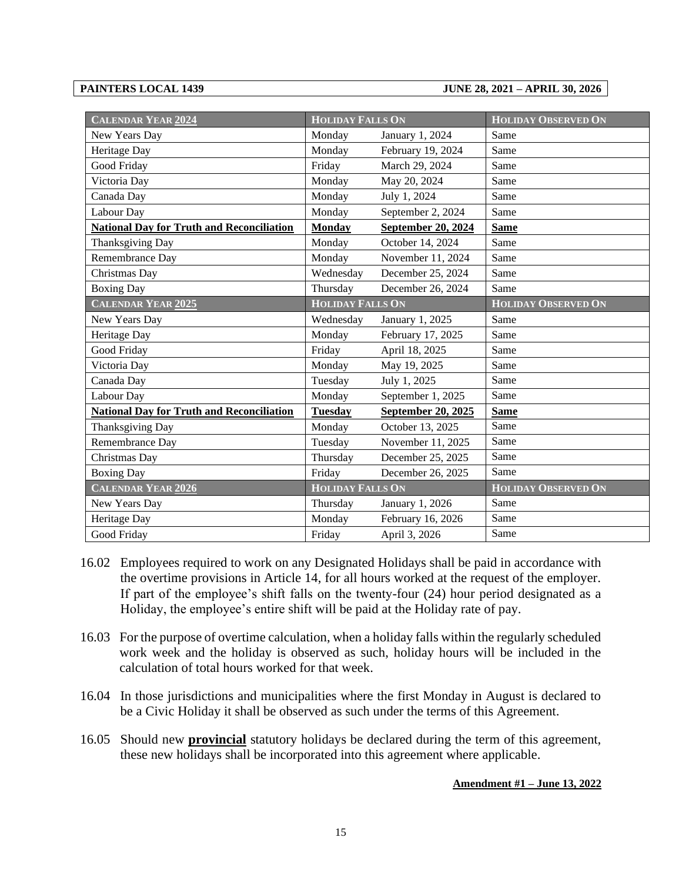#### **PAINTERS LOCAL 1439 JUNE 28, 2021 – APRIL 30, 2026**

| <b>CALENDAR YEAR 2024</b>                        | <b>HOLIDAY FALLS ON</b> |                           | <b>HOLIDAY OBSERVED ON</b> |
|--------------------------------------------------|-------------------------|---------------------------|----------------------------|
| New Years Day                                    | Monday                  | January 1, 2024           | Same                       |
| Heritage Day                                     | Monday                  | February 19, 2024         | Same                       |
| Good Friday                                      | Friday                  | March 29, 2024            | Same                       |
| Victoria Day                                     | Monday                  | May 20, 2024              | Same                       |
| Canada Day                                       | Monday                  | July 1, 2024              | Same                       |
| Labour Day                                       | Monday                  | September 2, 2024         | Same                       |
| <b>National Day for Truth and Reconciliation</b> | <b>Monday</b>           | September 20, 2024        | <b>Same</b>                |
| Thanksgiving Day                                 | Monday                  | October 14, 2024          | Same                       |
| Remembrance Day                                  | Monday                  | November 11, 2024         | Same                       |
| Christmas Day                                    | Wednesday               | December 25, 2024         | Same                       |
| <b>Boxing Day</b>                                | Thursday                | December 26, 2024         | Same                       |
| <b>CALENDAR YEAR 2025</b>                        | <b>HOLIDAY FALLS ON</b> |                           | <b>HOLIDAY OBSERVED ON</b> |
| New Years Day                                    | Wednesday               | January 1, 2025           | Same                       |
| Heritage Day                                     | Monday                  | February 17, 2025         | Same                       |
| Good Friday                                      | Friday                  | April 18, 2025            | Same                       |
| Victoria Day                                     | Monday                  | May 19, 2025              | Same                       |
| Canada Day                                       | Tuesday                 | July 1, 2025              | Same                       |
| Labour Day                                       | Monday                  | September 1, 2025         | Same                       |
| <b>National Day for Truth and Reconciliation</b> | <b>Tuesday</b>          | <b>September 20, 2025</b> | <b>Same</b>                |
| Thanksgiving Day                                 | Monday                  | October 13, 2025          | Same                       |
| Remembrance Day                                  | Tuesday                 | November 11, 2025         | Same                       |
| Christmas Day                                    | Thursday                | December 25, 2025         | Same                       |
| <b>Boxing Day</b>                                | Friday                  | December 26, 2025         | Same                       |
| <b>CALENDAR YEAR 2026</b>                        | <b>HOLIDAY FALLS ON</b> |                           | <b>HOLIDAY OBSERVED ON</b> |
| New Years Day                                    | Thursday                | January 1, 2026           | Same                       |
| Heritage Day                                     | Monday                  | February 16, 2026         | Same                       |
| Good Friday                                      | Friday                  | April 3, 2026             | Same                       |

- 16.02 Employees required to work on any Designated Holidays shall be paid in accordance with the overtime provisions in Article 14, for all hours worked at the request of the employer. If part of the employee's shift falls on the twenty-four (24) hour period designated as a Holiday, the employee's entire shift will be paid at the Holiday rate of pay.
- 16.03 For the purpose of overtime calculation, when a holiday falls within the regularly scheduled work week and the holiday is observed as such, holiday hours will be included in the calculation of total hours worked for that week.
- 16.04 In those jurisdictions and municipalities where the first Monday in August is declared to be a Civic Holiday it shall be observed as such under the terms of this Agreement.
- 16.05 Should new **provincial** statutory holidays be declared during the term of this agreement, these new holidays shall be incorporated into this agreement where applicable.

#### **Amendment #1 – June 13, 2022**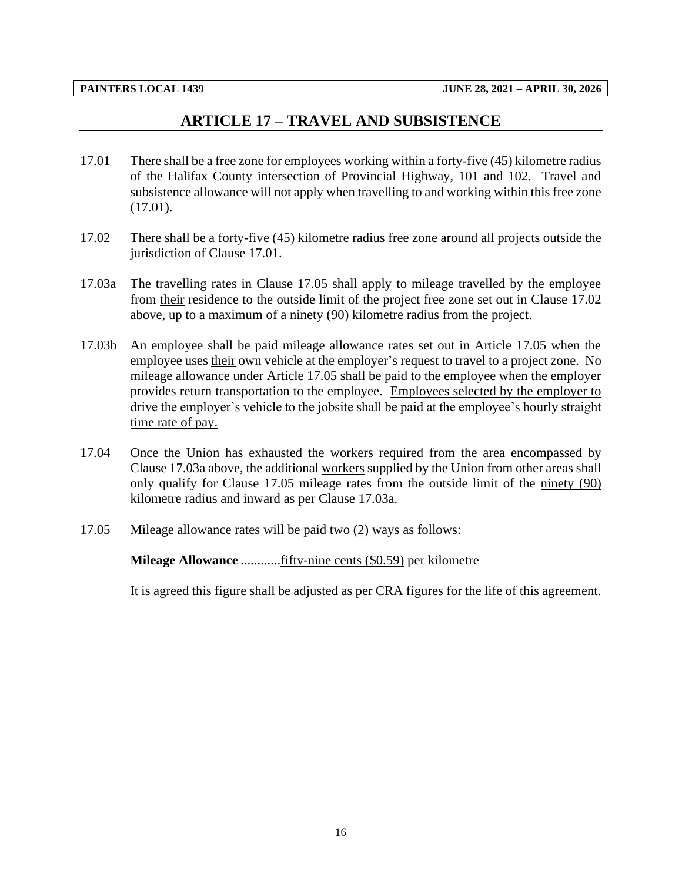## **ARTICLE 17 – TRAVEL AND SUBSISTENCE**

- <span id="page-18-0"></span>17.01 There shall be a free zone for employees working within a forty-five (45) kilometre radius of the Halifax County intersection of Provincial Highway, 101 and 102. Travel and subsistence allowance will not apply when travelling to and working within this free zone (17.01).
- 17.02 There shall be a forty-five (45) kilometre radius free zone around all projects outside the jurisdiction of Clause 17.01.
- 17.03a The travelling rates in Clause 17.05 shall apply to mileage travelled by the employee from their residence to the outside limit of the project free zone set out in Clause 17.02 above, up to a maximum of a ninety (90) kilometre radius from the project.
- 17.03b An employee shall be paid mileage allowance rates set out in Article 17.05 when the employee uses their own vehicle at the employer's request to travel to a project zone. No mileage allowance under Article 17.05 shall be paid to the employee when the employer provides return transportation to the employee. Employees selected by the employer to drive the employer's vehicle to the jobsite shall be paid at the employee's hourly straight time rate of pay.
- 17.04 Once the Union has exhausted the workers required from the area encompassed by Clause 17.03a above, the additional workers supplied by the Union from other areas shall only qualify for Clause 17.05 mileage rates from the outside limit of the ninety (90) kilometre radius and inward as per Clause 17.03a.
- 17.05 Mileage allowance rates will be paid two (2) ways as follows:

**Mileage Allowance** ............fifty-nine cents (\$0.59) per kilometre

It is agreed this figure shall be adjusted as per CRA figures for the life of this agreement.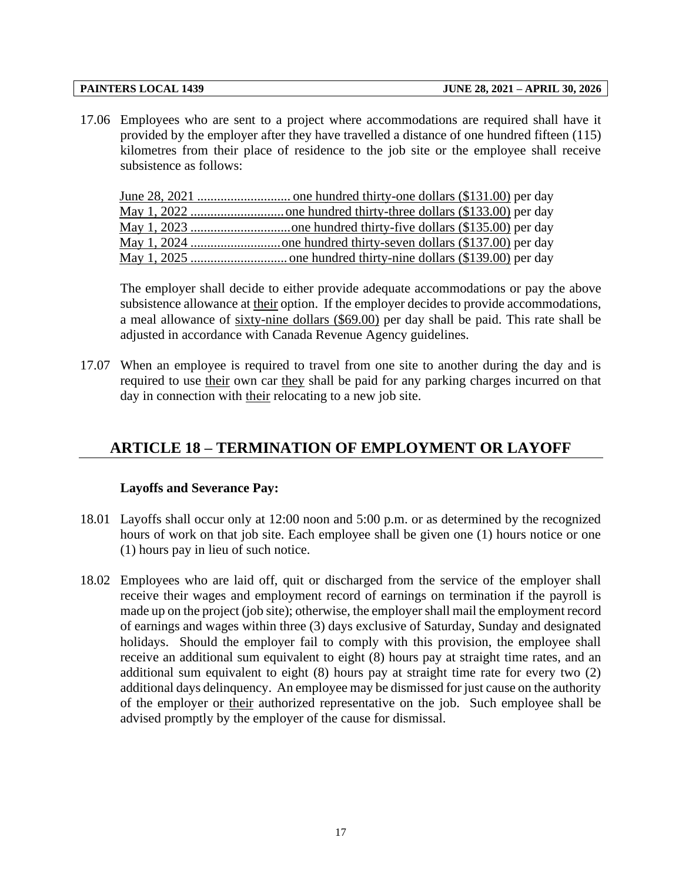17.06 Employees who are sent to a project where accommodations are required shall have it provided by the employer after they have travelled a distance of one hundred fifteen (115) kilometres from their place of residence to the job site or the employee shall receive subsistence as follows:

The employer shall decide to either provide adequate accommodations or pay the above subsistence allowance at their option. If the employer decides to provide accommodations, a meal allowance of sixty-nine dollars (\$69.00) per day shall be paid. This rate shall be adjusted in accordance with Canada Revenue Agency guidelines.

17.07 When an employee is required to travel from one site to another during the day and is required to use their own car they shall be paid for any parking charges incurred on that day in connection with their relocating to a new job site.

## <span id="page-19-0"></span>**ARTICLE 18 – TERMINATION OF EMPLOYMENT OR LAYOFF**

#### **Layoffs and Severance Pay:**

- 18.01 Layoffs shall occur only at 12:00 noon and 5:00 p.m. or as determined by the recognized hours of work on that job site. Each employee shall be given one (1) hours notice or one (1) hours pay in lieu of such notice.
- 18.02 Employees who are laid off, quit or discharged from the service of the employer shall receive their wages and employment record of earnings on termination if the payroll is made up on the project (job site); otherwise, the employer shall mail the employment record of earnings and wages within three (3) days exclusive of Saturday, Sunday and designated holidays. Should the employer fail to comply with this provision, the employee shall receive an additional sum equivalent to eight (8) hours pay at straight time rates, and an additional sum equivalent to eight (8) hours pay at straight time rate for every two (2) additional days delinquency. An employee may be dismissed for just cause on the authority of the employer or their authorized representative on the job. Such employee shall be advised promptly by the employer of the cause for dismissal.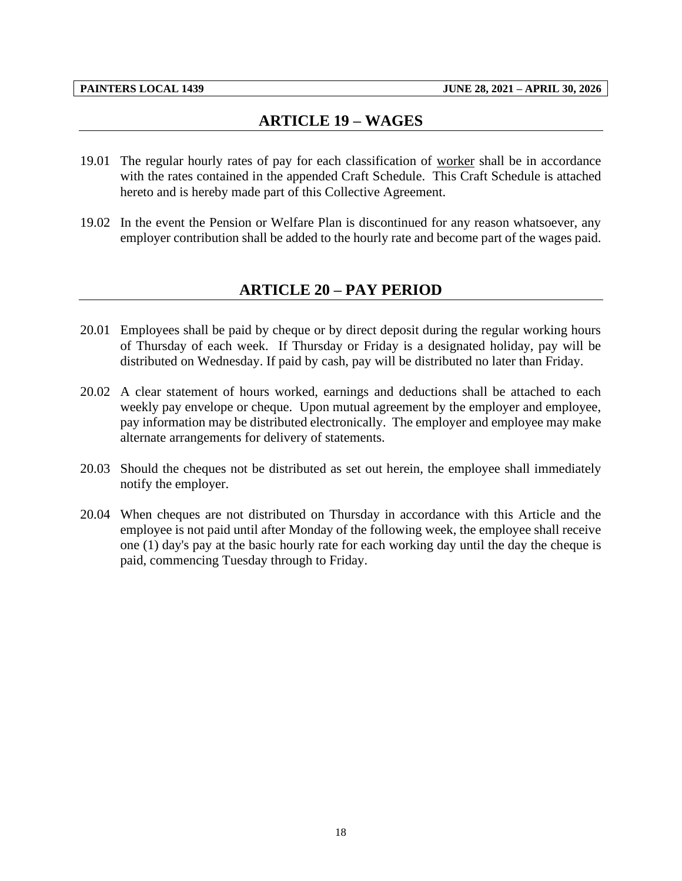## **ARTICLE 19 – WAGES**

- <span id="page-20-0"></span>19.01 The regular hourly rates of pay for each classification of worker shall be in accordance with the rates contained in the appended Craft Schedule. This Craft Schedule is attached hereto and is hereby made part of this Collective Agreement.
- <span id="page-20-1"></span>19.02 In the event the Pension or Welfare Plan is discontinued for any reason whatsoever, any employer contribution shall be added to the hourly rate and become part of the wages paid.

## **ARTICLE 20 – PAY PERIOD**

- 20.01 Employees shall be paid by cheque or by direct deposit during the regular working hours of Thursday of each week. If Thursday or Friday is a designated holiday, pay will be distributed on Wednesday. If paid by cash, pay will be distributed no later than Friday.
- 20.02 A clear statement of hours worked, earnings and deductions shall be attached to each weekly pay envelope or cheque. Upon mutual agreement by the employer and employee, pay information may be distributed electronically. The employer and employee may make alternate arrangements for delivery of statements.
- 20.03 Should the cheques not be distributed as set out herein, the employee shall immediately notify the employer.
- 20.04 When cheques are not distributed on Thursday in accordance with this Article and the employee is not paid until after Monday of the following week, the employee shall receive one (1) day's pay at the basic hourly rate for each working day until the day the cheque is paid, commencing Tuesday through to Friday.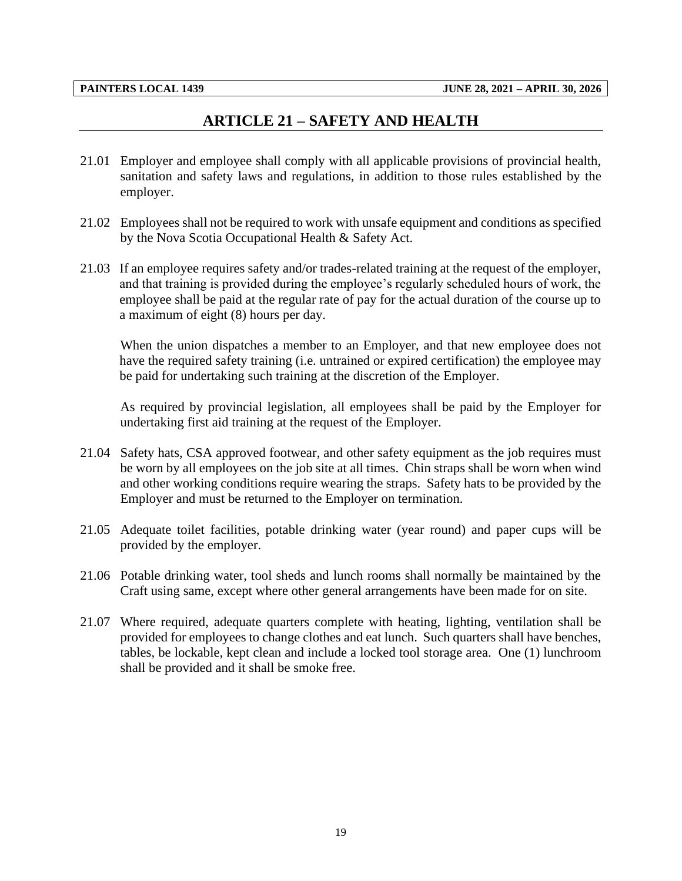## **ARTICLE 21 – SAFETY AND HEALTH**

- <span id="page-21-0"></span>21.01 Employer and employee shall comply with all applicable provisions of provincial health, sanitation and safety laws and regulations, in addition to those rules established by the employer.
- 21.02 Employees shall not be required to work with unsafe equipment and conditions as specified by the Nova Scotia Occupational Health & Safety Act.
- 21.03 If an employee requires safety and/or trades-related training at the request of the employer, and that training is provided during the employee's regularly scheduled hours of work, the employee shall be paid at the regular rate of pay for the actual duration of the course up to a maximum of eight (8) hours per day.

When the union dispatches a member to an Employer, and that new employee does not have the required safety training (i.e. untrained or expired certification) the employee may be paid for undertaking such training at the discretion of the Employer.

As required by provincial legislation, all employees shall be paid by the Employer for undertaking first aid training at the request of the Employer.

- 21.04 Safety hats, CSA approved footwear, and other safety equipment as the job requires must be worn by all employees on the job site at all times. Chin straps shall be worn when wind and other working conditions require wearing the straps. Safety hats to be provided by the Employer and must be returned to the Employer on termination.
- 21.05 Adequate toilet facilities, potable drinking water (year round) and paper cups will be provided by the employer.
- 21.06 Potable drinking water, tool sheds and lunch rooms shall normally be maintained by the Craft using same, except where other general arrangements have been made for on site.
- 21.07 Where required, adequate quarters complete with heating, lighting, ventilation shall be provided for employees to change clothes and eat lunch. Such quarters shall have benches, tables, be lockable, kept clean and include a locked tool storage area. One (1) lunchroom shall be provided and it shall be smoke free.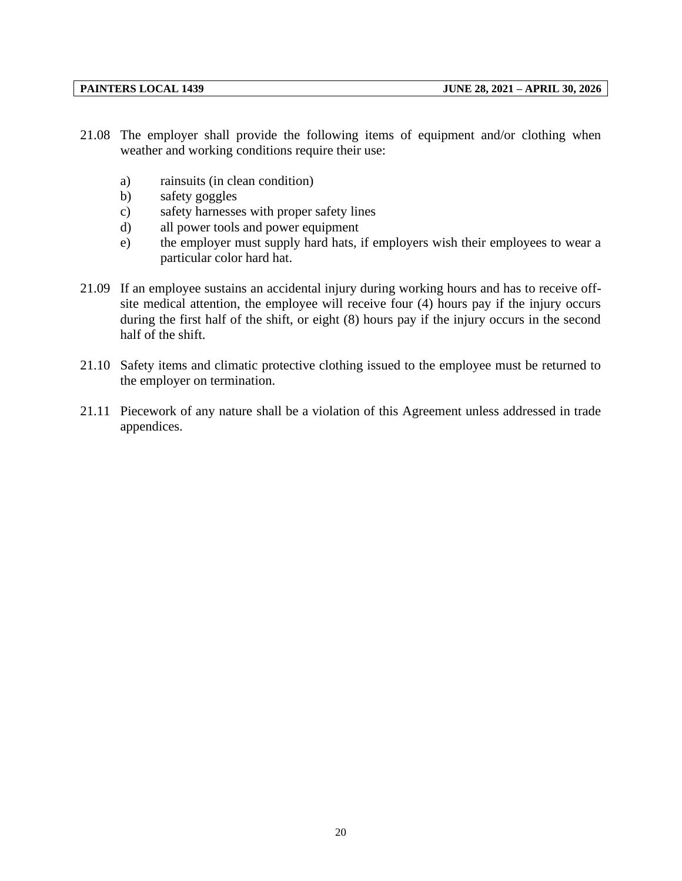- 21.08 The employer shall provide the following items of equipment and/or clothing when weather and working conditions require their use:
	- a) rainsuits (in clean condition)
	- b) safety goggles
	- c) safety harnesses with proper safety lines
	- d) all power tools and power equipment
	- e) the employer must supply hard hats, if employers wish their employees to wear a particular color hard hat.
- 21.09 If an employee sustains an accidental injury during working hours and has to receive offsite medical attention, the employee will receive four (4) hours pay if the injury occurs during the first half of the shift, or eight (8) hours pay if the injury occurs in the second half of the shift.
- 21.10 Safety items and climatic protective clothing issued to the employee must be returned to the employer on termination.
- 21.11 Piecework of any nature shall be a violation of this Agreement unless addressed in trade appendices.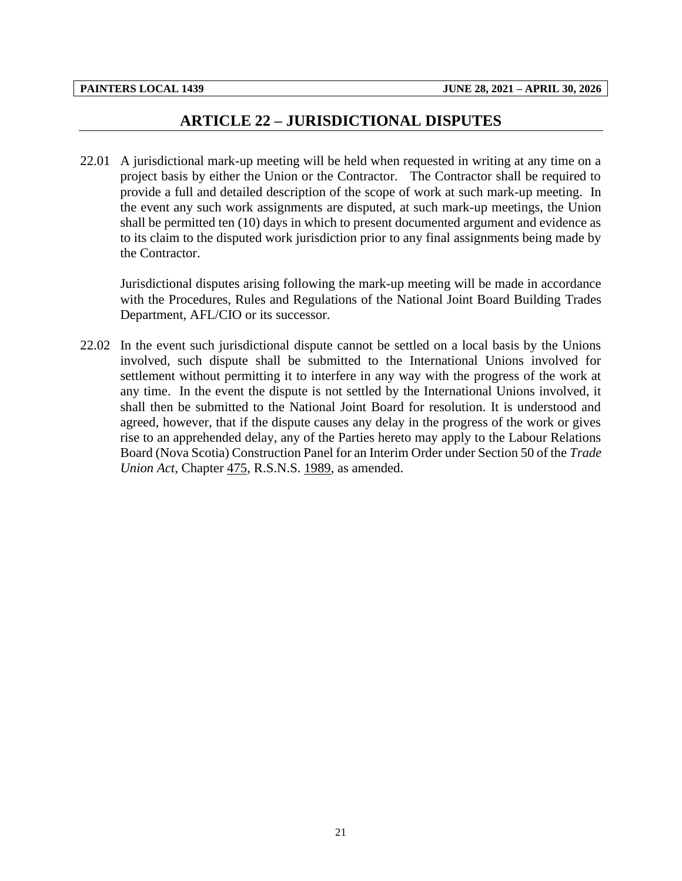## **ARTICLE 22 – JURISDICTIONAL DISPUTES**

<span id="page-23-0"></span>22.01 A jurisdictional mark-up meeting will be held when requested in writing at any time on a project basis by either the Union or the Contractor. The Contractor shall be required to provide a full and detailed description of the scope of work at such mark-up meeting. In the event any such work assignments are disputed, at such mark-up meetings, the Union shall be permitted ten (10) days in which to present documented argument and evidence as to its claim to the disputed work jurisdiction prior to any final assignments being made by the Contractor.

Jurisdictional disputes arising following the mark-up meeting will be made in accordance with the Procedures, Rules and Regulations of the National Joint Board Building Trades Department, AFL/CIO or its successor.

22.02 In the event such jurisdictional dispute cannot be settled on a local basis by the Unions involved, such dispute shall be submitted to the International Unions involved for settlement without permitting it to interfere in any way with the progress of the work at any time. In the event the dispute is not settled by the International Unions involved, it shall then be submitted to the National Joint Board for resolution. It is understood and agreed, however, that if the dispute causes any delay in the progress of the work or gives rise to an apprehended delay, any of the Parties hereto may apply to the Labour Relations Board (Nova Scotia) Construction Panel for an Interim Order under Section 50 of the *Trade Union Act*, Chapter 475, R.S.N.S. 1989, as amended.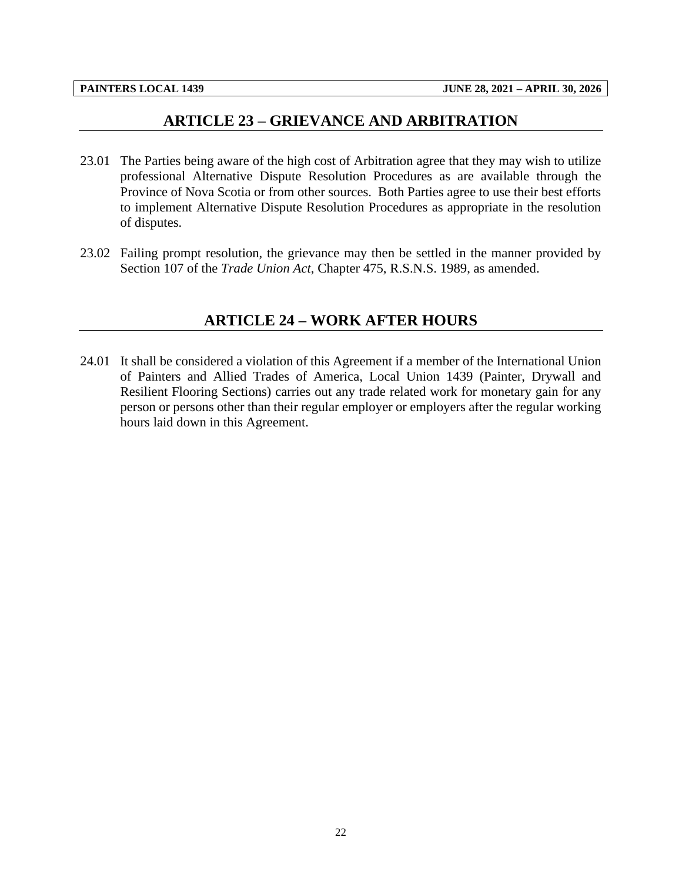### **ARTICLE 23 – GRIEVANCE AND ARBITRATION**

- <span id="page-24-0"></span>23.01 The Parties being aware of the high cost of Arbitration agree that they may wish to utilize professional Alternative Dispute Resolution Procedures as are available through the Province of Nova Scotia or from other sources. Both Parties agree to use their best efforts to implement Alternative Dispute Resolution Procedures as appropriate in the resolution of disputes.
- <span id="page-24-1"></span>23.02 Failing prompt resolution, the grievance may then be settled in the manner provided by Section 107 of the *Trade Union Act*, Chapter 475, R.S.N.S. 1989, as amended.

### **ARTICLE 24 – WORK AFTER HOURS**

24.01 It shall be considered a violation of this Agreement if a member of the International Union of Painters and Allied Trades of America, Local Union 1439 (Painter, Drywall and Resilient Flooring Sections) carries out any trade related work for monetary gain for any person or persons other than their regular employer or employers after the regular working hours laid down in this Agreement.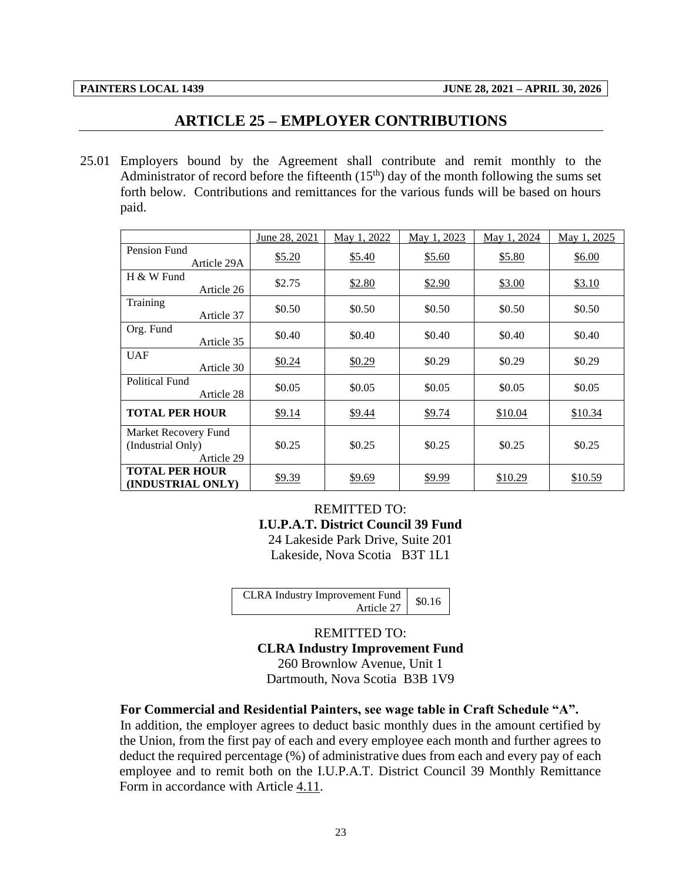## **ARTICLE 25 – EMPLOYER CONTRIBUTIONS**

<span id="page-25-0"></span>25.01 Employers bound by the Agreement shall contribute and remit monthly to the Administrator of record before the fifteenth  $(15<sup>th</sup>)$  day of the month following the sums set forth below. Contributions and remittances for the various funds will be based on hours paid.

|                                                         | June 28, 2021 | May 1, 2022 | May 1, 2023 | May 1, 2024 | May 1, 2025 |
|---------------------------------------------------------|---------------|-------------|-------------|-------------|-------------|
| Pension Fund<br>Article 29A                             | \$5.20        | \$5.40      | \$5.60      | \$5.80      | \$6.00      |
| H & W Fund<br>Article 26                                | \$2.75        | \$2.80      | \$2.90      | \$3.00      | \$3.10      |
| Training<br>Article 37                                  | \$0.50        | \$0.50      | \$0.50      | \$0.50      | \$0.50      |
| Org. Fund<br>Article 35                                 | \$0.40        | \$0.40      | \$0.40      | \$0.40      | \$0.40      |
| <b>UAF</b><br>Article 30                                | \$0.24        | \$0.29      | \$0.29      | \$0.29      | \$0.29      |
| <b>Political Fund</b><br>Article 28                     | \$0.05        | \$0.05      | \$0.05      | \$0.05      | \$0.05      |
| <b>TOTAL PER HOUR</b>                                   | \$9.14        | \$9.44      | \$9.74      | \$10.04     | \$10.34     |
| Market Recovery Fund<br>(Industrial Only)<br>Article 29 | \$0.25        | \$0.25      | \$0.25      | \$0.25      | \$0.25      |
| <b>TOTAL PER HOUR</b><br>(INDUSTRIAL ONLY)              | \$9.39        | \$9.69      | \$9.99      | \$10.29     | \$10.59     |

## REMITTED TO: **I.U.P.A.T. District Council 39 Fund** 24 Lakeside Park Drive, Suite 201 Lakeside, Nova Scotia B3T 1L1

| CLRA Industry Improvement Fund $\vert$ \$0.16<br>Article 27 |
|-------------------------------------------------------------|
|-------------------------------------------------------------|

REMITTED TO: **CLRA Industry Improvement Fund** 260 Brownlow Avenue, Unit 1 Dartmouth, Nova Scotia B3B 1V9

### **For Commercial and Residential Painters, see wage table in Craft Schedule "A".**

In addition, the employer agrees to deduct basic monthly dues in the amount certified by the Union, from the first pay of each and every employee each month and further agrees to deduct the required percentage (%) of administrative dues from each and every pay of each employee and to remit both on the I.U.P.A.T. District Council 39 Monthly Remittance Form in accordance with Article 4.11.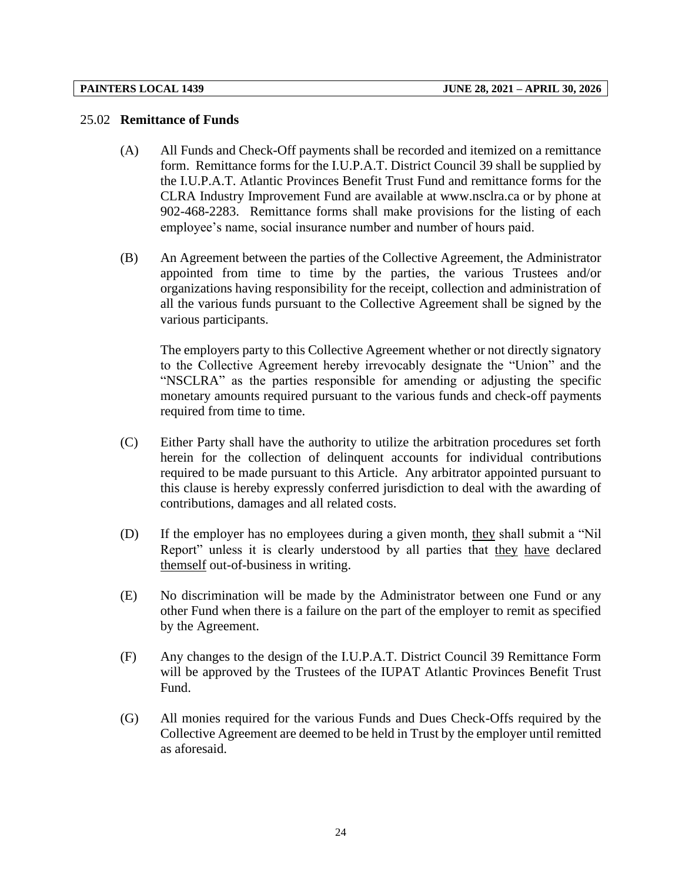#### 25.02 **Remittance of Funds**

- (A) All Funds and Check-Off payments shall be recorded and itemized on a remittance form. Remittance forms for the I.U.P.A.T. District Council 39 shall be supplied by the I.U.P.A.T. Atlantic Provinces Benefit Trust Fund and remittance forms for the CLRA Industry Improvement Fund are available at www.nsclra.ca or by phone at 902-468-2283. Remittance forms shall make provisions for the listing of each employee's name, social insurance number and number of hours paid.
- (B) An Agreement between the parties of the Collective Agreement, the Administrator appointed from time to time by the parties, the various Trustees and/or organizations having responsibility for the receipt, collection and administration of all the various funds pursuant to the Collective Agreement shall be signed by the various participants.

The employers party to this Collective Agreement whether or not directly signatory to the Collective Agreement hereby irrevocably designate the "Union" and the "NSCLRA" as the parties responsible for amending or adjusting the specific monetary amounts required pursuant to the various funds and check-off payments required from time to time.

- (C) Either Party shall have the authority to utilize the arbitration procedures set forth herein for the collection of delinquent accounts for individual contributions required to be made pursuant to this Article. Any arbitrator appointed pursuant to this clause is hereby expressly conferred jurisdiction to deal with the awarding of contributions, damages and all related costs.
- (D) If the employer has no employees during a given month, they shall submit a "Nil Report" unless it is clearly understood by all parties that they have declared themself out-of-business in writing.
- (E) No discrimination will be made by the Administrator between one Fund or any other Fund when there is a failure on the part of the employer to remit as specified by the Agreement.
- (F) Any changes to the design of the I.U.P.A.T. District Council 39 Remittance Form will be approved by the Trustees of the IUPAT Atlantic Provinces Benefit Trust Fund.
- (G) All monies required for the various Funds and Dues Check-Offs required by the Collective Agreement are deemed to be held in Trust by the employer until remitted as aforesaid.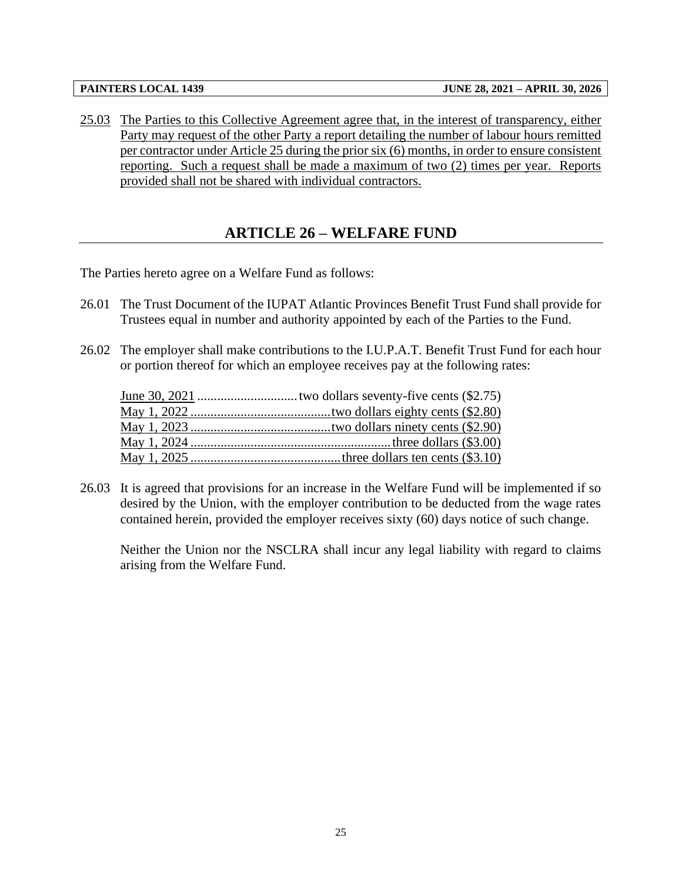25.03 The Parties to this Collective Agreement agree that, in the interest of transparency, either Party may request of the other Party a report detailing the number of labour hours remitted per contractor under Article 25 during the prior six (6) months, in order to ensure consistent reporting. Such a request shall be made a maximum of two (2) times per year. Reports provided shall not be shared with individual contractors.

## **ARTICLE 26 – WELFARE FUND**

<span id="page-27-0"></span>The Parties hereto agree on a Welfare Fund as follows:

- 26.01 The Trust Document of the IUPAT Atlantic Provinces Benefit Trust Fund shall provide for Trustees equal in number and authority appointed by each of the Parties to the Fund.
- 26.02 The employer shall make contributions to the I.U.P.A.T. Benefit Trust Fund for each hour or portion thereof for which an employee receives pay at the following rates:

26.03 It is agreed that provisions for an increase in the Welfare Fund will be implemented if so desired by the Union, with the employer contribution to be deducted from the wage rates contained herein, provided the employer receives sixty (60) days notice of such change.

Neither the Union nor the NSCLRA shall incur any legal liability with regard to claims arising from the Welfare Fund.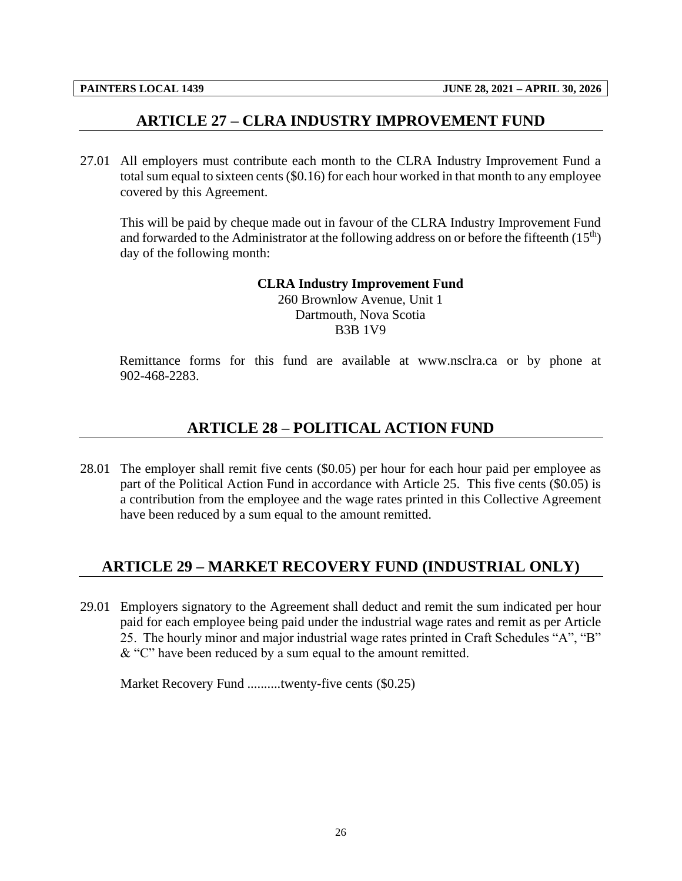## **ARTICLE 27 – CLRA INDUSTRY IMPROVEMENT FUND**

<span id="page-28-0"></span>27.01 All employers must contribute each month to the CLRA Industry Improvement Fund a total sum equal to sixteen cents (\$0.16) for each hour worked in that month to any employee covered by this Agreement.

This will be paid by cheque made out in favour of the CLRA Industry Improvement Fund and forwarded to the Administrator at the following address on or before the fifteenth  $(15<sup>th</sup>)$ day of the following month:

### **CLRA Industry Improvement Fund**

260 Brownlow Avenue, Unit 1 Dartmouth, Nova Scotia B3B 1V9

<span id="page-28-1"></span>Remittance forms for this fund are available at www.nsclra.ca or by phone at 902-468-2283.

## **ARTICLE 28 – POLITICAL ACTION FUND**

28.01 The employer shall remit five cents (\$0.05) per hour for each hour paid per employee as part of the Political Action Fund in accordance with Article 25. This five cents (\$0.05) is a contribution from the employee and the wage rates printed in this Collective Agreement have been reduced by a sum equal to the amount remitted.

## <span id="page-28-2"></span>**ARTICLE 29 – MARKET RECOVERY FUND (INDUSTRIAL ONLY)**

29.01 Employers signatory to the Agreement shall deduct and remit the sum indicated per hour paid for each employee being paid under the industrial wage rates and remit as per Article 25. The hourly minor and major industrial wage rates printed in Craft Schedules "A", "B"  $&$  "C" have been reduced by a sum equal to the amount remitted.

Market Recovery Fund ..........twenty-five cents (\$0.25)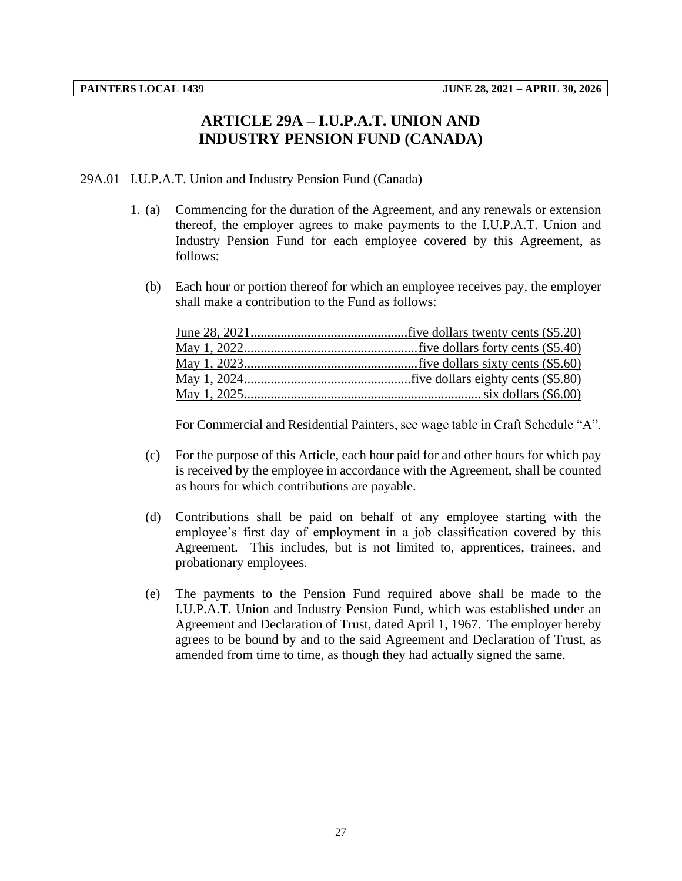## **ARTICLE 29A – I.U.P.A.T. UNION AND INDUSTRY PENSION FUND (CANADA)**

#### <span id="page-29-0"></span>29A.01 I.U.P.A.T. Union and Industry Pension Fund (Canada)

- 1. (a) Commencing for the duration of the Agreement, and any renewals or extension thereof, the employer agrees to make payments to the I.U.P.A.T. Union and Industry Pension Fund for each employee covered by this Agreement, as follows:
	- (b) Each hour or portion thereof for which an employee receives pay, the employer shall make a contribution to the Fund as follows:

For Commercial and Residential Painters, see wage table in Craft Schedule "A".

- (c) For the purpose of this Article, each hour paid for and other hours for which pay is received by the employee in accordance with the Agreement, shall be counted as hours for which contributions are payable.
- (d) Contributions shall be paid on behalf of any employee starting with the employee's first day of employment in a job classification covered by this Agreement. This includes, but is not limited to, apprentices, trainees, and probationary employees.
- (e) The payments to the Pension Fund required above shall be made to the I.U.P.A.T. Union and Industry Pension Fund, which was established under an Agreement and Declaration of Trust, dated April 1, 1967. The employer hereby agrees to be bound by and to the said Agreement and Declaration of Trust, as amended from time to time, as though they had actually signed the same.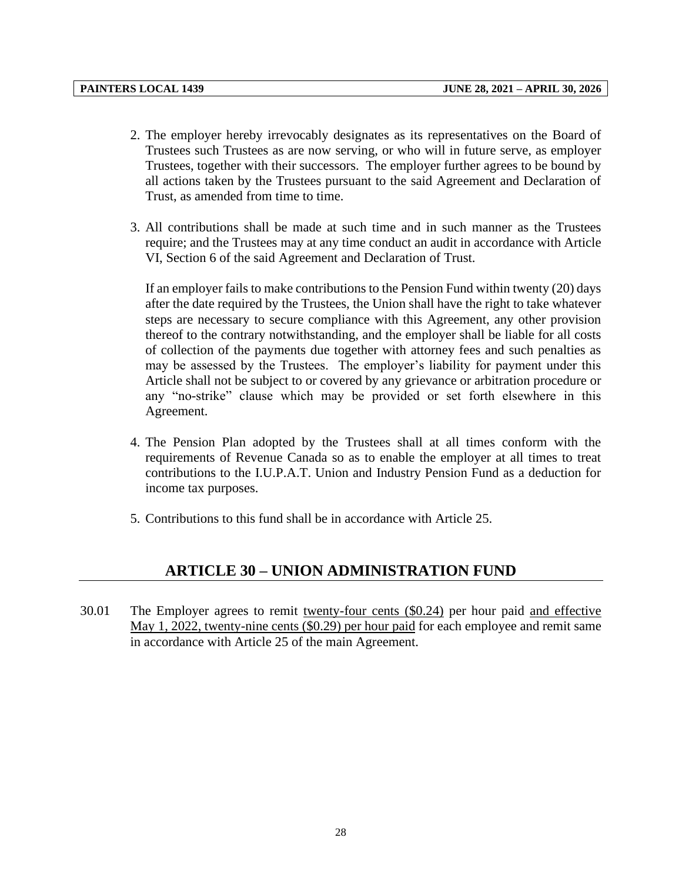- 2. The employer hereby irrevocably designates as its representatives on the Board of Trustees such Trustees as are now serving, or who will in future serve, as employer Trustees, together with their successors. The employer further agrees to be bound by all actions taken by the Trustees pursuant to the said Agreement and Declaration of Trust, as amended from time to time.
- 3. All contributions shall be made at such time and in such manner as the Trustees require; and the Trustees may at any time conduct an audit in accordance with Article VI, Section 6 of the said Agreement and Declaration of Trust.

If an employer fails to make contributions to the Pension Fund within twenty (20) days after the date required by the Trustees, the Union shall have the right to take whatever steps are necessary to secure compliance with this Agreement, any other provision thereof to the contrary notwithstanding, and the employer shall be liable for all costs of collection of the payments due together with attorney fees and such penalties as may be assessed by the Trustees. The employer's liability for payment under this Article shall not be subject to or covered by any grievance or arbitration procedure or any "no-strike" clause which may be provided or set forth elsewhere in this Agreement.

- 4. The Pension Plan adopted by the Trustees shall at all times conform with the requirements of Revenue Canada so as to enable the employer at all times to treat contributions to the I.U.P.A.T. Union and Industry Pension Fund as a deduction for income tax purposes.
- <span id="page-30-0"></span>5. Contributions to this fund shall be in accordance with Article 25.

## **ARTICLE 30 – UNION ADMINISTRATION FUND**

30.01 The Employer agrees to remit twenty-four cents (\$0.24) per hour paid and effective May 1, 2022, twenty-nine cents (\$0.29) per hour paid for each employee and remit same in accordance with Article 25 of the main Agreement.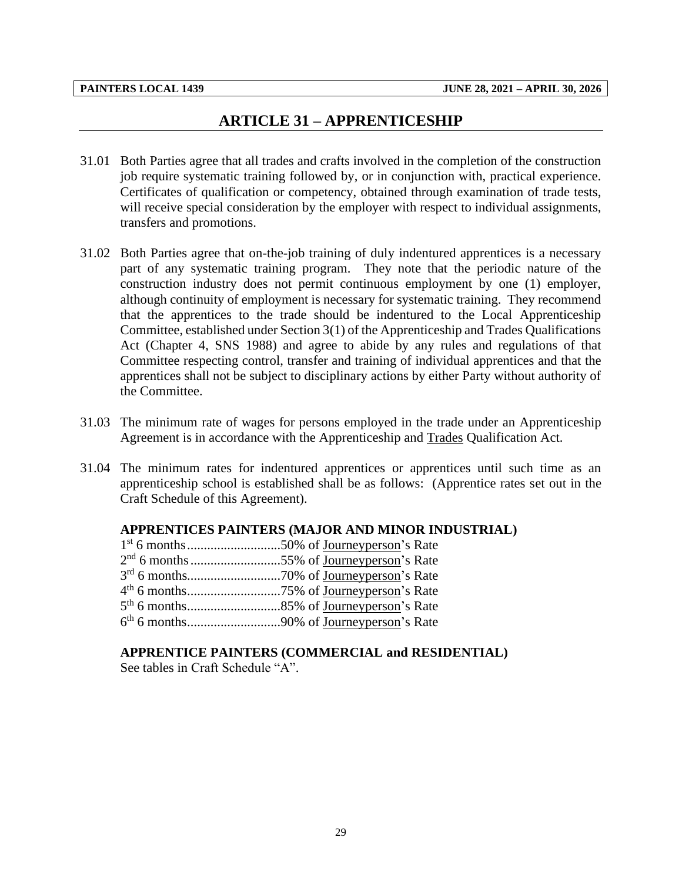## **ARTICLE 31 – APPRENTICESHIP**

- <span id="page-31-0"></span>31.01 Both Parties agree that all trades and crafts involved in the completion of the construction job require systematic training followed by, or in conjunction with, practical experience. Certificates of qualification or competency, obtained through examination of trade tests, will receive special consideration by the employer with respect to individual assignments, transfers and promotions.
- 31.02 Both Parties agree that on-the-job training of duly indentured apprentices is a necessary part of any systematic training program. They note that the periodic nature of the construction industry does not permit continuous employment by one (1) employer, although continuity of employment is necessary for systematic training. They recommend that the apprentices to the trade should be indentured to the Local Apprenticeship Committee, established under Section 3(1) of the Apprenticeship and Trades Qualifications Act (Chapter 4, SNS 1988) and agree to abide by any rules and regulations of that Committee respecting control, transfer and training of individual apprentices and that the apprentices shall not be subject to disciplinary actions by either Party without authority of the Committee.
- 31.03 The minimum rate of wages for persons employed in the trade under an Apprenticeship Agreement is in accordance with the Apprenticeship and Trades Qualification Act.
- 31.04 The minimum rates for indentured apprentices or apprentices until such time as an apprenticeship school is established shall be as follows: (Apprentice rates set out in the Craft Schedule of this Agreement).

#### **APPRENTICES PAINTERS (MAJOR AND MINOR INDUSTRIAL)**

| 2 <sup>nd</sup> 6 months 55% of <u>Journeyperson</u> 's Rate |
|--------------------------------------------------------------|
|                                                              |
|                                                              |
|                                                              |
|                                                              |

### **APPRENTICE PAINTERS (COMMERCIAL and RESIDENTIAL)** See tables in Craft Schedule "A".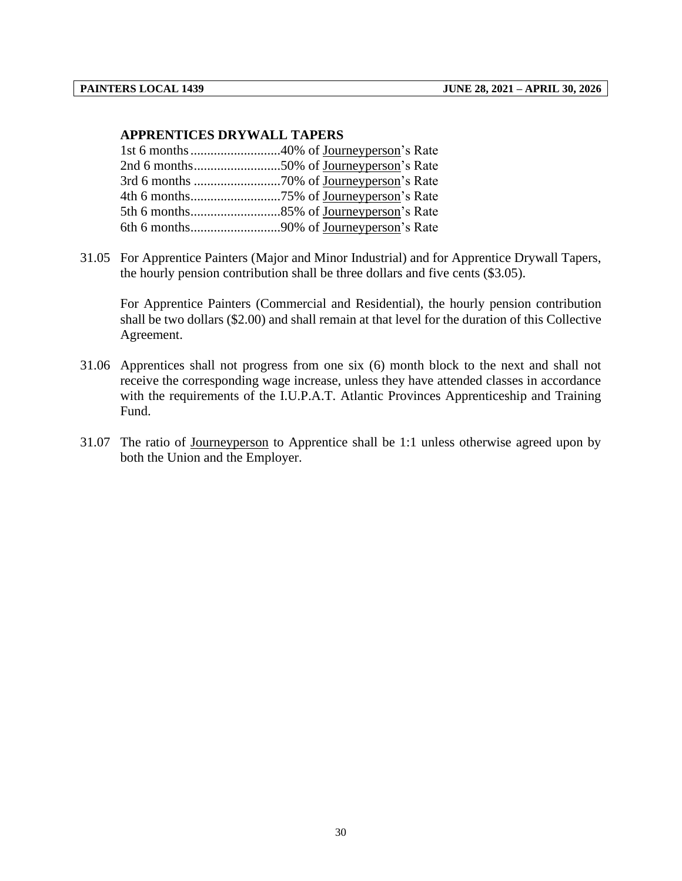#### **APPRENTICES DRYWALL TAPERS**

31.05 For Apprentice Painters (Major and Minor Industrial) and for Apprentice Drywall Tapers, the hourly pension contribution shall be three dollars and five cents (\$3.05).

For Apprentice Painters (Commercial and Residential), the hourly pension contribution shall be two dollars (\$2.00) and shall remain at that level for the duration of this Collective Agreement.

- 31.06 Apprentices shall not progress from one six (6) month block to the next and shall not receive the corresponding wage increase, unless they have attended classes in accordance with the requirements of the I.U.P.A.T. Atlantic Provinces Apprenticeship and Training Fund.
- 31.07 The ratio of Journeyperson to Apprentice shall be 1:1 unless otherwise agreed upon by both the Union and the Employer.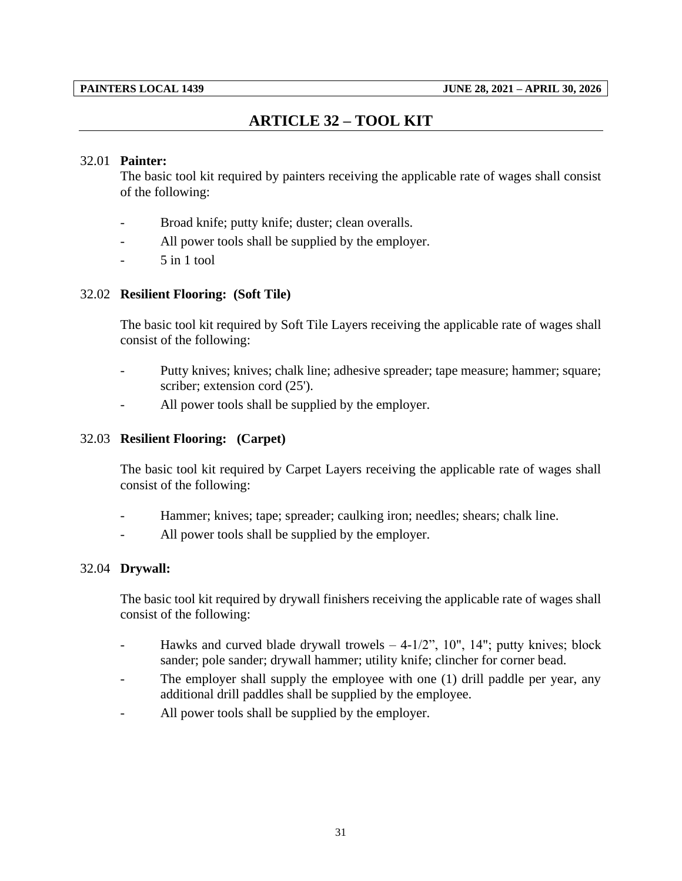## **ARTICLE 32 – TOOL KIT**

#### <span id="page-33-0"></span>32.01 **Painter:**

The basic tool kit required by painters receiving the applicable rate of wages shall consist of the following:

- Broad knife; putty knife; duster; clean overalls.
- All power tools shall be supplied by the employer.
- $-5$  in 1 tool

#### 32.02 **Resilient Flooring: (Soft Tile)**

The basic tool kit required by Soft Tile Layers receiving the applicable rate of wages shall consist of the following:

- Putty knives; knives; chalk line; adhesive spreader; tape measure; hammer; square; scriber; extension cord (25').
- All power tools shall be supplied by the employer.

#### 32.03 **Resilient Flooring: (Carpet)**

The basic tool kit required by Carpet Layers receiving the applicable rate of wages shall consist of the following:

- Hammer; knives; tape; spreader; caulking iron; needles; shears; chalk line.
- All power tools shall be supplied by the employer.

#### 32.04 **Drywall:**

The basic tool kit required by drywall finishers receiving the applicable rate of wages shall consist of the following:

- Hawks and curved blade drywall trowels 4-1/2", 10", 14"; putty knives; block sander; pole sander; drywall hammer; utility knife; clincher for corner bead.
- The employer shall supply the employee with one (1) drill paddle per year, any additional drill paddles shall be supplied by the employee.
- All power tools shall be supplied by the employer.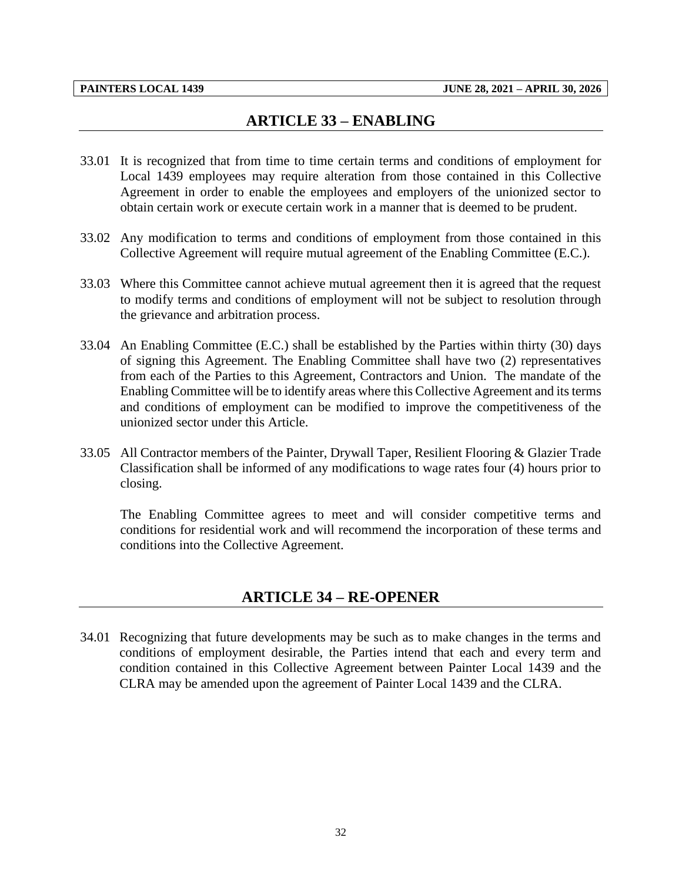## **ARTICLE 33 – ENABLING**

- <span id="page-34-0"></span>33.01 It is recognized that from time to time certain terms and conditions of employment for Local 1439 employees may require alteration from those contained in this Collective Agreement in order to enable the employees and employers of the unionized sector to obtain certain work or execute certain work in a manner that is deemed to be prudent.
- 33.02 Any modification to terms and conditions of employment from those contained in this Collective Agreement will require mutual agreement of the Enabling Committee (E.C.).
- 33.03 Where this Committee cannot achieve mutual agreement then it is agreed that the request to modify terms and conditions of employment will not be subject to resolution through the grievance and arbitration process.
- 33.04 An Enabling Committee (E.C.) shall be established by the Parties within thirty (30) days of signing this Agreement. The Enabling Committee shall have two (2) representatives from each of the Parties to this Agreement, Contractors and Union. The mandate of the Enabling Committee will be to identify areas where this Collective Agreement and its terms and conditions of employment can be modified to improve the competitiveness of the unionized sector under this Article.
- 33.05 All Contractor members of the Painter, Drywall Taper, Resilient Flooring & Glazier Trade Classification shall be informed of any modifications to wage rates four (4) hours prior to closing.

The Enabling Committee agrees to meet and will consider competitive terms and conditions for residential work and will recommend the incorporation of these terms and conditions into the Collective Agreement.

## **ARTICLE 34 – RE-OPENER**

<span id="page-34-1"></span>34.01 Recognizing that future developments may be such as to make changes in the terms and conditions of employment desirable, the Parties intend that each and every term and condition contained in this Collective Agreement between Painter Local 1439 and the CLRA may be amended upon the agreement of Painter Local 1439 and the CLRA.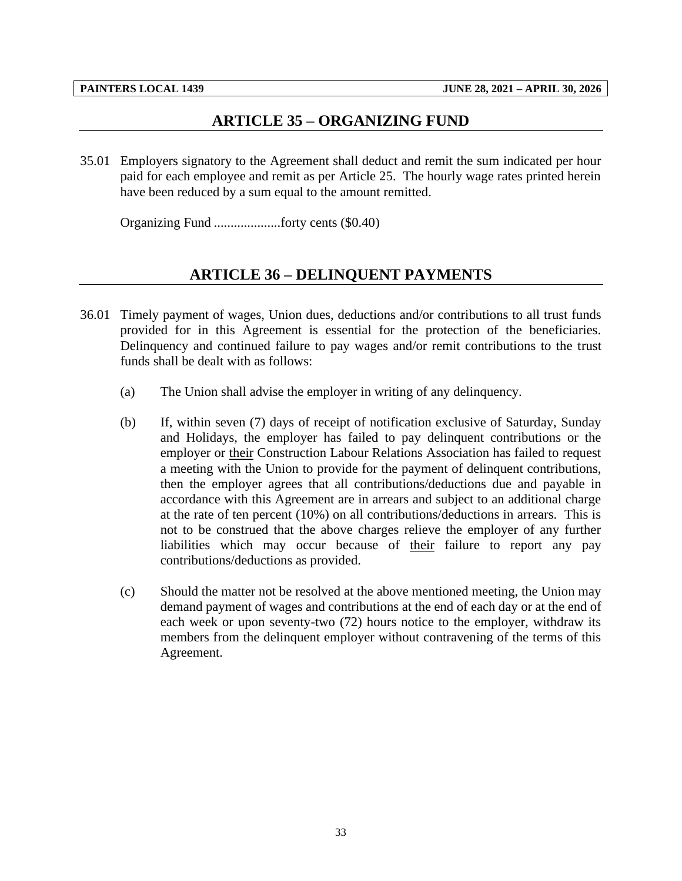## **ARTICLE 35 – ORGANIZING FUND**

<span id="page-35-0"></span>35.01 Employers signatory to the Agreement shall deduct and remit the sum indicated per hour paid for each employee and remit as per Article 25. The hourly wage rates printed herein have been reduced by a sum equal to the amount remitted.

<span id="page-35-1"></span>Organizing Fund ....................forty cents (\$0.40)

## **ARTICLE 36 – DELINQUENT PAYMENTS**

- 36.01 Timely payment of wages, Union dues, deductions and/or contributions to all trust funds provided for in this Agreement is essential for the protection of the beneficiaries. Delinquency and continued failure to pay wages and/or remit contributions to the trust funds shall be dealt with as follows:
	- (a) The Union shall advise the employer in writing of any delinquency.
	- (b) If, within seven (7) days of receipt of notification exclusive of Saturday, Sunday and Holidays, the employer has failed to pay delinquent contributions or the employer or their Construction Labour Relations Association has failed to request a meeting with the Union to provide for the payment of delinquent contributions, then the employer agrees that all contributions/deductions due and payable in accordance with this Agreement are in arrears and subject to an additional charge at the rate of ten percent (10%) on all contributions/deductions in arrears. This is not to be construed that the above charges relieve the employer of any further liabilities which may occur because of their failure to report any pay contributions/deductions as provided.
	- (c) Should the matter not be resolved at the above mentioned meeting, the Union may demand payment of wages and contributions at the end of each day or at the end of each week or upon seventy-two (72) hours notice to the employer, withdraw its members from the delinquent employer without contravening of the terms of this Agreement.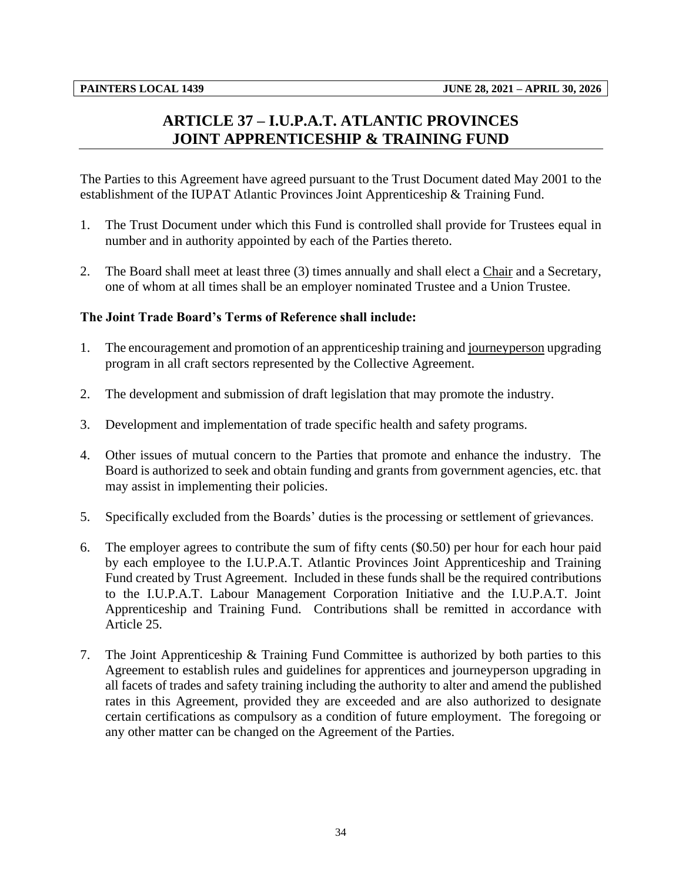## **ARTICLE 37 – I.U.P.A.T. ATLANTIC PROVINCES JOINT APPRENTICESHIP & TRAINING FUND**

<span id="page-36-0"></span>The Parties to this Agreement have agreed pursuant to the Trust Document dated May 2001 to the establishment of the IUPAT Atlantic Provinces Joint Apprenticeship & Training Fund.

- 1. The Trust Document under which this Fund is controlled shall provide for Trustees equal in number and in authority appointed by each of the Parties thereto.
- 2. The Board shall meet at least three (3) times annually and shall elect a Chair and a Secretary, one of whom at all times shall be an employer nominated Trustee and a Union Trustee.

#### **The Joint Trade Board's Terms of Reference shall include:**

- 1. The encouragement and promotion of an apprenticeship training and journeyperson upgrading program in all craft sectors represented by the Collective Agreement.
- 2. The development and submission of draft legislation that may promote the industry.
- 3. Development and implementation of trade specific health and safety programs.
- 4. Other issues of mutual concern to the Parties that promote and enhance the industry. The Board is authorized to seek and obtain funding and grants from government agencies, etc. that may assist in implementing their policies.
- 5. Specifically excluded from the Boards' duties is the processing or settlement of grievances.
- 6. The employer agrees to contribute the sum of fifty cents (\$0.50) per hour for each hour paid by each employee to the I.U.P.A.T. Atlantic Provinces Joint Apprenticeship and Training Fund created by Trust Agreement. Included in these funds shall be the required contributions to the I.U.P.A.T. Labour Management Corporation Initiative and the I.U.P.A.T. Joint Apprenticeship and Training Fund. Contributions shall be remitted in accordance with Article 25.
- 7. The Joint Apprenticeship & Training Fund Committee is authorized by both parties to this Agreement to establish rules and guidelines for apprentices and journeyperson upgrading in all facets of trades and safety training including the authority to alter and amend the published rates in this Agreement, provided they are exceeded and are also authorized to designate certain certifications as compulsory as a condition of future employment. The foregoing or any other matter can be changed on the Agreement of the Parties.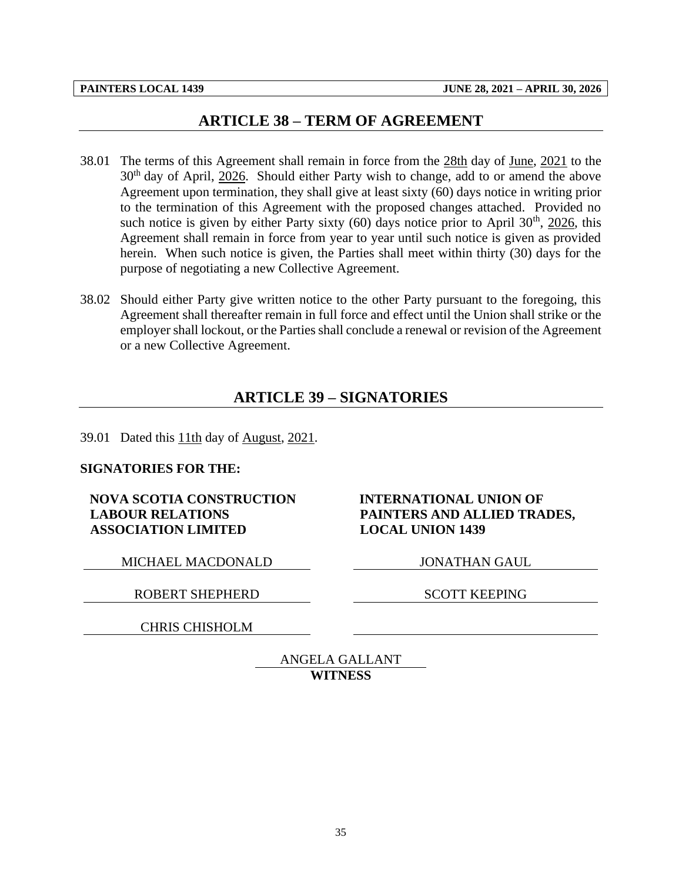## **ARTICLE 38 – TERM OF AGREEMENT**

- <span id="page-37-0"></span>38.01 The terms of this Agreement shall remain in force from the 28th day of June, 2021 to the  $30<sup>th</sup>$  day of April,  $2026$ . Should either Party wish to change, add to or amend the above Agreement upon termination, they shall give at least sixty (60) days notice in writing prior to the termination of this Agreement with the proposed changes attached. Provided no such notice is given by either Party sixty  $(60)$  days notice prior to April  $30<sup>th</sup>$ ,  $2026$ , this Agreement shall remain in force from year to year until such notice is given as provided herein. When such notice is given, the Parties shall meet within thirty (30) days for the purpose of negotiating a new Collective Agreement.
- 38.02 Should either Party give written notice to the other Party pursuant to the foregoing, this Agreement shall thereafter remain in full force and effect until the Union shall strike or the employer shall lockout, or the Parties shall conclude a renewal or revision of the Agreement or a new Collective Agreement.

## **ARTICLE 39 – SIGNATORIES**

<span id="page-37-1"></span>39.01 Dated this 11th day of August, 2021.

#### **SIGNATORIES FOR THE:**

#### **NOVA SCOTIA CONSTRUCTION LABOUR RELATIONS ASSOCIATION LIMITED**

MICHAEL MACDONALD JONATHAN GAUL

ROBERT SHEPHERD SCOTT KEEPING

CHRIS CHISHOLM

**INTERNATIONAL UNION OF PAINTERS AND ALLIED TRADES, LOCAL UNION 1439**

ANGELA GALLANT **WITNESS**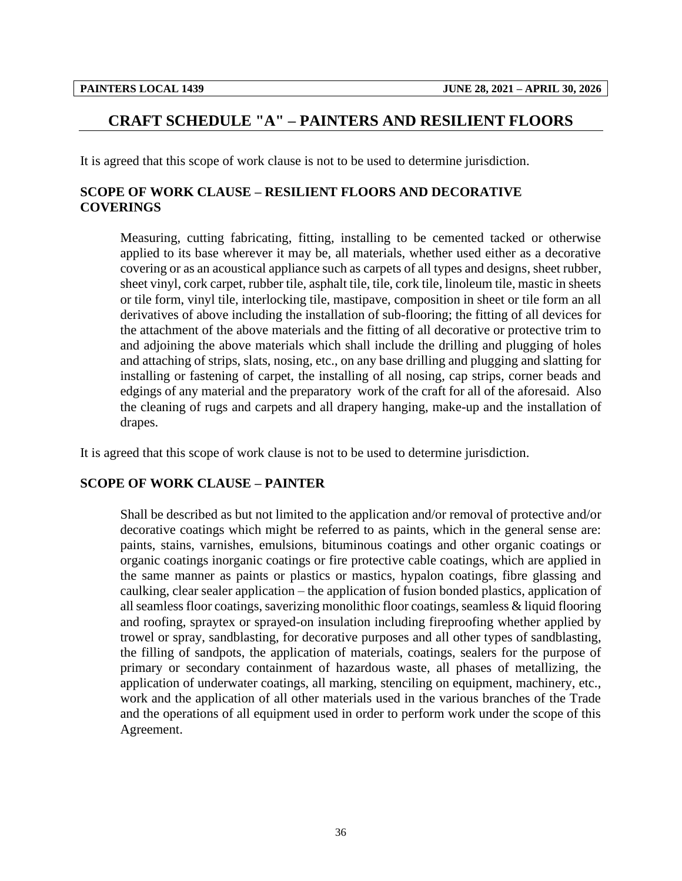## <span id="page-38-0"></span>**CRAFT SCHEDULE "A" – PAINTERS AND RESILIENT FLOORS**

It is agreed that this scope of work clause is not to be used to determine jurisdiction.

### **SCOPE OF WORK CLAUSE – RESILIENT FLOORS AND DECORATIVE COVERINGS**

Measuring, cutting fabricating, fitting, installing to be cemented tacked or otherwise applied to its base wherever it may be, all materials, whether used either as a decorative covering or as an acoustical appliance such as carpets of all types and designs, sheet rubber, sheet vinyl, cork carpet, rubber tile, asphalt tile, tile, cork tile, linoleum tile, mastic in sheets or tile form, vinyl tile, interlocking tile, mastipave, composition in sheet or tile form an all derivatives of above including the installation of sub-flooring; the fitting of all devices for the attachment of the above materials and the fitting of all decorative or protective trim to and adjoining the above materials which shall include the drilling and plugging of holes and attaching of strips, slats, nosing, etc., on any base drilling and plugging and slatting for installing or fastening of carpet, the installing of all nosing, cap strips, corner beads and edgings of any material and the preparatory work of the craft for all of the aforesaid. Also the cleaning of rugs and carpets and all drapery hanging, make-up and the installation of drapes.

It is agreed that this scope of work clause is not to be used to determine jurisdiction.

### **SCOPE OF WORK CLAUSE – PAINTER**

Shall be described as but not limited to the application and/or removal of protective and/or decorative coatings which might be referred to as paints, which in the general sense are: paints, stains, varnishes, emulsions, bituminous coatings and other organic coatings or organic coatings inorganic coatings or fire protective cable coatings, which are applied in the same manner as paints or plastics or mastics, hypalon coatings, fibre glassing and caulking, clear sealer application – the application of fusion bonded plastics, application of all seamless floor coatings, saverizing monolithic floor coatings, seamless & liquid flooring and roofing, spraytex or sprayed-on insulation including fireproofing whether applied by trowel or spray, sandblasting, for decorative purposes and all other types of sandblasting, the filling of sandpots, the application of materials, coatings, sealers for the purpose of primary or secondary containment of hazardous waste, all phases of metallizing, the application of underwater coatings, all marking, stenciling on equipment, machinery, etc., work and the application of all other materials used in the various branches of the Trade and the operations of all equipment used in order to perform work under the scope of this Agreement.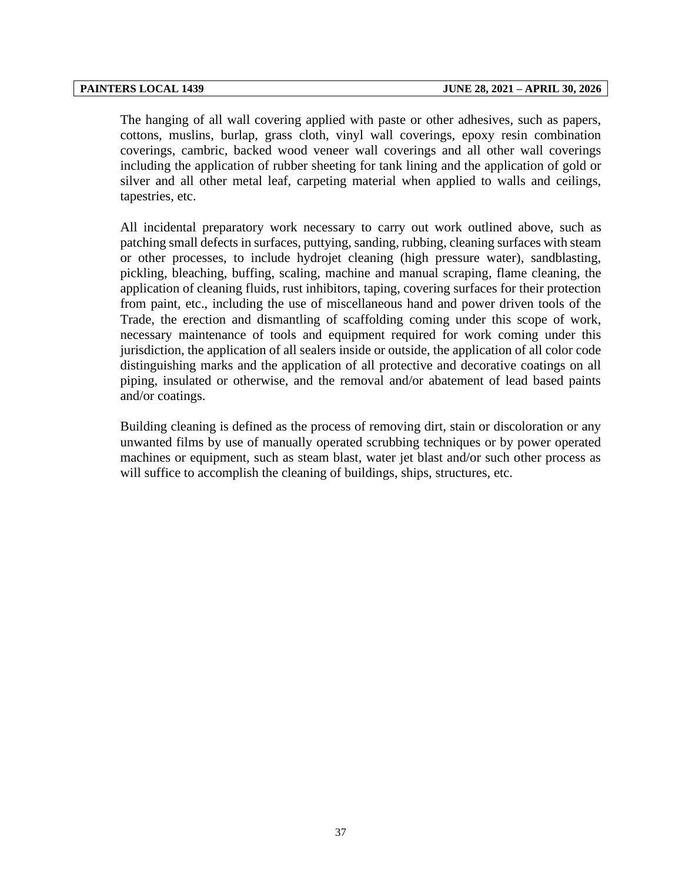The hanging of all wall covering applied with paste or other adhesives, such as papers, cottons, muslins, burlap, grass cloth, vinyl wall coverings, epoxy resin combination coverings, cambric, backed wood veneer wall coverings and all other wall coverings including the application of rubber sheeting for tank lining and the application of gold or silver and all other metal leaf, carpeting material when applied to walls and ceilings, tapestries, etc.

All incidental preparatory work necessary to carry out work outlined above, such as patching small defects in surfaces, puttying, sanding, rubbing, cleaning surfaces with steam or other processes, to include hydrojet cleaning (high pressure water), sandblasting, pickling, bleaching, buffing, scaling, machine and manual scraping, flame cleaning, the application of cleaning fluids, rust inhibitors, taping, covering surfaces for their protection from paint, etc., including the use of miscellaneous hand and power driven tools of the Trade, the erection and dismantling of scaffolding coming under this scope of work, necessary maintenance of tools and equipment required for work coming under this jurisdiction, the application of all sealers inside or outside, the application of all color code distinguishing marks and the application of all protective and decorative coatings on all piping, insulated or otherwise, and the removal and/or abatement of lead based paints and/or coatings.

Building cleaning is defined as the process of removing dirt, stain or discoloration or any unwanted films by use of manually operated scrubbing techniques or by power operated machines or equipment, such as steam blast, water jet blast and/or such other process as will suffice to accomplish the cleaning of buildings, ships, structures, etc.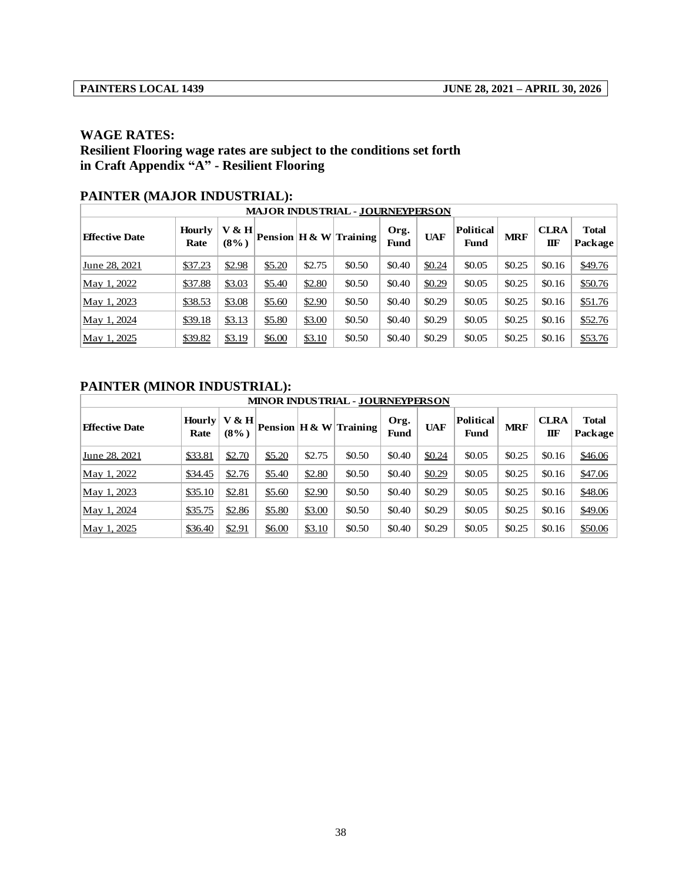### **WAGE RATES:**

## **Resilient Flooring wage rates are subject to the conditions set forth in Craft Appendix "A" - Resilient Flooring**

| PAINTER (MAJOR INDUSTRIAL):             |                       |                  |        |        |                                       |              |            |                          |            |                    |                         |
|-----------------------------------------|-----------------------|------------------|--------|--------|---------------------------------------|--------------|------------|--------------------------|------------|--------------------|-------------------------|
| <b>MAJOR INDUSTRIAL - JOURNEYPERSON</b> |                       |                  |        |        |                                       |              |            |                          |            |                    |                         |
| <b>Effective Date</b>                   | <b>Hourly</b><br>Rate | V & H<br>$(8\%)$ |        |        | Pension $\vert H \& W \vert$ Training | Org.<br>Fund | <b>UAF</b> | <b>Political</b><br>Fund | <b>MRF</b> | <b>CLRA</b><br>IIF | <b>Total</b><br>Package |
| June 28, 2021                           | \$37.23               | \$2.98           | \$5.20 | \$2.75 | \$0.50                                | \$0.40       | \$0.24     | \$0.05                   | \$0.25     | \$0.16             | \$49.76                 |
| May 1, 2022                             | \$37.88               | \$3.03           | \$5.40 | \$2.80 | \$0.50                                | \$0.40       | \$0.29     | \$0.05                   | \$0.25     | \$0.16             | \$50.76                 |
| May 1, 2023                             | \$38.53               | \$3.08           | \$5.60 | \$2.90 | \$0.50                                | \$0.40       | \$0.29     | \$0.05                   | \$0.25     | \$0.16             | \$51.76                 |
| May 1, 2024                             | \$39.18               | \$3.13           | \$5.80 | \$3.00 | \$0.50                                | \$0.40       | \$0.29     | \$0.05                   | \$0.25     | \$0.16             | \$52.76                 |
| May 1, 2025                             | \$39.82               | \$3.19           | \$6.00 | \$3.10 | \$0.50                                | \$0.40       | \$0.29     | \$0.05                   | \$0.25     | \$0.16             | \$53.76                 |

|                       | <b>PAINTER (MINOR INDUSTRIAL):</b>      |                  |        |        |                           |              |            |                                 |            |                    |                         |  |  |  |
|-----------------------|-----------------------------------------|------------------|--------|--------|---------------------------|--------------|------------|---------------------------------|------------|--------------------|-------------------------|--|--|--|
|                       | <b>MINOR INDUSTRIAL - JOURNEYPERSON</b> |                  |        |        |                           |              |            |                                 |            |                    |                         |  |  |  |
| <b>Effective Date</b> | Hourly  <br>Rate                        | V & H<br>$(8\%)$ |        |        | Pension $H \& W$ Training | Org.<br>Fund | <b>UAF</b> | <b>Political</b><br><b>Fund</b> | <b>MRF</b> | <b>CLRA</b><br>IIF | <b>Total</b><br>Package |  |  |  |
| June 28, 2021         | \$33.81                                 | \$2.70           | \$5.20 | \$2.75 | \$0.50                    | \$0.40       | \$0.24     | \$0.05                          | \$0.25     | \$0.16             | \$46.06                 |  |  |  |
| May 1, 2022           | \$34.45                                 | \$2.76           | \$5.40 | \$2.80 | \$0.50                    | \$0.40       | \$0.29     | \$0.05                          | \$0.25     | \$0.16             | \$47.06                 |  |  |  |
| May 1, 2023           | \$35.10                                 | \$2.81           | \$5.60 | \$2.90 | \$0.50                    | \$0.40       | \$0.29     | \$0.05                          | \$0.25     | \$0.16             | \$48.06                 |  |  |  |
| May 1, 2024           | \$35.75                                 | \$2.86           | \$5.80 | \$3.00 | \$0.50                    | \$0.40       | \$0.29     | \$0.05                          | \$0.25     | \$0.16             | \$49.06                 |  |  |  |
| May 1, 2025           | \$36.40                                 | \$2.91           | \$6.00 | \$3.10 | \$0.50                    | \$0.40       | \$0.29     | \$0.05                          | \$0.25     | \$0.16             | \$50.06                 |  |  |  |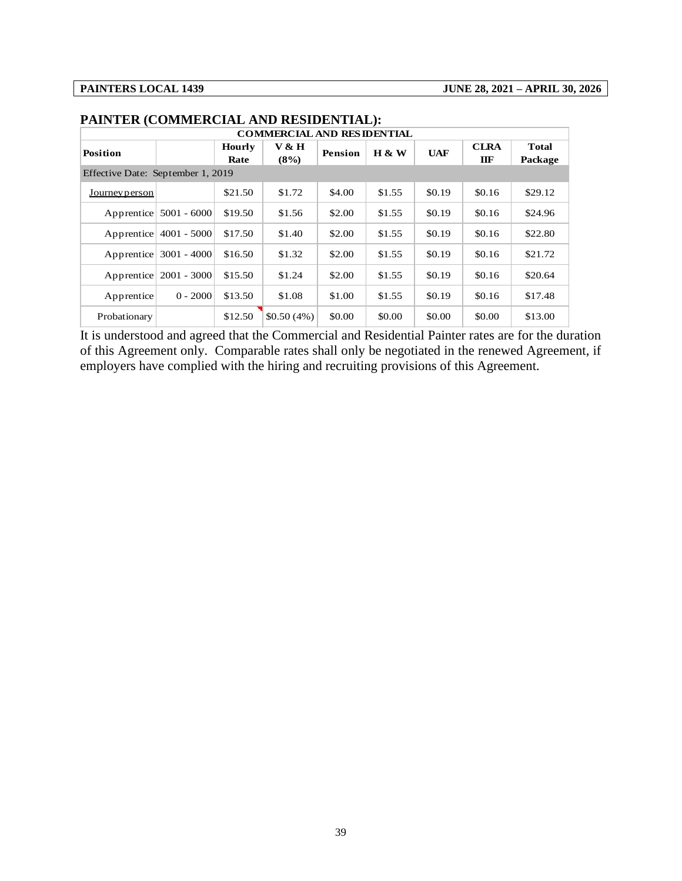|                                   |                          |                       | <b>COMMERCIAL AND RESIDENTIAL</b> |                |                  |            |                    |                  |
|-----------------------------------|--------------------------|-----------------------|-----------------------------------|----------------|------------------|------------|--------------------|------------------|
| <b>Position</b>                   |                          | <b>Hourly</b><br>Rate | V & H<br>(8%)                     | <b>Pension</b> | <b>H &amp; W</b> | <b>UAF</b> | <b>CLRA</b><br>IIF | Total<br>Package |
| Effective Date: September 1, 2019 |                          |                       |                                   |                |                  |            |                    |                  |
| Journey person                    |                          | \$21.50               | \$1.72                            | \$4.00         | \$1.55           | \$0.19     | \$0.16             | \$29.12          |
|                                   | Apprentice   5001 - 6000 | \$19.50               | \$1.56                            | \$2.00         | \$1.55           | \$0.19     | \$0.16             | \$24.96          |
|                                   | Apprentice   4001 - 5000 | \$17.50               | \$1.40                            | \$2.00         | \$1.55           | \$0.19     | \$0.16             | \$22.80          |
|                                   | Apprentice   3001 - 4000 | \$16.50               | \$1.32                            | \$2.00         | \$1.55           | \$0.19     | \$0.16             | \$21.72          |
|                                   | Apprentice   2001 - 3000 | \$15.50               | \$1.24                            | \$2.00         | \$1.55           | \$0.19     | \$0.16             | \$20.64          |
| Apprentice                        | $0 - 2000$               | \$13.50               | \$1.08                            | \$1.00         | \$1.55           | \$0.19     | \$0.16             | \$17.48          |
| Probationary                      |                          | \$12.50               | $$0.50(4\%)$                      | \$0.00         | \$0.00           | \$0.00     | \$0.00             | \$13.00          |

## **PAINTER (COMMERCIAL AND RESIDENTIAL):**

It is understood and agreed that the Commercial and Residential Painter rates are for the duration of this Agreement only. Comparable rates shall only be negotiated in the renewed Agreement, if employers have complied with the hiring and recruiting provisions of this Agreement.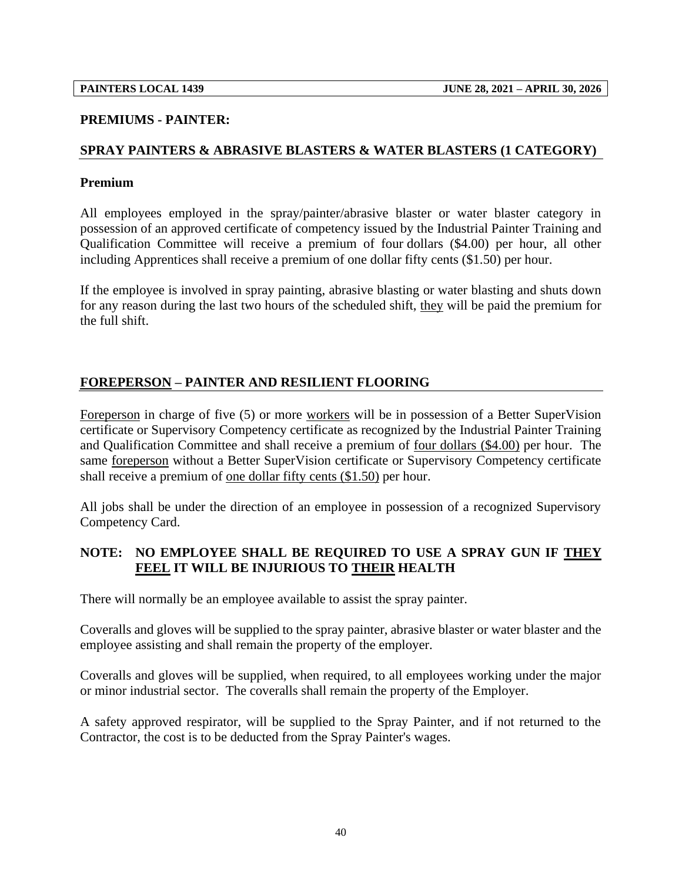#### **PREMIUMS - PAINTER:**

#### **SPRAY PAINTERS & ABRASIVE BLASTERS & WATER BLASTERS (1 CATEGORY)**

#### **Premium**

All employees employed in the spray/painter/abrasive blaster or water blaster category in possession of an approved certificate of competency issued by the Industrial Painter Training and Qualification Committee will receive a premium of four dollars (\$4.00) per hour, all other including Apprentices shall receive a premium of one dollar fifty cents (\$1.50) per hour.

If the employee is involved in spray painting, abrasive blasting or water blasting and shuts down for any reason during the last two hours of the scheduled shift, they will be paid the premium for the full shift.

### **FOREPERSON – PAINTER AND RESILIENT FLOORING**

Foreperson in charge of five (5) or more workers will be in possession of a Better SuperVision certificate or Supervisory Competency certificate as recognized by the Industrial Painter Training and Qualification Committee and shall receive a premium of four dollars (\$4.00) per hour. The same foreperson without a Better SuperVision certificate or Supervisory Competency certificate shall receive a premium of one dollar fifty cents (\$1.50) per hour.

All jobs shall be under the direction of an employee in possession of a recognized Supervisory Competency Card.

### **NOTE: NO EMPLOYEE SHALL BE REQUIRED TO USE A SPRAY GUN IF THEY FEEL IT WILL BE INJURIOUS TO THEIR HEALTH**

There will normally be an employee available to assist the spray painter.

Coveralls and gloves will be supplied to the spray painter, abrasive blaster or water blaster and the employee assisting and shall remain the property of the employer.

Coveralls and gloves will be supplied, when required, to all employees working under the major or minor industrial sector. The coveralls shall remain the property of the Employer.

A safety approved respirator, will be supplied to the Spray Painter, and if not returned to the Contractor, the cost is to be deducted from the Spray Painter's wages.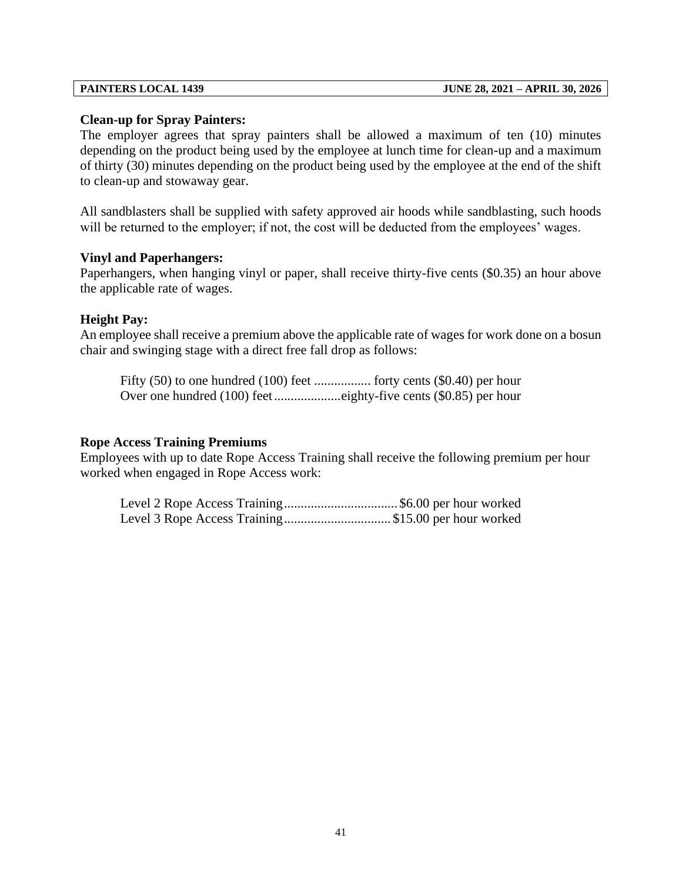#### **Clean-up for Spray Painters:**

The employer agrees that spray painters shall be allowed a maximum of ten (10) minutes depending on the product being used by the employee at lunch time for clean-up and a maximum of thirty (30) minutes depending on the product being used by the employee at the end of the shift to clean-up and stowaway gear.

All sandblasters shall be supplied with safety approved air hoods while sandblasting, such hoods will be returned to the employer; if not, the cost will be deducted from the employees' wages.

#### **Vinyl and Paperhangers:**

Paperhangers, when hanging vinyl or paper, shall receive thirty-five cents (\$0.35) an hour above the applicable rate of wages.

#### **Height Pay:**

An employee shall receive a premium above the applicable rate of wages for work done on a bosun chair and swinging stage with a direct free fall drop as follows:

Fifty (50) to one hundred (100) feet ................. forty cents (\$0.40) per hour Over one hundred (100) feet....................eighty-five cents (\$0.85) per hour

#### **Rope Access Training Premiums**

Employees with up to date Rope Access Training shall receive the following premium per hour worked when engaged in Rope Access work:

| Level 3 Rope Access Training\$15.00 per hour worked |  |
|-----------------------------------------------------|--|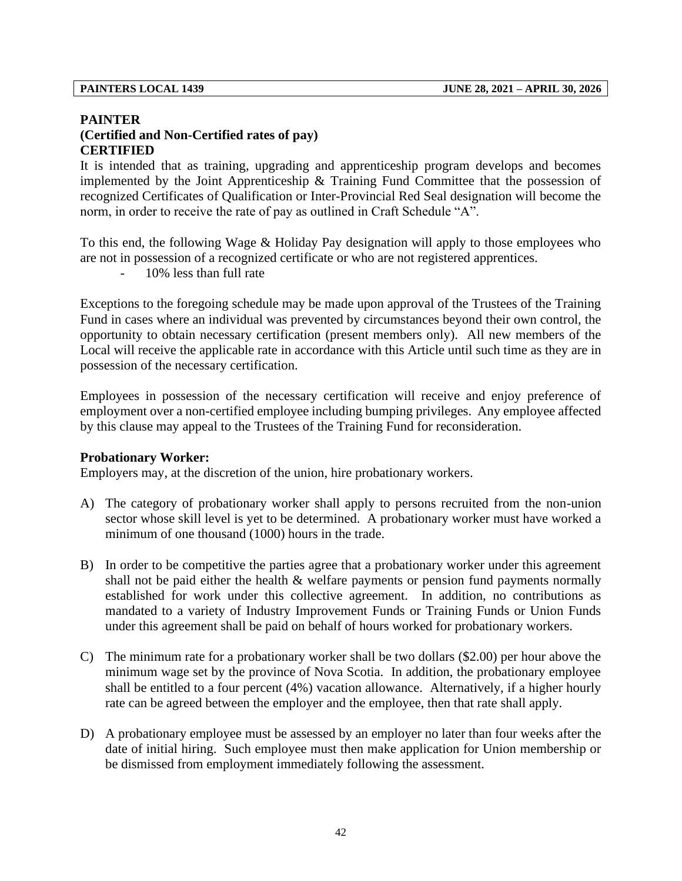## **PAINTER (Certified and Non-Certified rates of pay) CERTIFIED**

It is intended that as training, upgrading and apprenticeship program develops and becomes implemented by the Joint Apprenticeship & Training Fund Committee that the possession of recognized Certificates of Qualification or Inter-Provincial Red Seal designation will become the norm, in order to receive the rate of pay as outlined in Craft Schedule "A".

To this end, the following Wage & Holiday Pay designation will apply to those employees who are not in possession of a recognized certificate or who are not registered apprentices.

- 10% less than full rate

Exceptions to the foregoing schedule may be made upon approval of the Trustees of the Training Fund in cases where an individual was prevented by circumstances beyond their own control, the opportunity to obtain necessary certification (present members only). All new members of the Local will receive the applicable rate in accordance with this Article until such time as they are in possession of the necessary certification.

Employees in possession of the necessary certification will receive and enjoy preference of employment over a non-certified employee including bumping privileges. Any employee affected by this clause may appeal to the Trustees of the Training Fund for reconsideration.

#### **Probationary Worker:**

Employers may, at the discretion of the union, hire probationary workers.

- A) The category of probationary worker shall apply to persons recruited from the non-union sector whose skill level is yet to be determined. A probationary worker must have worked a minimum of one thousand (1000) hours in the trade.
- B) In order to be competitive the parties agree that a probationary worker under this agreement shall not be paid either the health  $\&$  welfare payments or pension fund payments normally established for work under this collective agreement. In addition, no contributions as mandated to a variety of Industry Improvement Funds or Training Funds or Union Funds under this agreement shall be paid on behalf of hours worked for probationary workers.
- C) The minimum rate for a probationary worker shall be two dollars (\$2.00) per hour above the minimum wage set by the province of Nova Scotia. In addition, the probationary employee shall be entitled to a four percent (4%) vacation allowance. Alternatively, if a higher hourly rate can be agreed between the employer and the employee, then that rate shall apply.
- D) A probationary employee must be assessed by an employer no later than four weeks after the date of initial hiring. Such employee must then make application for Union membership or be dismissed from employment immediately following the assessment.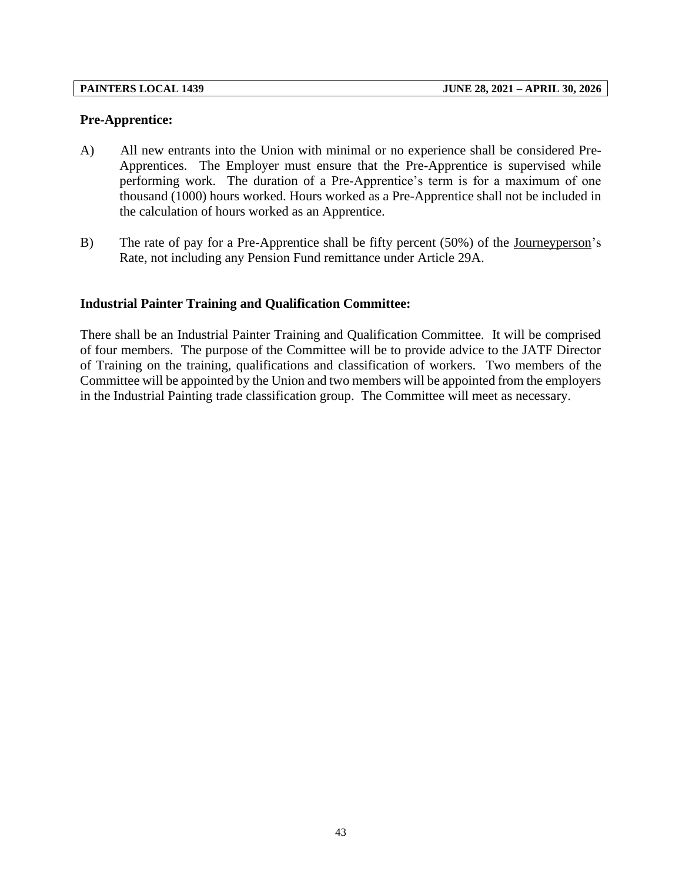#### **Pre-Apprentice:**

- A) All new entrants into the Union with minimal or no experience shall be considered Pre-Apprentices. The Employer must ensure that the Pre-Apprentice is supervised while performing work. The duration of a Pre-Apprentice's term is for a maximum of one thousand (1000) hours worked. Hours worked as a Pre-Apprentice shall not be included in the calculation of hours worked as an Apprentice.
- B) The rate of pay for a Pre-Apprentice shall be fifty percent (50%) of the Journeyperson's Rate, not including any Pension Fund remittance under Article 29A.

#### **Industrial Painter Training and Qualification Committee:**

There shall be an Industrial Painter Training and Qualification Committee. It will be comprised of four members. The purpose of the Committee will be to provide advice to the JATF Director of Training on the training, qualifications and classification of workers. Two members of the Committee will be appointed by the Union and two members will be appointed from the employers in the Industrial Painting trade classification group. The Committee will meet as necessary.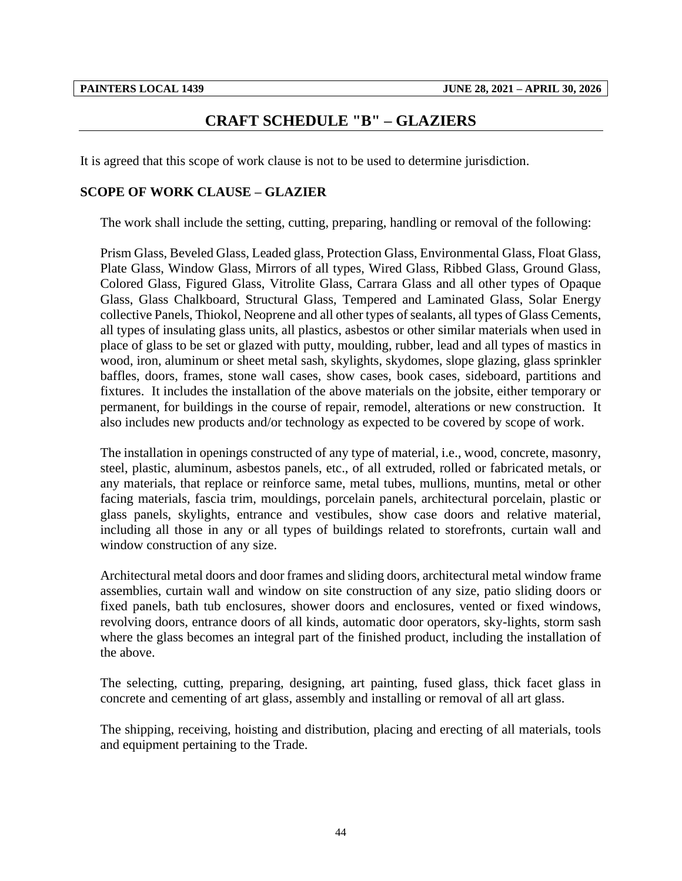## **CRAFT SCHEDULE "B" – GLAZIERS**

<span id="page-46-0"></span>It is agreed that this scope of work clause is not to be used to determine jurisdiction.

#### **SCOPE OF WORK CLAUSE – GLAZIER**

The work shall include the setting, cutting, preparing, handling or removal of the following:

Prism Glass, Beveled Glass, Leaded glass, Protection Glass, Environmental Glass, Float Glass, Plate Glass, Window Glass, Mirrors of all types, Wired Glass, Ribbed Glass, Ground Glass, Colored Glass, Figured Glass, Vitrolite Glass, Carrara Glass and all other types of Opaque Glass, Glass Chalkboard, Structural Glass, Tempered and Laminated Glass, Solar Energy collective Panels, Thiokol, Neoprene and all other types of sealants, all types of Glass Cements, all types of insulating glass units, all plastics, asbestos or other similar materials when used in place of glass to be set or glazed with putty, moulding, rubber, lead and all types of mastics in wood, iron, aluminum or sheet metal sash, skylights, skydomes, slope glazing, glass sprinkler baffles, doors, frames, stone wall cases, show cases, book cases, sideboard, partitions and fixtures. It includes the installation of the above materials on the jobsite, either temporary or permanent, for buildings in the course of repair, remodel, alterations or new construction. It also includes new products and/or technology as expected to be covered by scope of work.

The installation in openings constructed of any type of material, i.e., wood, concrete, masonry, steel, plastic, aluminum, asbestos panels, etc., of all extruded, rolled or fabricated metals, or any materials, that replace or reinforce same, metal tubes, mullions, muntins, metal or other facing materials, fascia trim, mouldings, porcelain panels, architectural porcelain, plastic or glass panels, skylights, entrance and vestibules, show case doors and relative material, including all those in any or all types of buildings related to storefronts, curtain wall and window construction of any size.

Architectural metal doors and door frames and sliding doors, architectural metal window frame assemblies, curtain wall and window on site construction of any size, patio sliding doors or fixed panels, bath tub enclosures, shower doors and enclosures, vented or fixed windows, revolving doors, entrance doors of all kinds, automatic door operators, sky-lights, storm sash where the glass becomes an integral part of the finished product, including the installation of the above.

The selecting, cutting, preparing, designing, art painting, fused glass, thick facet glass in concrete and cementing of art glass, assembly and installing or removal of all art glass.

The shipping, receiving, hoisting and distribution, placing and erecting of all materials, tools and equipment pertaining to the Trade.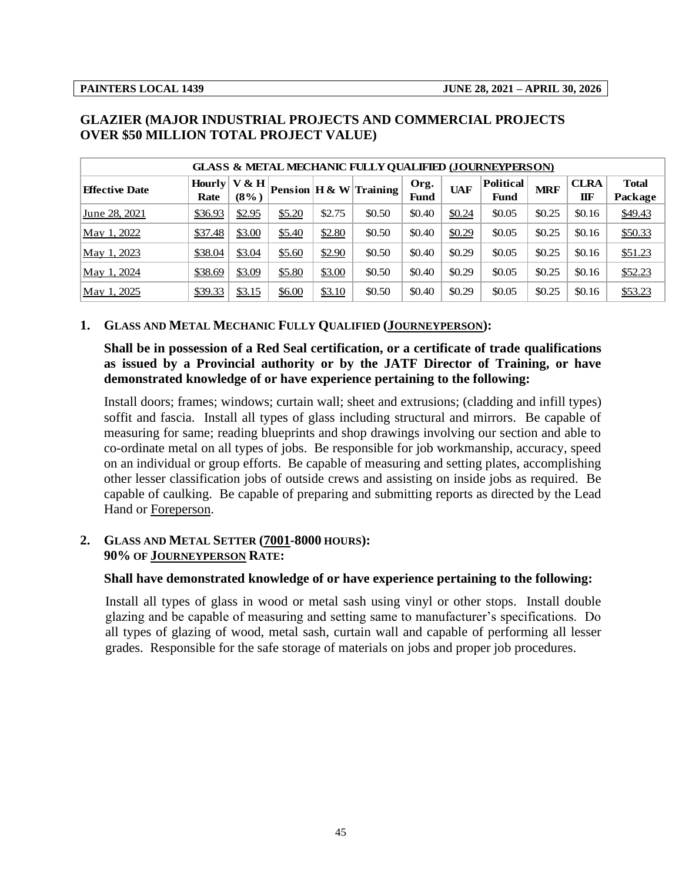|                       | <b>GLASS &amp; METAL MECHANIC FULLY QUALIFIED (JOURNEYPERSON)</b> |                             |        |        |                           |                     |            |                          |            |                   |                         |  |  |
|-----------------------|-------------------------------------------------------------------|-----------------------------|--------|--------|---------------------------|---------------------|------------|--------------------------|------------|-------------------|-------------------------|--|--|
| <b>Effective Date</b> | Rate                                                              | Hourly $ V & H $<br>$(8\%)$ |        |        | Pension $H \& W$ Training | Org.<br><b>Fund</b> | <b>UAF</b> | <b>Political</b><br>Fund | <b>MRF</b> | <b>CLRA</b><br>IF | <b>Total</b><br>Package |  |  |
| June 28, 2021         | \$36.93                                                           | \$2.95                      | \$5.20 | \$2.75 | \$0.50                    | \$0.40              | \$0.24     | \$0.05                   | \$0.25     | \$0.16            | \$49.43                 |  |  |
| May 1, 2022           | \$37.48                                                           | \$3.00                      | \$5.40 | \$2.80 | \$0.50                    | \$0.40              | \$0.29     | \$0.05                   | \$0.25     | \$0.16            | \$50.33                 |  |  |
| May 1, 2023           | \$38.04                                                           | \$3.04                      | \$5.60 | \$2.90 | \$0.50                    | \$0.40              | \$0.29     | \$0.05                   | \$0.25     | \$0.16            | \$51.23                 |  |  |
| May 1, 2024           | \$38.69                                                           | \$3.09                      | \$5.80 | \$3.00 | \$0.50                    | \$0.40              | \$0.29     | \$0.05                   | \$0.25     | \$0.16            | \$52.23                 |  |  |
| May 1, 2025           | \$39.33                                                           | \$3.15                      | \$6.00 | \$3.10 | \$0.50                    | \$0.40              | \$0.29     | \$0.05                   | \$0.25     | \$0.16            | \$53.23                 |  |  |

#### **GLAZIER (MAJOR INDUSTRIAL PROJECTS AND COMMERCIAL PROJECTS OVER \$50 MILLION TOTAL PROJECT VALUE)**

#### **1. GLASS AND METAL MECHANIC FULLY QUALIFIED (JOURNEYPERSON):**

**Shall be in possession of a Red Seal certification, or a certificate of trade qualifications as issued by a Provincial authority or by the JATF Director of Training, or have demonstrated knowledge of or have experience pertaining to the following:**

Install doors; frames; windows; curtain wall; sheet and extrusions; (cladding and infill types) soffit and fascia. Install all types of glass including structural and mirrors. Be capable of measuring for same; reading blueprints and shop drawings involving our section and able to co-ordinate metal on all types of jobs. Be responsible for job workmanship, accuracy, speed on an individual or group efforts. Be capable of measuring and setting plates, accomplishing other lesser classification jobs of outside crews and assisting on inside jobs as required. Be capable of caulking. Be capable of preparing and submitting reports as directed by the Lead Hand or Foreperson.

#### **2. GLASS AND METAL SETTER (7001-8000 HOURS): 90% OF JOURNEYPERSON RATE:**

#### **Shall have demonstrated knowledge of or have experience pertaining to the following:**

Install all types of glass in wood or metal sash using vinyl or other stops. Install double glazing and be capable of measuring and setting same to manufacturer's specifications. Do all types of glazing of wood, metal sash, curtain wall and capable of performing all lesser grades. Responsible for the safe storage of materials on jobs and proper job procedures.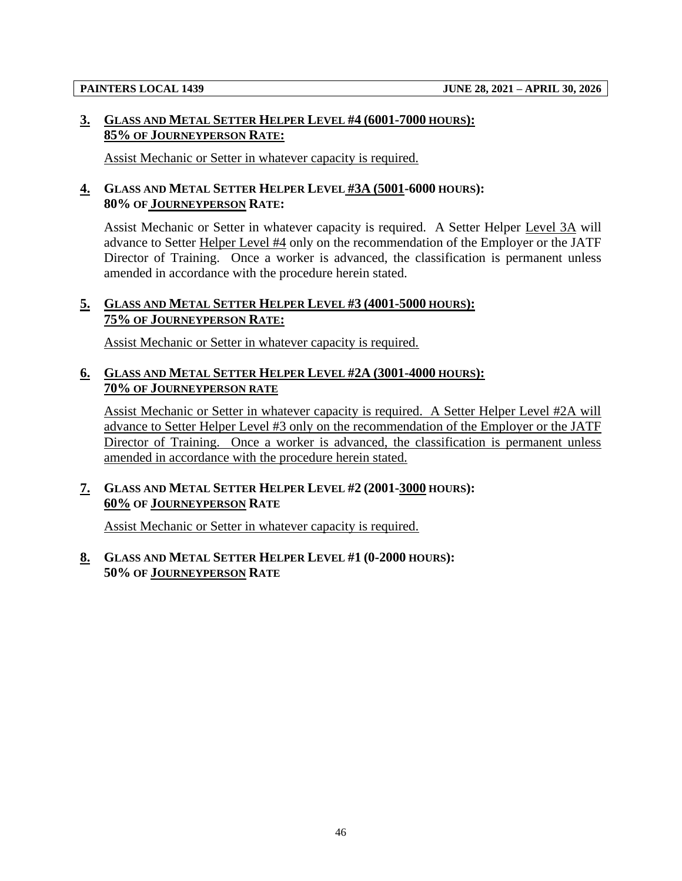### **3. GLASS AND METAL SETTER HELPER LEVEL #4 (6001-7000 HOURS): 85% OF JOURNEYPERSON RATE:**

Assist Mechanic or Setter in whatever capacity is required.

### **4. GLASS AND METAL SETTER HELPER LEVEL #3A (5001-6000 HOURS): 80% OF JOURNEYPERSON RATE:**

Assist Mechanic or Setter in whatever capacity is required. A Setter Helper Level 3A will advance to Setter Helper Level #4 only on the recommendation of the Employer or the JATF Director of Training. Once a worker is advanced, the classification is permanent unless amended in accordance with the procedure herein stated.

### **5. GLASS AND METAL SETTER HELPER LEVEL #3 (4001-5000 HOURS): 75% OF JOURNEYPERSON RATE:**

Assist Mechanic or Setter in whatever capacity is required.

### **6. GLASS AND METAL SETTER HELPER LEVEL #2A (3001-4000 HOURS): 70% OF JOURNEYPERSON RATE**

Assist Mechanic or Setter in whatever capacity is required. A Setter Helper Level #2A will advance to Setter Helper Level #3 only on the recommendation of the Employer or the JATF Director of Training. Once a worker is advanced, the classification is permanent unless amended in accordance with the procedure herein stated.

### **7. GLASS AND METAL SETTER HELPER LEVEL #2 (2001-3000 HOURS): 60% OF JOURNEYPERSON RATE**

Assist Mechanic or Setter in whatever capacity is required.

#### **8. GLASS AND METAL SETTER HELPER LEVEL #1 (0-2000 HOURS): 50% OF JOURNEYPERSON RATE**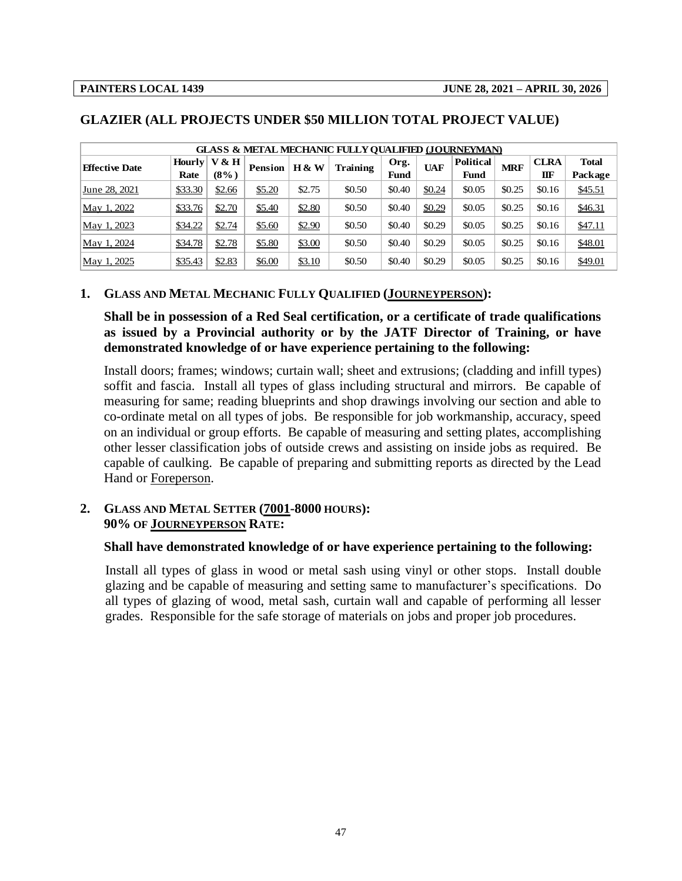**PAINTERS LOCAL 1439 JUNE 28, 2021 – APRIL 30, 2026**

|                       | <b>GLASS &amp; METAL MECHANIC FULLY OUALIFIED (JOURNEYMAN)</b> |                  |                |        |          |              |            |                                 |            |                  |                         |  |  |  |
|-----------------------|----------------------------------------------------------------|------------------|----------------|--------|----------|--------------|------------|---------------------------------|------------|------------------|-------------------------|--|--|--|
| <b>Effective Date</b> | <b>Hourly</b><br>Rate                                          | V & H<br>$(8\%)$ | <b>Pension</b> | H & W  | Training | Org.<br>Fund | <b>UAF</b> | <b>Political</b><br><b>Fund</b> | <b>MRF</b> | <b>CLRA</b><br>Ш | <b>Total</b><br>Package |  |  |  |
| June 28, 2021         | \$33.30                                                        | \$2.66           | \$5.20         | \$2.75 | \$0.50   | \$0.40       | \$0.24     | \$0.05                          | \$0.25     | \$0.16           | \$45.51                 |  |  |  |
| May 1, 2022           | \$33.76                                                        | \$2.70           | \$5.40         | \$2.80 | \$0.50   | \$0.40       | \$0.29     | \$0.05                          | \$0.25     | \$0.16           | \$46.31                 |  |  |  |
| May 1, 2023           | \$34.22                                                        | \$2.74           | \$5.60         | \$2.90 | \$0.50   | \$0.40       | \$0.29     | \$0.05                          | \$0.25     | \$0.16           | \$47.11                 |  |  |  |
| May 1, 2024           | \$34.78                                                        | \$2.78           | \$5.80         | \$3.00 | \$0.50   | \$0.40       | \$0.29     | \$0.05                          | \$0.25     | \$0.16           | \$48.01                 |  |  |  |
| May 1, 2025           | \$35.43                                                        | \$2.83           | \$6.00         | \$3.10 | \$0.50   | \$0.40       | \$0.29     | \$0.05                          | \$0.25     | \$0.16           | \$49.01                 |  |  |  |

#### **GLAZIER (ALL PROJECTS UNDER \$50 MILLION TOTAL PROJECT VALUE)**

### **1. GLASS AND METAL MECHANIC FULLY QUALIFIED (JOURNEYPERSON):**

**Shall be in possession of a Red Seal certification, or a certificate of trade qualifications as issued by a Provincial authority or by the JATF Director of Training, or have demonstrated knowledge of or have experience pertaining to the following:**

Install doors; frames; windows; curtain wall; sheet and extrusions; (cladding and infill types) soffit and fascia. Install all types of glass including structural and mirrors. Be capable of measuring for same; reading blueprints and shop drawings involving our section and able to co-ordinate metal on all types of jobs. Be responsible for job workmanship, accuracy, speed on an individual or group efforts. Be capable of measuring and setting plates, accomplishing other lesser classification jobs of outside crews and assisting on inside jobs as required. Be capable of caulking. Be capable of preparing and submitting reports as directed by the Lead Hand or Foreperson.

### **2. GLASS AND METAL SETTER (7001-8000 HOURS): 90% OF JOURNEYPERSON RATE:**

#### **Shall have demonstrated knowledge of or have experience pertaining to the following:**

Install all types of glass in wood or metal sash using vinyl or other stops. Install double glazing and be capable of measuring and setting same to manufacturer's specifications. Do all types of glazing of wood, metal sash, curtain wall and capable of performing all lesser grades. Responsible for the safe storage of materials on jobs and proper job procedures.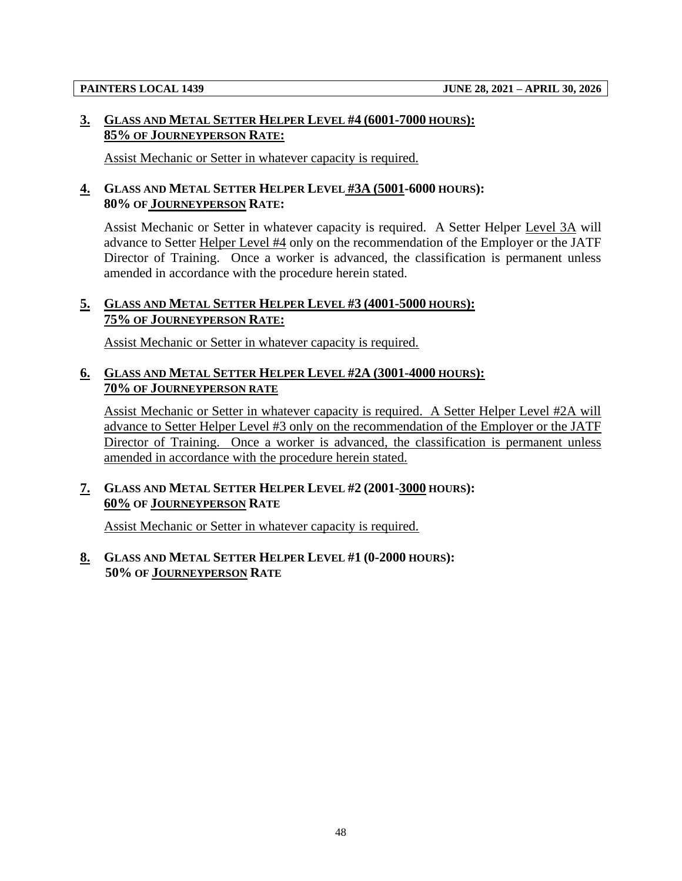### **3. GLASS AND METAL SETTER HELPER LEVEL #4 (6001-7000 HOURS): 85% OF JOURNEYPERSON RATE:**

Assist Mechanic or Setter in whatever capacity is required.

### **4. GLASS AND METAL SETTER HELPER LEVEL #3A (5001-6000 HOURS): 80% OF JOURNEYPERSON RATE:**

Assist Mechanic or Setter in whatever capacity is required. A Setter Helper Level 3A will advance to Setter Helper Level #4 only on the recommendation of the Employer or the JATF Director of Training. Once a worker is advanced, the classification is permanent unless amended in accordance with the procedure herein stated.

### **5. GLASS AND METAL SETTER HELPER LEVEL #3 (4001-5000 HOURS): 75% OF JOURNEYPERSON RATE:**

Assist Mechanic or Setter in whatever capacity is required.

### **6. GLASS AND METAL SETTER HELPER LEVEL #2A (3001-4000 HOURS): 70% OF JOURNEYPERSON RATE**

Assist Mechanic or Setter in whatever capacity is required. A Setter Helper Level #2A will advance to Setter Helper Level #3 only on the recommendation of the Employer or the JATF Director of Training. Once a worker is advanced, the classification is permanent unless amended in accordance with the procedure herein stated.

### **7. GLASS AND METAL SETTER HELPER LEVEL #2 (2001-3000 HOURS): 60% OF JOURNEYPERSON RATE**

Assist Mechanic or Setter in whatever capacity is required.

#### **8. GLASS AND METAL SETTER HELPER LEVEL #1 (0-2000 HOURS): 50% OF JOURNEYPERSON RATE**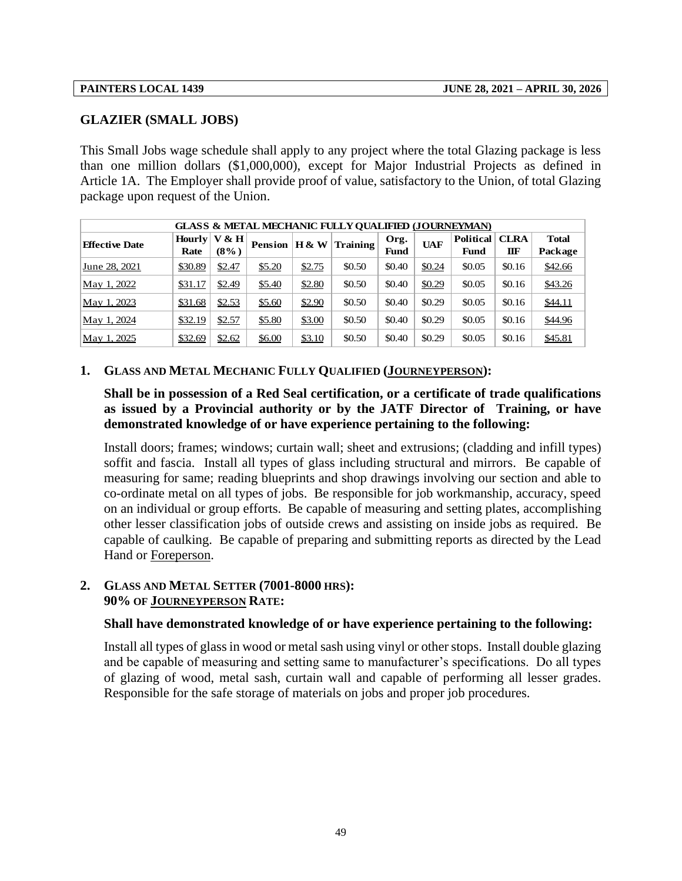#### **GLAZIER (SMALL JOBS)**

This Small Jobs wage schedule shall apply to any project where the total Glazing package is less than one million dollars (\$1,000,000), except for Major Industrial Projects as defined in Article 1A. The Employer shall provide proof of value, satisfactory to the Union, of total Glazing package upon request of the Union.

|                       | <b>GLASS &amp; METAL MECHANIC FULLY OUALIFIED (JOURNEYMAN)</b> |         |        |        |                                        |                     |            |                   |                    |                         |  |  |  |  |
|-----------------------|----------------------------------------------------------------|---------|--------|--------|----------------------------------------|---------------------|------------|-------------------|--------------------|-------------------------|--|--|--|--|
| <b>Effective Date</b> | Hourly $\mathbf{\nabla} \& \mathbf{H}$<br>Rate                 | $(8\%)$ |        |        | Pension $\vert$ H & W $\vert$ Training | Org.<br><b>Fund</b> | <b>UAF</b> | Political<br>Fund | <b>CLRA</b><br>IIF | <b>Total</b><br>Package |  |  |  |  |
| June 28, 2021         | \$30.89                                                        | \$2.47  | \$5.20 | \$2.75 | \$0.50                                 | \$0.40              | \$0.24     | \$0.05            | \$0.16             | \$42.66                 |  |  |  |  |
| May 1, 2022           | \$31.17                                                        | \$2.49  | \$5.40 | \$2.80 | \$0.50                                 | \$0.40              | \$0.29     | \$0.05            | \$0.16             | \$43.26                 |  |  |  |  |
| May 1, 2023           | \$31.68                                                        | \$2.53  | \$5.60 | \$2.90 | \$0.50                                 | \$0.40              | \$0.29     | \$0.05            | \$0.16             | \$44.11                 |  |  |  |  |
| May 1, 2024           | \$32.19                                                        | \$2.57  | \$5.80 | \$3.00 | \$0.50                                 | \$0.40              | \$0.29     | \$0.05            | \$0.16             | \$44.96                 |  |  |  |  |
| May 1, 2025           | \$32.69                                                        | \$2.62  | \$6.00 | \$3.10 | \$0.50                                 | \$0.40              | \$0.29     | \$0.05            | \$0.16             | \$45.81                 |  |  |  |  |

### **1. GLASS AND METAL MECHANIC FULLY QUALIFIED (JOURNEYPERSON):**

## **Shall be in possession of a Red Seal certification, or a certificate of trade qualifications as issued by a Provincial authority or by the JATF Director of Training, or have demonstrated knowledge of or have experience pertaining to the following:**

Install doors; frames; windows; curtain wall; sheet and extrusions; (cladding and infill types) soffit and fascia. Install all types of glass including structural and mirrors. Be capable of measuring for same; reading blueprints and shop drawings involving our section and able to co-ordinate metal on all types of jobs. Be responsible for job workmanship, accuracy, speed on an individual or group efforts. Be capable of measuring and setting plates, accomplishing other lesser classification jobs of outside crews and assisting on inside jobs as required. Be capable of caulking. Be capable of preparing and submitting reports as directed by the Lead Hand or Foreperson.

### **2. GLASS AND METAL SETTER (7001-8000 HRS): 90% OF JOURNEYPERSON RATE:**

#### **Shall have demonstrated knowledge of or have experience pertaining to the following:**

Install all types of glass in wood or metal sash using vinyl or other stops. Install double glazing and be capable of measuring and setting same to manufacturer's specifications. Do all types of glazing of wood, metal sash, curtain wall and capable of performing all lesser grades. Responsible for the safe storage of materials on jobs and proper job procedures.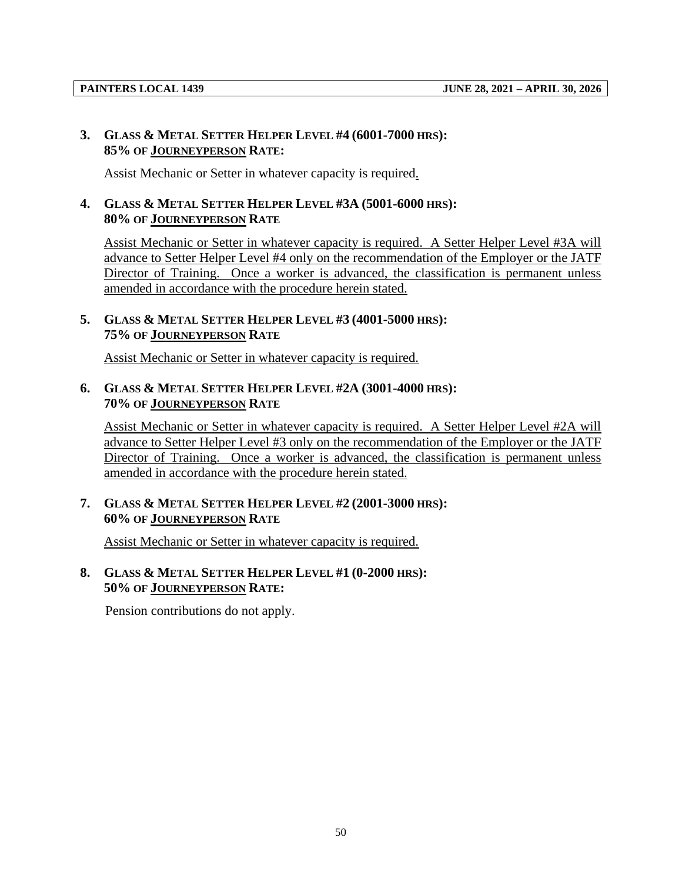#### **3. GLASS & METAL SETTER HELPER LEVEL #4 (6001-7000 HRS): 85% OF JOURNEYPERSON RATE:**

Assist Mechanic or Setter in whatever capacity is required.

#### **4. GLASS & METAL SETTER HELPER LEVEL #3A (5001-6000 HRS): 80% OF JOURNEYPERSON RATE**

Assist Mechanic or Setter in whatever capacity is required. A Setter Helper Level #3A will advance to Setter Helper Level #4 only on the recommendation of the Employer or the JATF Director of Training. Once a worker is advanced, the classification is permanent unless amended in accordance with the procedure herein stated.

#### **5. GLASS & METAL SETTER HELPER LEVEL #3 (4001-5000 HRS): 75% OF JOURNEYPERSON RATE**

Assist Mechanic or Setter in whatever capacity is required.

#### **6. GLASS & METAL SETTER HELPER LEVEL #2A (3001-4000 HRS): 70% OF JOURNEYPERSON RATE**

Assist Mechanic or Setter in whatever capacity is required. A Setter Helper Level #2A will advance to Setter Helper Level #3 only on the recommendation of the Employer or the JATF Director of Training. Once a worker is advanced, the classification is permanent unless amended in accordance with the procedure herein stated.

#### **7. GLASS & METAL SETTER HELPER LEVEL #2 (2001-3000 HRS): 60% OF JOURNEYPERSON RATE**

Assist Mechanic or Setter in whatever capacity is required.

#### **8. GLASS & METAL SETTER HELPER LEVEL #1 (0-2000 HRS): 50% OF JOURNEYPERSON RATE:**

Pension contributions do not apply.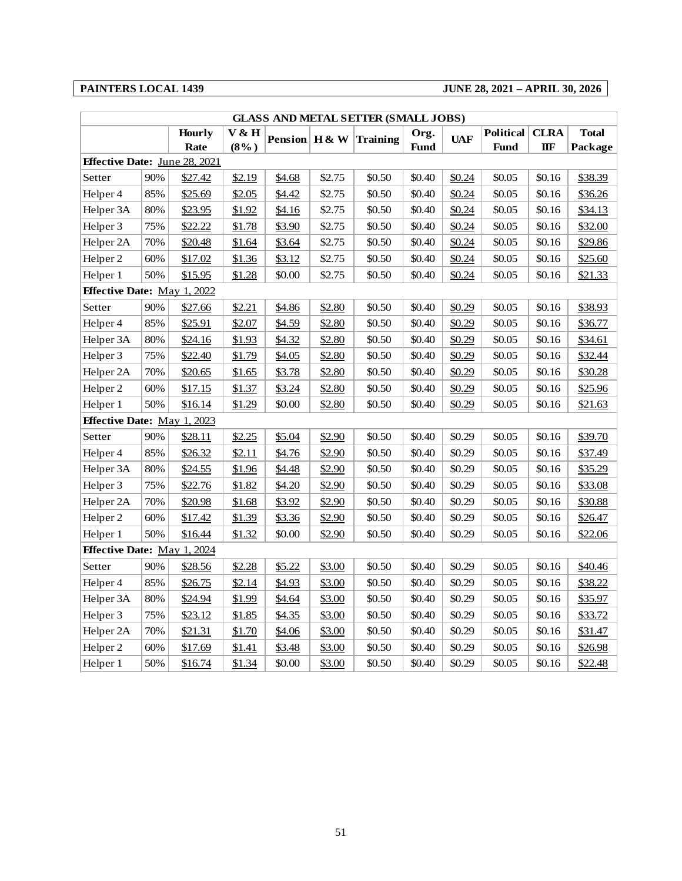**PAINTERS LOCAL 1439 JUNE 28, 2021 – APRIL 30, 2026**

|                                    |     |                |         |                   |        | <b>GLASS AND METAL SETTER (SMALL JOBS)</b> |             |            |             |             |              |
|------------------------------------|-----|----------------|---------|-------------------|--------|--------------------------------------------|-------------|------------|-------------|-------------|--------------|
|                                    |     | <b>Hourly</b>  | V & H   | Pension   $H & W$ |        | <b>Training</b>                            | Org.        | <b>UAF</b> | Political   | <b>CLRA</b> | <b>Total</b> |
|                                    |     | Rate           | $(8\%)$ |                   |        |                                            | <b>Fund</b> |            | <b>Fund</b> | IIF         | Package      |
| Effective Date: June 28, 2021      |     |                |         |                   |        |                                            |             |            |             |             |              |
| Setter                             | 90% | \$27.42        | \$2.19  | \$4.68            | \$2.75 | \$0.50                                     | \$0.40      | \$0.24     | \$0.05      | \$0.16      | \$38.39      |
| Helper <sub>4</sub>                | 85% | \$25.69        | \$2.05  | \$4.42            | \$2.75 | \$0.50                                     | \$0.40      | \$0.24     | \$0.05      | \$0.16      | \$36.26      |
| Helper 3A                          | 80% | \$23.95        | \$1.92  | \$4.16            | \$2.75 | \$0.50                                     | \$0.40      | \$0.24     | \$0.05      | \$0.16      | \$34.13      |
| Helper <sub>3</sub>                | 75% | \$22.22        | \$1.78  | \$3.90            | \$2.75 | \$0.50                                     | \$0.40      | \$0.24     | \$0.05      | \$0.16      | \$32.00      |
| Helper <sub>2A</sub>               | 70% | \$20.48        | \$1.64  | \$3.64            | \$2.75 | \$0.50                                     | \$0.40      | \$0.24     | \$0.05      | \$0.16      | \$29.86      |
| Helper <sub>2</sub>                | 60% | \$17.02        | \$1.36  | \$3.12            | \$2.75 | \$0.50                                     | \$0.40      | \$0.24     | \$0.05      | \$0.16      | \$25.60      |
| Helper 1                           | 50% | \$15.95        | \$1.28  | \$0.00            | \$2.75 | \$0.50                                     | \$0.40      | \$0.24     | \$0.05      | \$0.16      | \$21.33      |
| <b>Effective Date:</b> May 1, 2022 |     |                |         |                   |        |                                            |             |            |             |             |              |
| Setter                             | 90% | \$27.66        | \$2.21  | \$4.86            | \$2.80 | \$0.50                                     | \$0.40      | \$0.29     | \$0.05      | \$0.16      | \$38.93      |
| Helper <sub>4</sub>                | 85% | \$25.91        | \$2.07  | \$4.59            | \$2.80 | \$0.50                                     | \$0.40      | \$0.29     | \$0.05      | \$0.16      | \$36.77      |
| Helper 3A                          | 80% | \$24.16        | \$1.93  | \$4.32            | \$2.80 | \$0.50                                     | \$0.40      | \$0.29     | \$0.05      | \$0.16      | \$34.61      |
| Helper <sub>3</sub>                | 75% | \$22.40        | \$1.79  | \$4.05            | \$2.80 | \$0.50                                     | \$0.40      | \$0.29     | \$0.05      | \$0.16      | \$32.44      |
| Helper <sub>2A</sub>               | 70% | \$20.65        | \$1.65  | \$3.78            | \$2.80 | \$0.50                                     | \$0.40      | \$0.29     | \$0.05      | \$0.16      | \$30.28      |
| Helper <sub>2</sub>                | 60% | \$17.15        | \$1.37  | \$3.24            | \$2.80 | \$0.50                                     | \$0.40      | \$0.29     | \$0.05      | \$0.16      | \$25.96      |
| Helper 1                           | 50% | \$16.14        | \$1.29  | \$0.00            | \$2.80 | \$0.50                                     | \$0.40      | \$0.29     | \$0.05      | \$0.16      | \$21.63      |
| <b>Effective Date:</b> May 1, 2023 |     |                |         |                   |        |                                            |             |            |             |             |              |
| Setter                             | 90% | \$28.11        | \$2.25  | \$5.04            | \$2.90 | \$0.50                                     | \$0.40      | \$0.29     | \$0.05      | \$0.16      | \$39.70      |
| Helper <sub>4</sub>                | 85% | \$26.32        | \$2.11  | \$4.76            | \$2.90 | \$0.50                                     | \$0.40      | \$0.29     | \$0.05      | \$0.16      | \$37.49      |
| Helper 3A                          | 80% | \$24.55        | \$1.96  | \$4.48            | \$2.90 | \$0.50                                     | \$0.40      | \$0.29     | \$0.05      | \$0.16      | \$35.29      |
| Helper <sub>3</sub>                | 75% | \$22.76        | \$1.82  | \$4.20            | \$2.90 | \$0.50                                     | \$0.40      | \$0.29     | \$0.05      | \$0.16      | \$33.08      |
| Helper <sub>2A</sub>               | 70% | \$20.98        | \$1.68  | \$3.92            | \$2.90 | \$0.50                                     | \$0.40      | \$0.29     | \$0.05      | \$0.16      | \$30.88      |
| Helper <sub>2</sub>                | 60% | \$17.42        | \$1.39  | \$3.36            | \$2.90 | \$0.50                                     | \$0.40      | \$0.29     | \$0.05      | \$0.16      | \$26.47      |
| Helper 1                           | 50% | \$16.44        | \$1.32  | \$0.00            | \$2.90 | \$0.50                                     | \$0.40      | \$0.29     | \$0.05      | \$0.16      | \$22.06      |
| <b>Effective Date:</b> May 1, 2024 |     |                |         |                   |        |                                            |             |            |             |             |              |
| Setter                             | 90% | \$28.56        | \$2.28  | \$5.22            | \$3.00 | \$0.50                                     | \$0.40      | \$0.29     | \$0.05      | \$0.16      | \$40.46      |
| Helper 4                           | 85% | \$26.75        | \$2.14  | \$4.93            | \$3.00 | \$0.50                                     | \$0.40      | \$0.29     | \$0.05      | \$0.16      | \$38.22      |
| Helper 3A                          | 80% | \$24.94        | \$1.99  | \$4.64            | \$3.00 | \$0.50                                     | \$0.40      | \$0.29     | \$0.05      | \$0.16      | \$35.97      |
| Helper <sub>3</sub>                | 75% | \$23.12        | \$1.85  | \$4.35            | \$3.00 | \$0.50                                     | \$0.40      | \$0.29     | \$0.05      | \$0.16      | \$33.72      |
| Helper <sub>2A</sub>               | 70% | \$21.31        | \$1.70  | \$4.06            | \$3.00 | \$0.50                                     | \$0.40      | \$0.29     | \$0.05      | \$0.16      | \$31.47      |
| Helper <sub>2</sub>                | 60% | <u>\$17.69</u> | \$1.41  | \$3.48            | \$3.00 | \$0.50                                     | \$0.40      | \$0.29     | \$0.05      | \$0.16      | \$26.98      |
| Helper 1                           | 50% | \$16.74        | \$1.34  | \$0.00            | \$3.00 | \$0.50                                     | \$0.40      | \$0.29     | \$0.05      | \$0.16      | \$22.48      |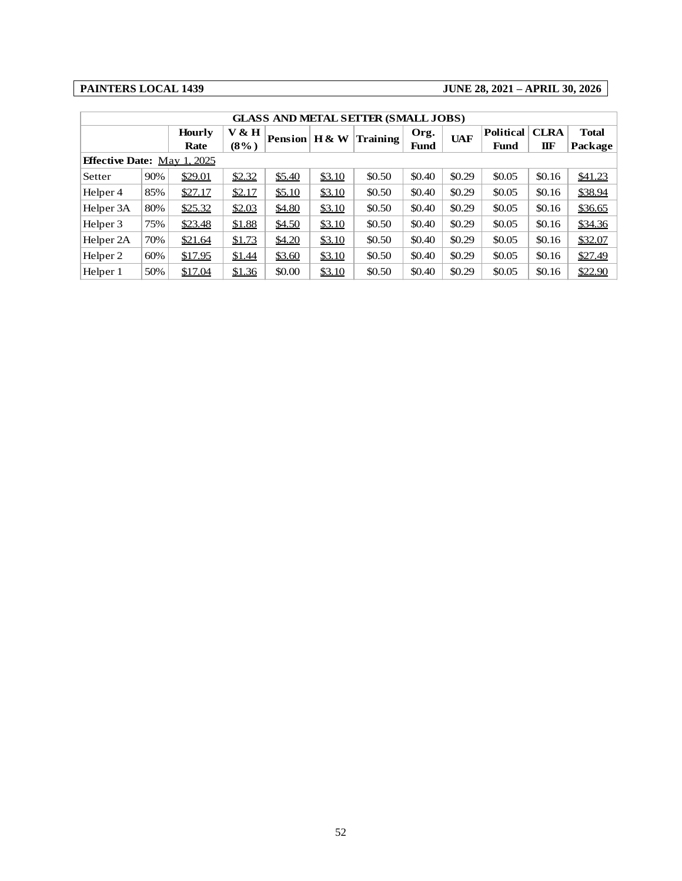## **PAINTERS LOCAL 1439 JUNE 28, 2021 – APRIL 30, 2026**

|                                    | $0.0114$ = $0.014$<br>11111110012010       |         |         |                |          |                 |             |            |                  |             |              |  |  |  |
|------------------------------------|--------------------------------------------|---------|---------|----------------|----------|-----------------|-------------|------------|------------------|-------------|--------------|--|--|--|
|                                    | <b>GLASS AND METAL SETTER (SMALL JOBS)</b> |         |         |                |          |                 |             |            |                  |             |              |  |  |  |
|                                    |                                            |         |         |                |          |                 |             |            |                  |             |              |  |  |  |
|                                    |                                            | Hourly  | V & H   | <b>Pension</b> | $H \& W$ | <b>Training</b> | Org.        | <b>UAF</b> | <b>Political</b> | <b>CLRA</b> | <b>Total</b> |  |  |  |
|                                    |                                            | Rate    | $(8\%)$ |                |          |                 | <b>Fund</b> |            | <b>Fund</b>      | Ш           | Package      |  |  |  |
| <b>Effective Date:</b> May 1, 2025 |                                            |         |         |                |          |                 |             |            |                  |             |              |  |  |  |
| Setter                             | 90%                                        | \$29.01 | \$2.32  | \$5.40         | \$3.10   | \$0.50          | \$0.40      | \$0.29     | \$0.05           | \$0.16      | \$41.23      |  |  |  |
| Helper 4                           | 85%                                        | \$27.17 | \$2.17  | \$5.10         | \$3.10   | \$0.50          | \$0.40      | \$0.29     | \$0.05           | \$0.16      | \$38.94      |  |  |  |
| Helper 3A                          | 80%                                        | \$25.32 | \$2.03  | \$4.80         | \$3.10   | \$0.50          | \$0.40      | \$0.29     | \$0.05           | \$0.16      | \$36.65      |  |  |  |
| Helper 3                           | 75%                                        | \$23.48 | \$1.88  | \$4.50         | \$3.10   | \$0.50          | \$0.40      | \$0.29     | \$0.05           | \$0.16      | \$34.36      |  |  |  |
| Helper 2A                          | 70%                                        | \$21.64 | \$1.73  | \$4.20         | \$3.10   | \$0.50          | \$0.40      | \$0.29     | \$0.05           | \$0.16      | \$32.07      |  |  |  |
| Helper 2                           | 60%                                        | \$17.95 | \$1.44  | \$3.60         | \$3.10   | \$0.50          | \$0.40      | \$0.29     | \$0.05           | \$0.16      | \$27.49      |  |  |  |
| Helper 1                           | 50%                                        | \$17.04 | \$1.36  | \$0.00         | \$3.10   | \$0.50          | \$0.40      | \$0.29     | \$0.05           | \$0.16      | \$22.90      |  |  |  |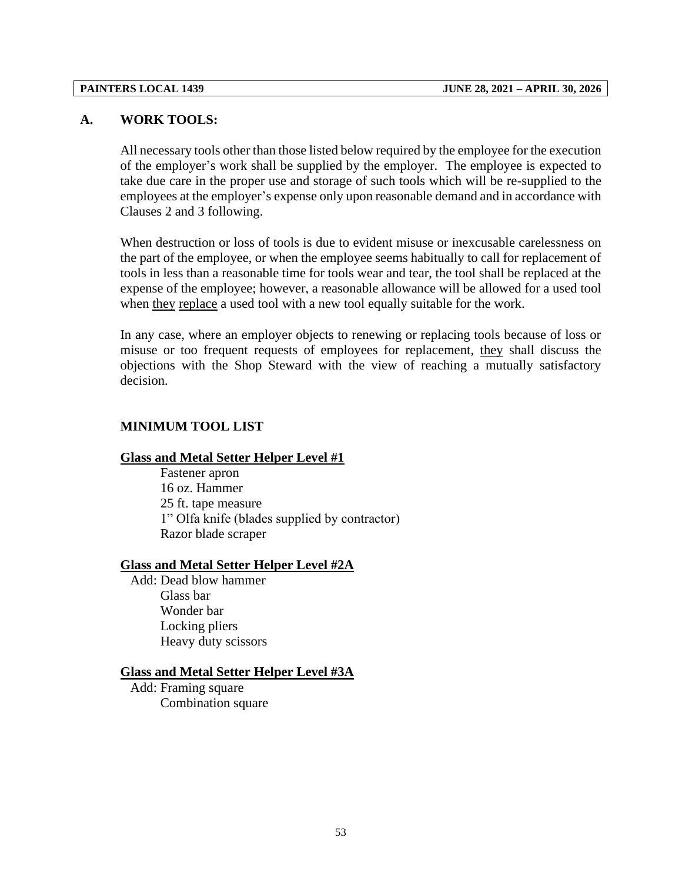#### **A. WORK TOOLS:**

All necessary tools other than those listed below required by the employee for the execution of the employer's work shall be supplied by the employer. The employee is expected to take due care in the proper use and storage of such tools which will be re-supplied to the employees at the employer's expense only upon reasonable demand and in accordance with Clauses 2 and 3 following.

When destruction or loss of tools is due to evident misuse or inexcusable carelessness on the part of the employee, or when the employee seems habitually to call for replacement of tools in less than a reasonable time for tools wear and tear, the tool shall be replaced at the expense of the employee; however, a reasonable allowance will be allowed for a used tool when they replace a used tool with a new tool equally suitable for the work.

In any case, where an employer objects to renewing or replacing tools because of loss or misuse or too frequent requests of employees for replacement, they shall discuss the objections with the Shop Steward with the view of reaching a mutually satisfactory decision.

#### **MINIMUM TOOL LIST**

#### **Glass and Metal Setter Helper Level #1**

Fastener apron 16 oz. Hammer 25 ft. tape measure 1" Olfa knife (blades supplied by contractor) Razor blade scraper

#### **Glass and Metal Setter Helper Level #2A**

Add: Dead blow hammer Glass bar Wonder bar Locking pliers Heavy duty scissors

#### **Glass and Metal Setter Helper Level #3A**

Add: Framing square Combination square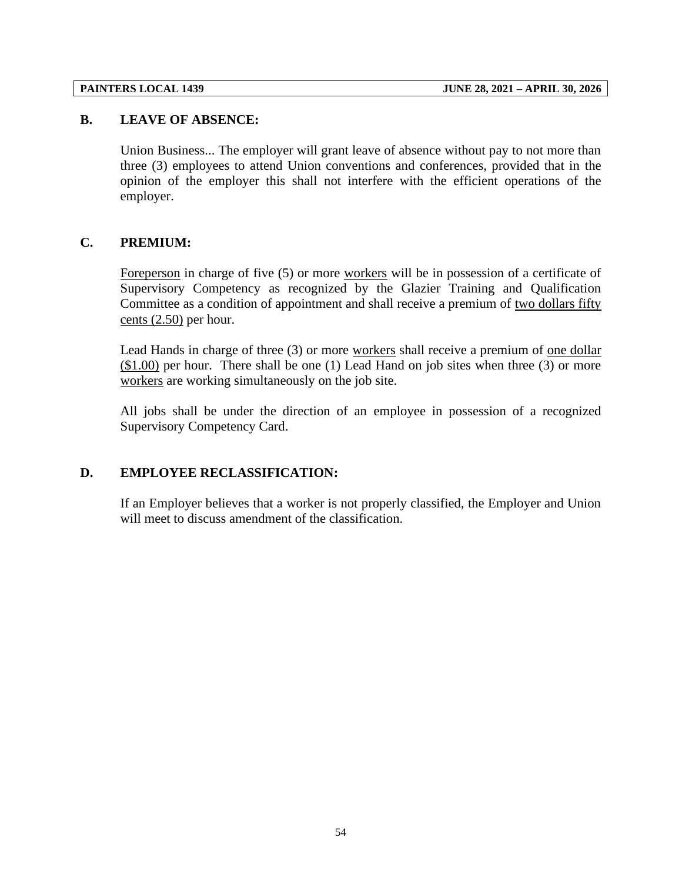#### **B. LEAVE OF ABSENCE:**

Union Business... The employer will grant leave of absence without pay to not more than three (3) employees to attend Union conventions and conferences, provided that in the opinion of the employer this shall not interfere with the efficient operations of the employer.

#### **C. PREMIUM:**

Foreperson in charge of five (5) or more workers will be in possession of a certificate of Supervisory Competency as recognized by the Glazier Training and Qualification Committee as a condition of appointment and shall receive a premium of two dollars fifty cents  $(2.50)$  per hour.

Lead Hands in charge of three (3) or more workers shall receive a premium of one dollar (\$1.00) per hour. There shall be one (1) Lead Hand on job sites when three (3) or more workers are working simultaneously on the job site.

All jobs shall be under the direction of an employee in possession of a recognized Supervisory Competency Card.

#### **D. EMPLOYEE RECLASSIFICATION:**

If an Employer believes that a worker is not properly classified, the Employer and Union will meet to discuss amendment of the classification.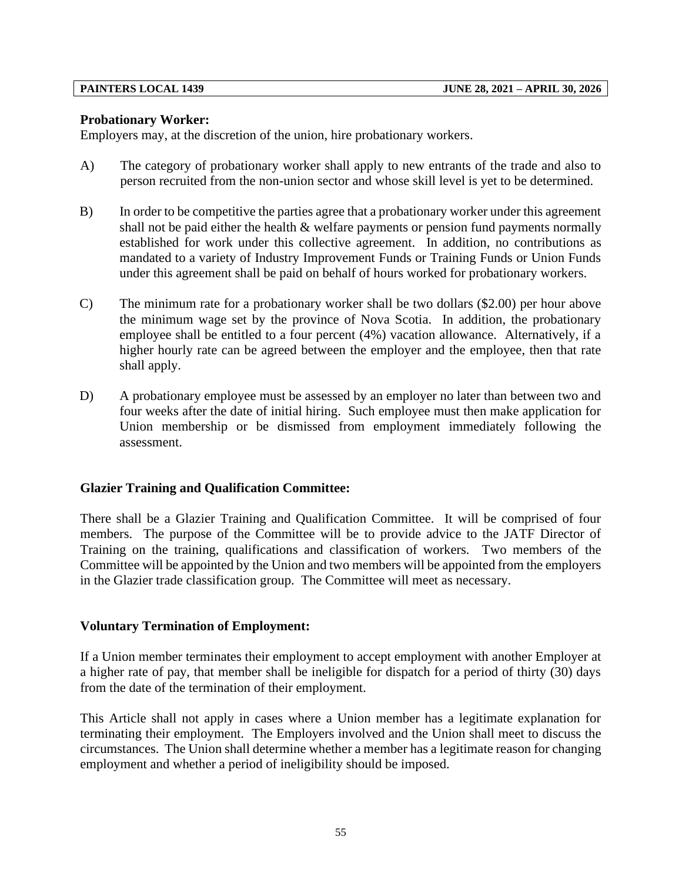#### **Probationary Worker:**

Employers may, at the discretion of the union, hire probationary workers.

- A) The category of probationary worker shall apply to new entrants of the trade and also to person recruited from the non-union sector and whose skill level is yet to be determined.
- B) In order to be competitive the parties agree that a probationary worker under this agreement shall not be paid either the health & welfare payments or pension fund payments normally established for work under this collective agreement. In addition, no contributions as mandated to a variety of Industry Improvement Funds or Training Funds or Union Funds under this agreement shall be paid on behalf of hours worked for probationary workers.
- C) The minimum rate for a probationary worker shall be two dollars (\$2.00) per hour above the minimum wage set by the province of Nova Scotia. In addition, the probationary employee shall be entitled to a four percent (4%) vacation allowance. Alternatively, if a higher hourly rate can be agreed between the employer and the employee, then that rate shall apply.
- D) A probationary employee must be assessed by an employer no later than between two and four weeks after the date of initial hiring. Such employee must then make application for Union membership or be dismissed from employment immediately following the assessment.

#### **Glazier Training and Qualification Committee:**

There shall be a Glazier Training and Qualification Committee. It will be comprised of four members. The purpose of the Committee will be to provide advice to the JATF Director of Training on the training, qualifications and classification of workers. Two members of the Committee will be appointed by the Union and two members will be appointed from the employers in the Glazier trade classification group. The Committee will meet as necessary.

#### **Voluntary Termination of Employment:**

If a Union member terminates their employment to accept employment with another Employer at a higher rate of pay, that member shall be ineligible for dispatch for a period of thirty (30) days from the date of the termination of their employment.

This Article shall not apply in cases where a Union member has a legitimate explanation for terminating their employment. The Employers involved and the Union shall meet to discuss the circumstances. The Union shall determine whether a member has a legitimate reason for changing employment and whether a period of ineligibility should be imposed.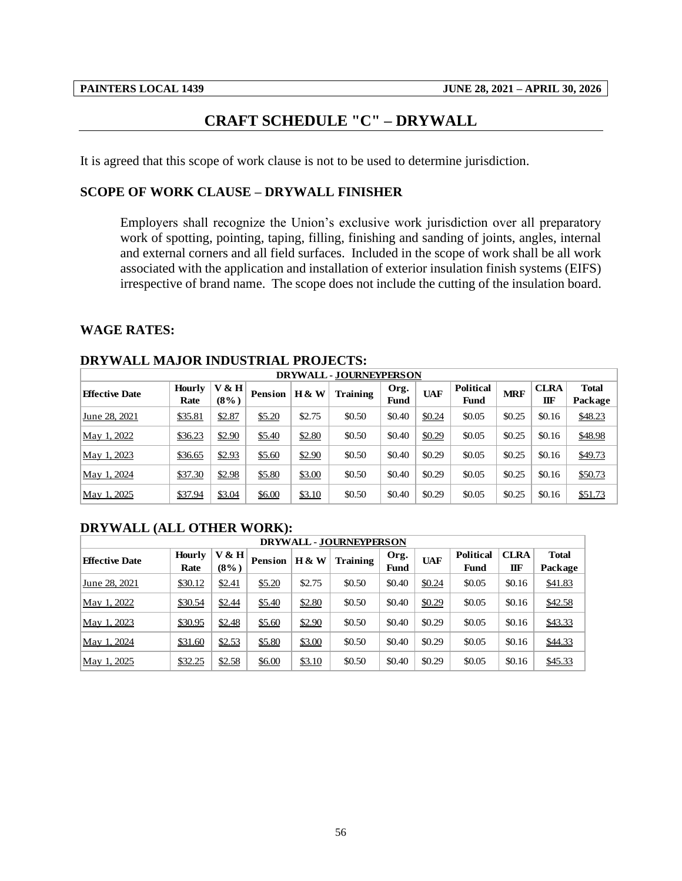## **CRAFT SCHEDULE "C" – DRYWALL**

<span id="page-58-0"></span>It is agreed that this scope of work clause is not to be used to determine jurisdiction.

#### **SCOPE OF WORK CLAUSE – DRYWALL FINISHER**

Employers shall recognize the Union's exclusive work jurisdiction over all preparatory work of spotting, pointing, taping, filling, finishing and sanding of joints, angles, internal and external corners and all field surfaces. Included in the scope of work shall be all work associated with the application and installation of exterior insulation finish systems (EIFS) irrespective of brand name. The scope does not include the cutting of the insulation board.

#### **WAGE RATES:**

|                       | DRYWALL - JOURNEYPERSON |                  |                |        |                 |                     |            |                                 |            |                             |                         |  |  |  |
|-----------------------|-------------------------|------------------|----------------|--------|-----------------|---------------------|------------|---------------------------------|------------|-----------------------------|-------------------------|--|--|--|
| <b>Effective Date</b> | <b>Hourly</b><br>Rate   | V & H<br>$(8\%)$ | <b>Pension</b> | H & W  | <b>Training</b> | Org.<br><b>Fund</b> | <b>UAF</b> | <b>Political</b><br><b>Fund</b> | <b>MRF</b> | <b>CLRA</b><br>$I\!I\!I\!F$ | <b>Total</b><br>Package |  |  |  |
| June 28, 2021         | \$35.81                 | \$2.87           | \$5.20         | \$2.75 | \$0.50          | \$0.40              | \$0.24     | \$0.05                          | \$0.25     | \$0.16                      | \$48.23                 |  |  |  |
| May 1, 2022           | \$36.23                 | \$2.90           | \$5.40         | \$2.80 | \$0.50          | \$0.40              | \$0.29     | \$0.05                          | \$0.25     | \$0.16                      | \$48.98                 |  |  |  |
| May 1, 2023           | \$36.65                 | \$2.93           | \$5.60         | \$2.90 | \$0.50          | \$0.40              | \$0.29     | \$0.05                          | \$0.25     | \$0.16                      | \$49.73                 |  |  |  |
| May 1, 2024           | \$37.30                 | \$2.98           | \$5.80         | \$3.00 | \$0.50          | \$0.40              | \$0.29     | \$0.05                          | \$0.25     | \$0.16                      | \$50.73                 |  |  |  |
| May 1, 2025           | \$37.94                 | \$3.04           | \$6.00         | \$3.10 | \$0.50          | \$0.40              | \$0.29     | \$0.05                          | \$0.25     | \$0.16                      | \$51.73                 |  |  |  |

### **DRYWALL MAJOR INDUSTRIAL PROJECTS:**

#### **DRYWALL (ALL OTHER WORK):**

|                       | <b>DRYWALL - JOURNEYPERSON</b> |                  |                |        |                 |                     |            |                                 |                    |                         |  |  |  |  |
|-----------------------|--------------------------------|------------------|----------------|--------|-----------------|---------------------|------------|---------------------------------|--------------------|-------------------------|--|--|--|--|
| <b>Effective Date</b> | <b>Hourly</b><br>Rate          | V & H<br>$(8\%)$ | <b>Pension</b> | H & W  | <b>Training</b> | Org.<br><b>Fund</b> | <b>UAF</b> | <b>Political</b><br><b>Fund</b> | <b>CLRA</b><br>IIF | <b>Total</b><br>Package |  |  |  |  |
| June 28, 2021         | \$30.12                        | \$2.41           | \$5.20         | \$2.75 | \$0.50          | \$0.40              | \$0.24     | \$0.05                          | \$0.16             | \$41.83                 |  |  |  |  |
| May 1, 2022           | \$30.54                        | \$2.44           | \$5.40         | \$2.80 | \$0.50          | \$0.40              | \$0.29     | \$0.05                          | \$0.16             | \$42.58                 |  |  |  |  |
| May 1, 2023           | \$30.95                        | \$2.48           | \$5.60         | \$2.90 | \$0.50          | \$0.40              | \$0.29     | \$0.05                          | \$0.16             | \$43.33                 |  |  |  |  |
| May 1, 2024           | \$31.60                        | \$2.53           | \$5.80         | \$3.00 | \$0.50          | \$0.40              | \$0.29     | \$0.05                          | \$0.16             | \$44.33                 |  |  |  |  |
| May 1, 2025           | \$32.25                        | \$2.58           | \$6.00         | \$3.10 | \$0.50          | \$0.40              | \$0.29     | \$0.05                          | \$0.16             | \$45.33                 |  |  |  |  |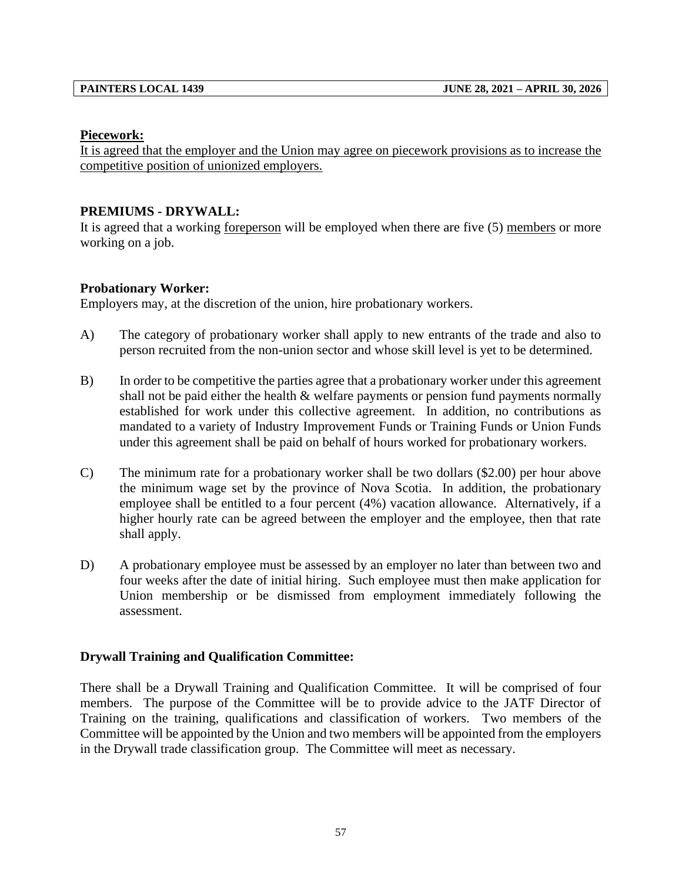#### **Piecework:**

It is agreed that the employer and the Union may agree on piecework provisions as to increase the competitive position of unionized employers.

### **PREMIUMS - DRYWALL:**

It is agreed that a working foreperson will be employed when there are five (5) members or more working on a job.

#### **Probationary Worker:**

Employers may, at the discretion of the union, hire probationary workers.

- A) The category of probationary worker shall apply to new entrants of the trade and also to person recruited from the non-union sector and whose skill level is yet to be determined.
- B) In order to be competitive the parties agree that a probationary worker under this agreement shall not be paid either the health  $&$  welfare payments or pension fund payments normally established for work under this collective agreement. In addition, no contributions as mandated to a variety of Industry Improvement Funds or Training Funds or Union Funds under this agreement shall be paid on behalf of hours worked for probationary workers.
- C) The minimum rate for a probationary worker shall be two dollars (\$2.00) per hour above the minimum wage set by the province of Nova Scotia. In addition, the probationary employee shall be entitled to a four percent (4%) vacation allowance. Alternatively, if a higher hourly rate can be agreed between the employer and the employee, then that rate shall apply.
- D) A probationary employee must be assessed by an employer no later than between two and four weeks after the date of initial hiring. Such employee must then make application for Union membership or be dismissed from employment immediately following the assessment.

#### **Drywall Training and Qualification Committee:**

There shall be a Drywall Training and Qualification Committee. It will be comprised of four members. The purpose of the Committee will be to provide advice to the JATF Director of Training on the training, qualifications and classification of workers. Two members of the Committee will be appointed by the Union and two members will be appointed from the employers in the Drywall trade classification group. The Committee will meet as necessary.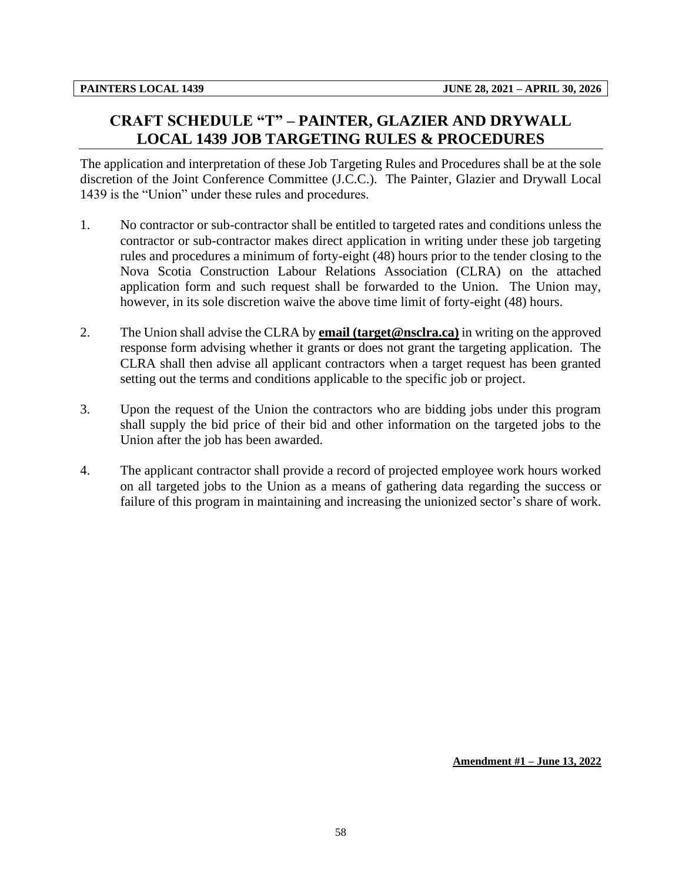## <span id="page-60-0"></span>**CRAFT SCHEDULE "T" – PAINTER, GLAZIER AND DRYWALL LOCAL 1439 JOB TARGETING RULES & PROCEDURES**

The application and interpretation of these Job Targeting Rules and Procedures shall be at the sole discretion of the Joint Conference Committee (J.C.C.). The Painter, Glazier and Drywall Local 1439 is the "Union" under these rules and procedures.

- 1. No contractor or sub-contractor shall be entitled to targeted rates and conditions unless the contractor or sub-contractor makes direct application in writing under these job targeting rules and procedures a minimum of forty-eight (48) hours prior to the tender closing to the Nova Scotia Construction Labour Relations Association (CLRA) on the attached application form and such request shall be forwarded to the Union. The Union may, however, in its sole discretion waive the above time limit of forty-eight (48) hours.
- 2. The Union shall advise the CLRA by **email (target@nsclra.ca)** in writing on the approved response form advising whether it grants or does not grant the targeting application. The CLRA shall then advise all applicant contractors when a target request has been granted setting out the terms and conditions applicable to the specific job or project.
- 3. Upon the request of the Union the contractors who are bidding jobs under this program shall supply the bid price of their bid and other information on the targeted jobs to the Union after the job has been awarded.
- 4. The applicant contractor shall provide a record of projected employee work hours worked on all targeted jobs to the Union as a means of gathering data regarding the success or failure of this program in maintaining and increasing the unionized sector's share of work.

**Amendment #1 – June 13, 2022**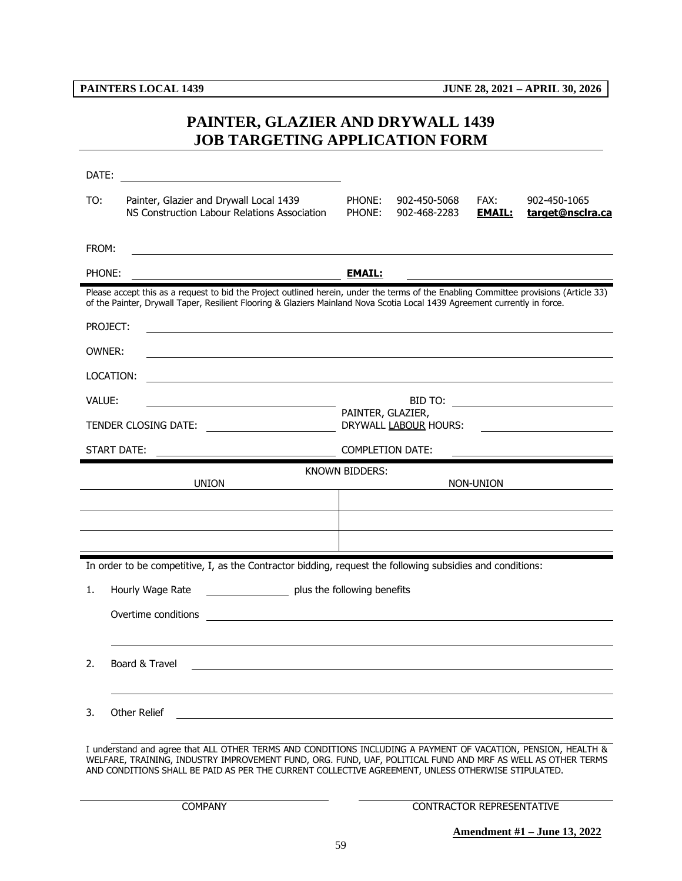<span id="page-61-0"></span>

**PAINTERS LOCAL 1439 JUNE 28, 2021 – APRIL 30, 2026**

## **PAINTER, GLAZIER AND DRYWALL 1439 JOB TARGETING APPLICATION FORM**

| DATE:     |                                                                                                                                                                                                                                                                                                                                    |                   |                              |                       |                                  |
|-----------|------------------------------------------------------------------------------------------------------------------------------------------------------------------------------------------------------------------------------------------------------------------------------------------------------------------------------------|-------------------|------------------------------|-----------------------|----------------------------------|
| TO:       | Painter, Glazier and Drywall Local 1439<br>NS Construction Labour Relations Association                                                                                                                                                                                                                                            | PHONE:<br>PHONE:  | 902-450-5068<br>902-468-2283 | FAX:<br><b>EMAIL:</b> | 902-450-1065<br>target@nsclra.ca |
| FROM:     |                                                                                                                                                                                                                                                                                                                                    |                   |                              |                       |                                  |
| PHONE:    |                                                                                                                                                                                                                                                                                                                                    | <b>EMAIL:</b>     |                              |                       |                                  |
|           | Please accept this as a request to bid the Project outlined herein, under the terms of the Enabling Committee provisions (Article 33)<br>of the Painter, Drywall Taper, Resilient Flooring & Glaziers Mainland Nova Scotia Local 1439 Agreement currently in force.                                                                |                   |                              |                       |                                  |
| PROJECT:  |                                                                                                                                                                                                                                                                                                                                    |                   |                              |                       |                                  |
| OWNER:    |                                                                                                                                                                                                                                                                                                                                    |                   |                              |                       |                                  |
| LOCATION: | <u> 1989 - Johann Johann Stoff, deutscher Stoffen und der Stoffen und der Stoffen und der Stoffen und der Stoffen</u>                                                                                                                                                                                                              |                   |                              |                       |                                  |
| VALUE:    |                                                                                                                                                                                                                                                                                                                                    |                   |                              |                       |                                  |
|           | TENDER CLOSING DATE:<br>the contract of the contract of the contract of the contract of the contract of                                                                                                                                                                                                                            | PAINTER, GLAZIER, | DRYWALL LABOUR HOURS:        |                       |                                  |
|           | START DATE:                                                                                                                                                                                                                                                                                                                        |                   | <b>COMPLETION DATE:</b>      |                       |                                  |
|           | <b>UNION</b>                                                                                                                                                                                                                                                                                                                       | KNOWN BIDDERS:    |                              | NON-UNION             |                                  |
|           |                                                                                                                                                                                                                                                                                                                                    |                   |                              |                       |                                  |
|           |                                                                                                                                                                                                                                                                                                                                    |                   |                              |                       |                                  |
|           |                                                                                                                                                                                                                                                                                                                                    |                   |                              |                       |                                  |
|           | In order to be competitive, I, as the Contractor bidding, request the following subsidies and conditions:                                                                                                                                                                                                                          |                   |                              |                       |                                  |
| 1.        | Hourly Wage Rate<br>plus the following benefits                                                                                                                                                                                                                                                                                    |                   |                              |                       |                                  |
|           | Overtime conditions                                                                                                                                                                                                                                                                                                                |                   |                              |                       |                                  |
|           |                                                                                                                                                                                                                                                                                                                                    |                   |                              |                       |                                  |
| 2.        | Board & Travel                                                                                                                                                                                                                                                                                                                     |                   |                              |                       |                                  |
|           |                                                                                                                                                                                                                                                                                                                                    |                   |                              |                       |                                  |
| 3.        | Other Relief                                                                                                                                                                                                                                                                                                                       |                   |                              |                       |                                  |
|           |                                                                                                                                                                                                                                                                                                                                    |                   |                              |                       |                                  |
|           | I understand and agree that ALL OTHER TERMS AND CONDITIONS INCLUDING A PAYMENT OF VACATION, PENSION, HEALTH &<br>WELFARE, TRAINING, INDUSTRY IMPROVEMENT FUND, ORG. FUND, UAF, POLITICAL FUND AND MRF AS WELL AS OTHER TERMS<br>AND CONDITIONS SHALL BE PAID AS PER THE CURRENT COLLECTIVE AGREEMENT, UNLESS OTHERWISE STIPULATED. |                   |                              |                       |                                  |
|           | <b>COMPANY</b>                                                                                                                                                                                                                                                                                                                     |                   | CONTRACTOR REPRESENTATIVE    |                       |                                  |

**Amendment #1 – June 13, 2022**

59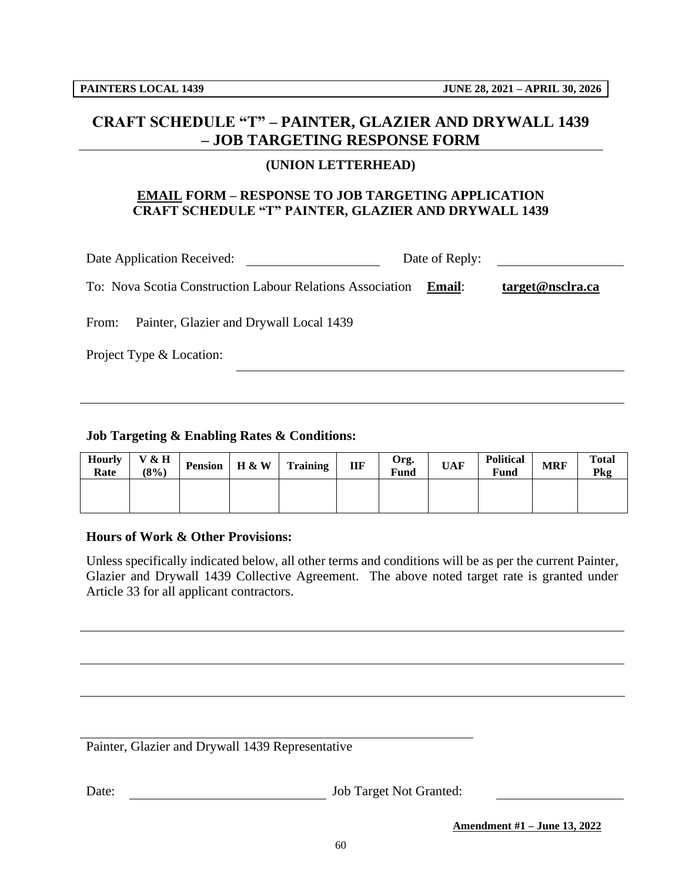## <span id="page-62-0"></span>**CRAFT SCHEDULE "T" – PAINTER, GLAZIER AND DRYWALL 1439 – JOB TARGETING RESPONSE FORM**

#### **(UNION LETTERHEAD)**

#### **EMAIL FORM – RESPONSE TO JOB TARGETING APPLICATION CRAFT SCHEDULE "T" PAINTER, GLAZIER AND DRYWALL 1439**

Date Application Received: Date of Reply:

To: Nova Scotia Construction Labour Relations Association **Email**: **target@nsclra.ca**

From: Painter, Glazier and Drywall Local 1439

Project Type & Location:

#### **Job Targeting & Enabling Rates & Conditions:**

| <b>Hourly</b><br>Rate | V & H<br>(8%) | <b>Pension</b> | H & W | <b>Training</b> | IIF | Org.<br><b>Fund</b> | <b>UAF</b> | <b>Political</b><br><b>Fund</b> | <b>MRF</b> | <b>Total</b><br><b>Pkg</b> |
|-----------------------|---------------|----------------|-------|-----------------|-----|---------------------|------------|---------------------------------|------------|----------------------------|
|                       |               |                |       |                 |     |                     |            |                                 |            |                            |

#### **Hours of Work & Other Provisions:**

Unless specifically indicated below, all other terms and conditions will be as per the current Painter, Glazier and Drywall 1439 Collective Agreement. The above noted target rate is granted under Article 33 for all applicant contractors.

Painter, Glazier and Drywall 1439 Representative

Date: Job Target Not Granted:

**Amendment #1 – June 13, 2022**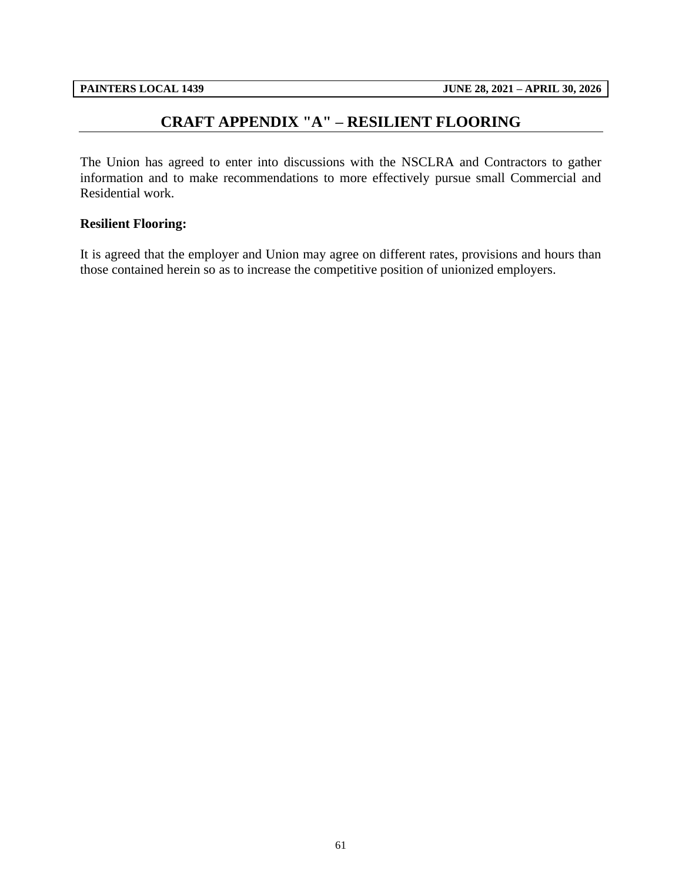# **CRAFT APPENDIX "A" – RESILIENT FLOORING**

<span id="page-63-0"></span>The Union has agreed to enter into discussions with the NSCLRA and Contractors to gather information and to make recommendations to more effectively pursue small Commercial and Residential work.

#### **Resilient Flooring:**

It is agreed that the employer and Union may agree on different rates, provisions and hours than those contained herein so as to increase the competitive position of unionized employers.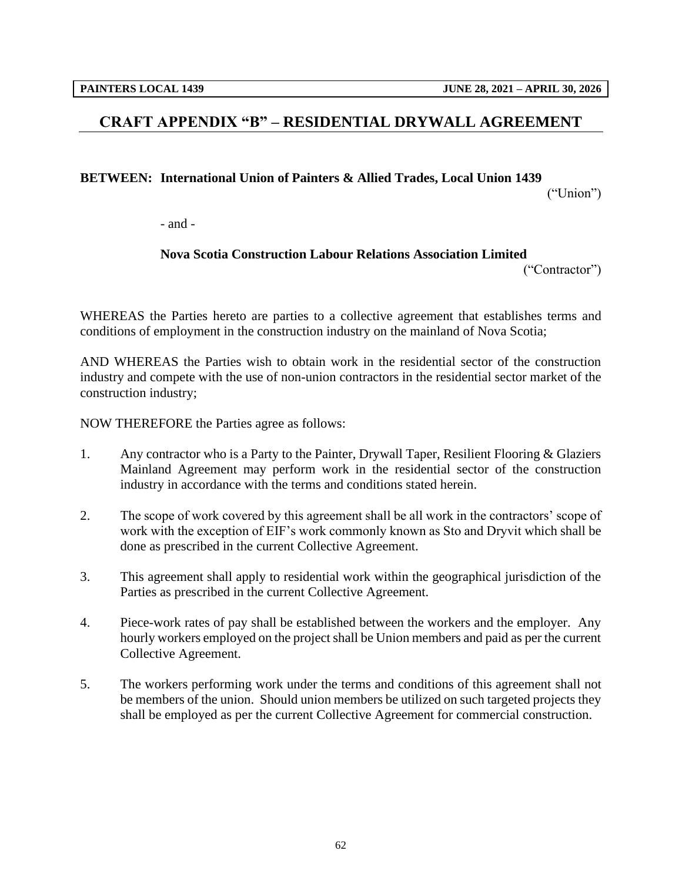## <span id="page-64-0"></span>**CRAFT APPENDIX "B" – RESIDENTIAL DRYWALL AGREEMENT**

### **BETWEEN: International Union of Painters & Allied Trades, Local Union 1439**

("Union")

- and -

### **Nova Scotia Construction Labour Relations Association Limited**

("Contractor")

WHEREAS the Parties hereto are parties to a collective agreement that establishes terms and conditions of employment in the construction industry on the mainland of Nova Scotia;

AND WHEREAS the Parties wish to obtain work in the residential sector of the construction industry and compete with the use of non-union contractors in the residential sector market of the construction industry;

NOW THEREFORE the Parties agree as follows:

- 1. Any contractor who is a Party to the Painter, Drywall Taper, Resilient Flooring & Glaziers Mainland Agreement may perform work in the residential sector of the construction industry in accordance with the terms and conditions stated herein.
- 2. The scope of work covered by this agreement shall be all work in the contractors' scope of work with the exception of EIF's work commonly known as Sto and Dryvit which shall be done as prescribed in the current Collective Agreement.
- 3. This agreement shall apply to residential work within the geographical jurisdiction of the Parties as prescribed in the current Collective Agreement.
- 4. Piece-work rates of pay shall be established between the workers and the employer. Any hourly workers employed on the project shall be Union members and paid as per the current Collective Agreement.
- 5. The workers performing work under the terms and conditions of this agreement shall not be members of the union. Should union members be utilized on such targeted projects they shall be employed as per the current Collective Agreement for commercial construction.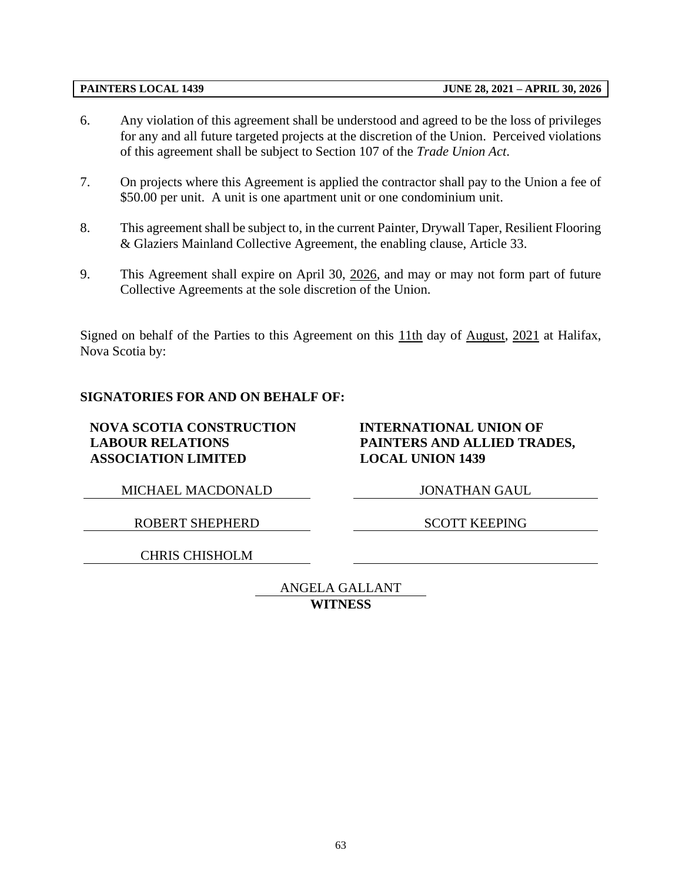- 6. Any violation of this agreement shall be understood and agreed to be the loss of privileges for any and all future targeted projects at the discretion of the Union. Perceived violations of this agreement shall be subject to Section 107 of the *Trade Union Act*.
- 7. On projects where this Agreement is applied the contractor shall pay to the Union a fee of \$50.00 per unit. A unit is one apartment unit or one condominium unit.
- 8. This agreement shall be subject to, in the current Painter, Drywall Taper, Resilient Flooring & Glaziers Mainland Collective Agreement, the enabling clause, Article 33.
- 9. This Agreement shall expire on April 30, 2026, and may or may not form part of future Collective Agreements at the sole discretion of the Union.

Signed on behalf of the Parties to this Agreement on this 11th day of August, 2021 at Halifax, Nova Scotia by:

### **SIGNATORIES FOR AND ON BEHALF OF:**

### **NOVA SCOTIA CONSTRUCTION LABOUR RELATIONS ASSOCIATION LIMITED**

### **INTERNATIONAL UNION OF PAINTERS AND ALLIED TRADES, LOCAL UNION 1439**

MICHAEL MACDONALD JONATHAN GAUL

ROBERT SHEPHERD SCOTT KEEPING

CHRIS CHISHOLM

ANGELA GALLANT **WITNESS**